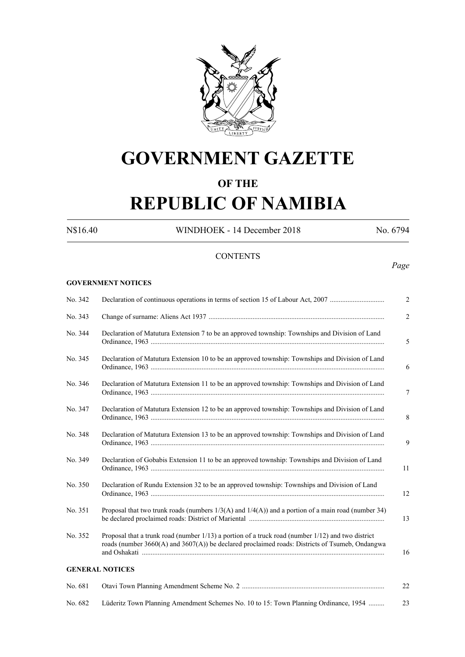

# **GOVERNMENT GAZETTE**

# **OF THE**

# **REPUBLIC OF NAMIBIA**

N\$16.40 WINDHOEK - 14 December 2018 No. 6794

# **CONTENTS**

*Page*

#### **GOVERNMENT NOTICES**

| No. 342 | Declaration of continuous operations in terms of section 15 of Labour Act, 2007                                                                                                                          |
|---------|----------------------------------------------------------------------------------------------------------------------------------------------------------------------------------------------------------|
| No. 343 |                                                                                                                                                                                                          |
| No. 344 | Declaration of Matutura Extension 7 to be an approved township: Townships and Division of Land                                                                                                           |
| No. 345 | Declaration of Matutura Extension 10 to be an approved township: Townships and Division of Land                                                                                                          |
| No. 346 | Declaration of Matutura Extension 11 to be an approved township: Townships and Division of Land                                                                                                          |
| No. 347 | Declaration of Matutura Extension 12 to be an approved township: Townships and Division of Land                                                                                                          |
| No. 348 | Declaration of Matutura Extension 13 to be an approved township: Townships and Division of Land                                                                                                          |
| No. 349 | Declaration of Gobabis Extension 11 to be an approved township: Townships and Division of Land                                                                                                           |
| No. 350 | Declaration of Rundu Extension 32 to be an approved township: Townships and Division of Land                                                                                                             |
| No. 351 | Proposal that two trunk roads (numbers $1/3(A)$ and $1/4(A)$ ) and a portion of a main road (number 34)                                                                                                  |
| No. 352 | Proposal that a trunk road (number 1/13) a portion of a truck road (number 1/12) and two district<br>roads (number $3660(A)$ and $3607(A)$ ) be declared proclaimed roads: Districts of Tsumeb, Ondangwa |
|         | <b>GENERAL NOTICES</b>                                                                                                                                                                                   |
| No. 681 |                                                                                                                                                                                                          |
| No. 682 | Lüderitz Town Planning Amendment Schemes No. 10 to 15: Town Planning Ordinance, 1954                                                                                                                     |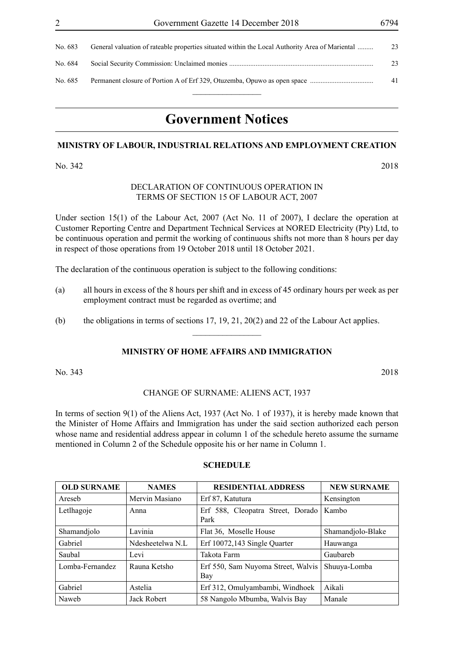| No. 683 | General valuation of rateable properties situated within the Local Authority Area of Mariental | 23 |
|---------|------------------------------------------------------------------------------------------------|----|
| No. 684 |                                                                                                | 23 |
| No. 685 |                                                                                                | 41 |
|         |                                                                                                |    |

# **Government Notices**

#### **MINISTRY OF LABOUR, INDUSTRIAL RELATIONS AND EMPLOYMENT CREATION**

No. 342 2018

# DECLARATION OF CONTINUOUS OPERATION IN TERMS OF SECTION 15 OF LABOUR ACT, 2007

Under section 15(1) of the Labour Act, 2007 (Act No. 11 of 2007), I declare the operation at Customer Reporting Centre and Department Technical Services at NORED Electricity (Pty) Ltd, to be continuous operation and permit the working of continuous shifts not more than 8 hours per day in respect of those operations from 19 October 2018 until 18 October 2021.

The declaration of the continuous operation is subject to the following conditions:

- (a) all hours in excess of the 8 hours per shift and in excess of 45 ordinary hours per week as per employment contract must be regarded as overtime; and
- (b) the obligations in terms of sections 17, 19, 21, 20(2) and 22 of the Labour Act applies.

# **MINISTRY OF HOME AFFAIRS AND IMMIGRATION**

 $\overline{\phantom{a}}$  , where  $\overline{\phantom{a}}$ 

No. 343 2018

#### CHANGE OF SURNAME: ALIENS ACT, 1937

In terms of section 9(1) of the Aliens Act, 1937 (Act No. 1 of 1937), it is hereby made known that the Minister of Home Affairs and Immigration has under the said section authorized each person whose name and residential address appear in column 1 of the schedule hereto assume the surname mentioned in Column 2 of the Schedule opposite his or her name in Column 1.

| <b>SCHEDULE</b> |  |
|-----------------|--|
|-----------------|--|

| <b>OLD SURNAME</b> | <b>NAMES</b>     | <b>RESIDENTIAL ADDRESS</b>                | <b>NEW SURNAME</b> |
|--------------------|------------------|-------------------------------------------|--------------------|
| Areseb             | Mervin Masiano   | Erf 87, Katutura                          | Kensington         |
| Letlhagoje         | Anna             | Erf 588, Cleopatra Street, Dorado<br>Park | Kambo              |
| Shamandjolo        | Lavinia          | Flat 36, Moselle House                    | Shamandjolo-Blake  |
| Gabriel            | Ndesheetelwa N.L | Erf 10072,143 Single Quarter              | Hauwanga           |
| Saubal             | Levi             | Takota Farm                               | Gaubareh           |
| Lomba-Fernandez    | Rauna Ketsho     | Erf 550, Sam Nuyoma Street, Walvis<br>Bay | Shuuya-Lomba       |
| Gabriel            | Astelia          | Erf 312, Omulyambambi, Windhoek           | Aikali             |
| Naweb              | Jack Robert      | 58 Nangolo Mbumba, Walvis Bay             | Manale             |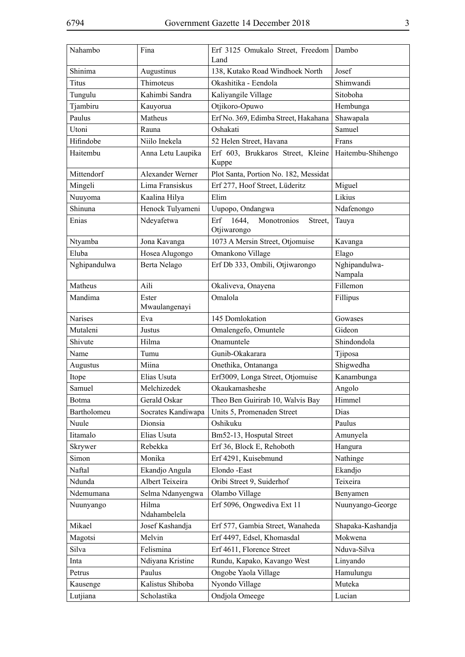| Nahambo        | Fina                   | Erf 3125 Omukalo Street, Freedom<br>Land              | Dambo                    |
|----------------|------------------------|-------------------------------------------------------|--------------------------|
| Shinima        | Augustinus             | 138, Kutako Road Windhoek North                       | Josef                    |
| <b>Titus</b>   | Thimoteus              | Okashitika - Eendola                                  | Shimwandi                |
| Tungulu        | Kahimbi Sandra         | Kaliyangile Village                                   | Sitoboha                 |
| Tjambiru       | Kauyorua               | Otjikoro-Opuwo                                        | Hembunga                 |
| Paulus         | Matheus                | Erf No. 369, Edimba Street, Hakahana                  | Shawapala                |
| Utoni          | Rauna                  | Oshakati                                              | Samuel                   |
| Hifindobe      | Niilo Inekela          | 52 Helen Street, Havana                               | Frans                    |
| Haitembu       | Anna Letu Laupika      | Erf 603, Brukkaros Street, Kleine<br>Kuppe            | Haitembu-Shihengo        |
| Mittendorf     | Alexander Werner       | Plot Santa, Portion No. 182, Messidat                 |                          |
| Mingeli        | Lima Fransiskus        | Erf 277, Hoof Street, Lüderitz                        | Miguel                   |
| Nuuyoma        | Kaalina Hilya          | Elim                                                  | Likius                   |
| Shinuna        | Henock Tulyameni       | Uupopo, Ondangwa                                      | Ndafenongo               |
| Enias          | Ndeyafetwa             | 1644,<br>Monotronios<br>Erf<br>Street,<br>Otjiwarongo | Tauya                    |
| Ntyamba        | Jona Kavanga           | 1073 A Mersin Street, Otjomuise                       | Kavanga                  |
| Eluba          | Hosea Alugongo         | Omankono Village                                      | Elago                    |
| Nghipandulwa   | Berta Nelago           | Erf Db 333, Ombili, Otjiwarongo                       | Nghipandulwa-<br>Nampala |
| Matheus        | Aili                   | Okaliveva, Onayena                                    | Fillemon                 |
| Mandima        | Ester<br>Mwaulangenayi | Omalola                                               | Fillipus                 |
| <b>Narises</b> | Eva                    | 145 Domlokation                                       | Gowases                  |
| Mutaleni       | Justus                 | Omalengefo, Omuntele                                  | Gideon                   |
| Shivute        | Hilma                  | Onamuntele                                            | Shindondola              |
| Name           | Tumu                   | Gunib-Okakarara                                       | Tjiposa                  |
| Augustus       | Miina                  | Onethika, Ontananga                                   | Shigwedha                |
| Itope          | Elias Usuta            | Erf3009, Longa Street, Otjomuise                      | Kanambunga               |
| Samuel         | Melchizedek            | Okaukamasheshe                                        | Angolo                   |
| Botma          | Gerald Oskar           | Theo Ben Guirirab 10, Walvis Bay                      | Himmel                   |
| Bartholomeu    | Socrates Kandiwapa     | Units 5, Promenaden Street                            | Dias                     |
| Nuule          | Dionsia                | Oshikuku                                              | Paulus                   |
| Iitamalo       | Elias Usuta            | Bm52-13, Hosputal Street                              | Amunyela                 |
| Skrywer        | Rebekka                | Erf 36, Block E, Rehoboth                             | Hangura                  |
| Simon          | Monika                 | Erf 4291, Kuisebmund                                  | Nathinge                 |
| Naftal         | Ekandjo Angula         | Elondo - East                                         | Ekandjo                  |
| Ndunda         | Albert Teixeira        | Oribi Street 9, Suiderhof                             | Teixeira                 |
| Ndemumana      | Selma Ndanyengwa       | Olambo Village                                        | Benyamen                 |
| Nuunyango      | Hilma<br>Ndahambelela  | Erf 5096, Ongwediva Ext 11                            | Nuunyango-George         |
| Mikael         | Josef Kashandja        | Erf 577, Gambia Street, Wanaheda                      | Shapaka-Kashandja        |
| Magotsi        | Melvin                 | Erf 4497, Edsel, Khomasdal                            | Mokwena                  |
| Silva          | Felismina              | Erf 4611, Florence Street                             | Nduva-Silva              |
| Inta           | Ndiyana Kristine       | Rundu, Kapako, Kavango West                           | Linyando                 |
| Petrus         | Paulus                 | Ongobe Yaola Village                                  | Hamulungu                |
| Kausenge       | Kalistus Shiboba       | Nyondo Village                                        | Muteka                   |
| Lutjiana       | Scholastika            | Ondjola Omeege                                        | Lucian                   |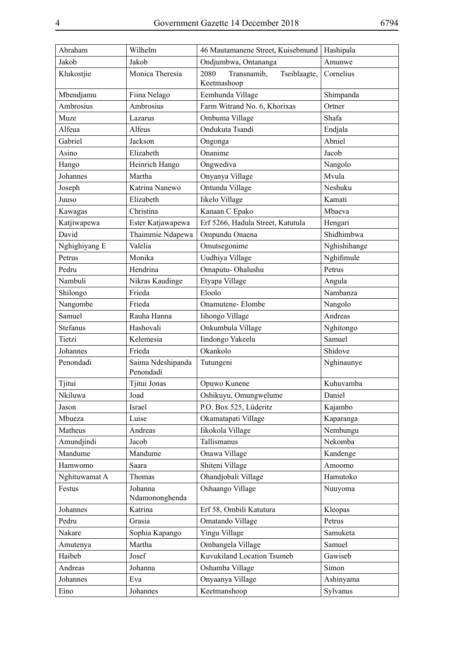| Abraham         | Wilhelm                        | 46 Mautamanene Street, Kuisebmund                  | Hashipala    |
|-----------------|--------------------------------|----------------------------------------------------|--------------|
| Jakob           | Jakob                          | Ondjumbwa, Ontananga                               | Amunwe       |
| Klukostjie      | Monica Theresia                | 2080<br>Transnamib.<br>Tseiblaagte,<br>Keetmashoop | Cornelius    |
| Mbendjamu       | Fiina Nelago                   | Eemhunda Village                                   | Shimpanda    |
| Ambrosius       | Ambrosius                      | Farm Witrand No. 6, Khorixas                       | Ortner       |
| Muze            | Lazarus                        | Ombuma Village                                     | Shafa        |
| Alfeua          | Alfeus                         | Ondukuta Tsandi                                    | Endjala      |
| Gabriel         | Jackson                        | Ongonga                                            | Abniel       |
| Asino           | Elizabeth                      | Onanime                                            | Jacob        |
| Hango           | Heinrich Hango                 | Ongwediva                                          | Nangolo      |
| Johannes        | Martha                         | Onyanya Village                                    | Mvula        |
| Joseph          | Katrina Nanewo                 | Ontunda Village                                    | Neshuku      |
| Juuso           | Elizabeth                      | Iikelo Village                                     | Kamati       |
| Kawagas         | Christina                      | Kanaan C Epako                                     | Mbaeva       |
| Katjiwapewa     | Ester Katjawapewa              | Erf 5266, Hadula Street, Katutula                  | Hengari      |
| David           | Thaimmie Ndapewa               | Ompundu Onaena                                     | Shidhimbwa   |
| Nghighiyang E   | Valelia                        | Omutsegonime                                       | Nghishihange |
| Petrus          | Monika                         | Uudhiya Village                                    | Nghifimule   |
| Pedru           | Hendrina                       | Omaputu-Ohalushu                                   | Petrus       |
| Nambuli         | Nikras Kaudinge                | Etyapa Village                                     | Angula       |
| Shilongo        | Frieda                         | Eloolo                                             | Nambanza     |
| Nangombe        | Frieda                         | Onamutene- Elombe                                  | Nangolo      |
| Samuel          | Rauha Hanna                    | Iihongo Village                                    | Andreas      |
| <b>Stefanus</b> | Hashovali                      | Onkumbula Village                                  | Nghitongo    |
| Tietzi          | Kelemesia                      | Iindongo Yakeelu                                   | Samuel       |
| Johannes        | Frieda                         | Okankolo                                           | Shidove      |
| Penondadi       | Saima Ndeshipanda<br>Penondadi | Tutungeni                                          | Nghinaunye   |
| Tjitui          | Tjitui Jonas                   | Opuwo Kunene                                       | Kuhuvamba    |
| Nkiluwa         | Joad                           | Oshikuyu, Omungwelume                              | Daniel       |
| Jason           | Israel                         | P.O. Box 525, Lüderitz                             | Kajambo      |
| Mbueza          | Luise                          | Okamatapati Village                                | Kaparanga    |
| Matheus         | Andreas                        | Iikokola Village                                   | Nembungu     |
| Amundjindi      | Jacob                          | Tallismanus                                        | Nekomba      |
| Mandume         | Mandume                        | Onawa Village                                      | Kandenge     |
| Hamwomo         | Saara                          | Shiteni Village                                    | Amoomo       |
| Nghituwamat A   | Thomas                         | Ohandjobali Village                                | Hamutoko     |
| Festus          | Johanna<br>Ndamononghenda      | Oshaango Village                                   | Nuuyoma      |
| Johannes        | Katrina                        | Erf 58, Ombili Katutura                            | Kleopas      |
| Pedru           | Grasia                         | Omatando Village                                   | Petrus       |
| Nakare          | Sophia Kapango                 | Yingu Village                                      | Samuketa     |
| Amutenya        | Martha                         | Ombangela Village                                  | Samuel       |
| Haibeb          | Josef                          | Kuvukiland Location Tsumeb                         | Gawiseb      |
| Andreas         | Johanna                        | Oshamba Village                                    | Simon        |
| Johannes        | Eva                            | Onyaanya Village                                   | Ashinyama    |
| Eino            | Johannes                       | Keetmanshoop                                       | Sylvanus     |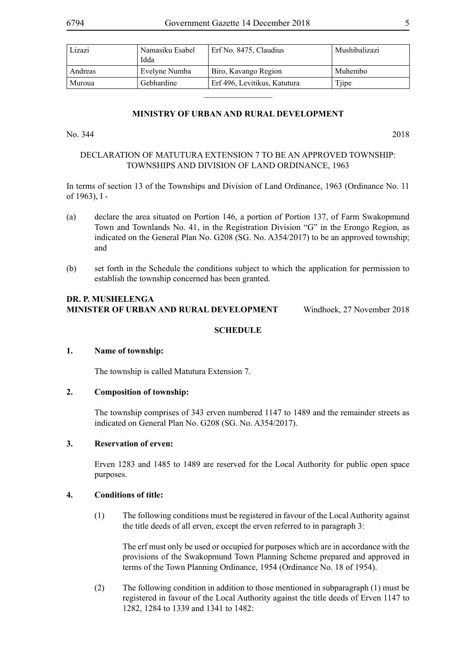| Lizazi  | Namasiku Esabel<br>Idda | Erf No. 8475, Claudius       | Mushibalizazi |
|---------|-------------------------|------------------------------|---------------|
| Andreas | Evelyne Numba           | Biro, Kavango Region         | Muhembo       |
| Muroua  | Gebhardine              | Erf 496, Levitikus, Katutura | Tjipe         |

# **MINISTRY OF URBAN AND RURAL DEVELOPMENT**

 $\frac{1}{2}$ 

No. 344 2018

# DECLARATION OF MATUTURA EXTENSION 7 TO BE AN APPROVED TOWNSHIP: TOWNSHIPS AND DIVISION OF LAND ORDINANCE, 1963

In terms of section 13 of the Townships and Division of Land Ordinance, 1963 (Ordinance No. 11 of 1963), I -

- (a) declare the area situated on Portion 146, a portion of Portion 137, of Farm Swakopmund Town and Townlands No. 41, in the Registration Division "G" in the Erongo Region, as indicated on the General Plan No. G208 (SG. No. A354/2017) to be an approved township; and
- (b) set forth in the Schedule the conditions subject to which the application for permission to establish the township concerned has been granted.

#### **DR. P. Mushelenga Minister of Urban and Rural Development** Windhoek, 27 November 2018

# **SCHEDULE**

# **1. Name of township:**

The township is called Matutura Extension 7.

# **2. Composition of township:**

The township comprises of 343 erven numbered 1147 to 1489 and the remainder streets as indicated on General Plan No. G208 (SG. No. A354/2017).

# **3. Reservation of erven:**

Erven 1283 and 1485 to 1489 are reserved for the Local Authority for public open space purposes.

#### **4. Conditions of title:**

(1) The following conditions must be registered in favour of the Local Authority against the title deeds of all erven, except the erven referred to in paragraph 3:

The erf must only be used or occupied for purposes which are in accordance with the provisions of the Swakopmund Town Planning Scheme prepared and approved in terms of the Town Planning Ordinance, 1954 (Ordinance No. 18 of 1954).

(2) The following condition in addition to those mentioned in subparagraph (1) must be registered in favour of the Local Authority against the title deeds of Erven 1147 to 1282, 1284 to 1339 and 1341 to 1482: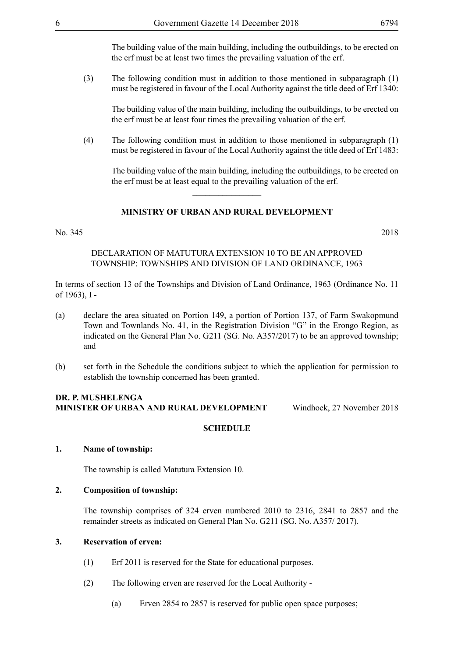The building value of the main building, including the outbuildings, to be erected on the erf must be at least two times the prevailing valuation of the erf.

(3) The following condition must in addition to those mentioned in subparagraph (1) must be registered in favour of the Local Authority against the title deed of Erf 1340:

The building value of the main building, including the outbuildings, to be erected on the erf must be at least four times the prevailing valuation of the erf.

(4) The following condition must in addition to those mentioned in subparagraph (1) must be registered in favour of the Local Authority against the title deed of Erf 1483:

The building value of the main building, including the outbuildings, to be erected on the erf must be at least equal to the prevailing valuation of the erf.

# **MINISTRY OF URBAN AND RURAL DEVELOPMENT**

 $\frac{1}{2}$ 

#### No. 345 2018

# DECLARATION OF MATUTURA EXTENSION 10 TO BE AN APPROVED TOWNSHIP: TOWNSHIPS AND DIVISION OF LAND ORDINANCE, 1963

In terms of section 13 of the Townships and Division of Land Ordinance, 1963 (Ordinance No. 11 of 1963), I -

- (a) declare the area situated on Portion 149, a portion of Portion 137, of Farm Swakopmund Town and Townlands No. 41, in the Registration Division "G" in the Erongo Region, as indicated on the General Plan No. G211 (SG. No. A357/2017) to be an approved township; and
- (b) set forth in the Schedule the conditions subject to which the application for permission to establish the township concerned has been granted.

#### **DR. P. Mushelenga Minister of Urban and Rural Development** Windhoek, 27 November 2018

# **SCHEDULE**

# **1. Name of township:**

The township is called Matutura Extension 10.

# **2. Composition of township:**

The township comprises of 324 erven numbered 2010 to 2316, 2841 to 2857 and the remainder streets as indicated on General Plan No. G211 (SG. No. A357/ 2017).

# **3. Reservation of erven:**

- (1) Erf 2011 is reserved for the State for educational purposes.
- (2) The following erven are reserved for the Local Authority
	- (a) Erven 2854 to 2857 is reserved for public open space purposes;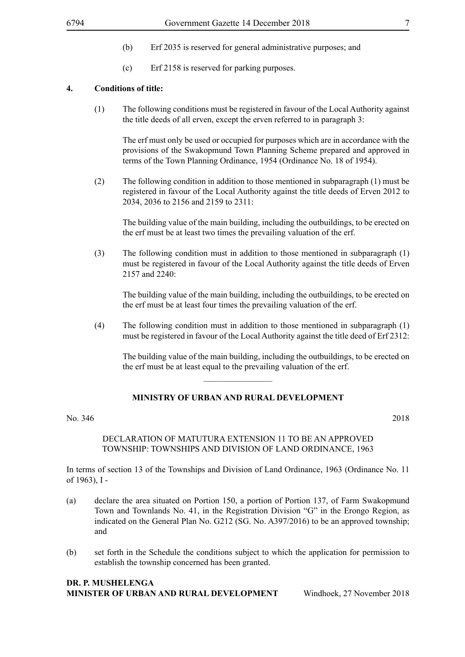- (b) Erf 2035 is reserved for general administrative purposes; and
- (c) Erf 2158 is reserved for parking purposes.

#### **4. Conditions of title:**

(1) The following conditions must be registered in favour of the Local Authority against the title deeds of all erven, except the erven referred to in paragraph 3:

The erf must only be used or occupied for purposes which are in accordance with the provisions of the Swakopmund Town Planning Scheme prepared and approved in terms of the Town Planning Ordinance, 1954 (Ordinance No. 18 of 1954).

(2) The following condition in addition to those mentioned in subparagraph (1) must be registered in favour of the Local Authority against the title deeds of Erven 2012 to 2034, 2036 to 2156 and 2159 to 2311:

The building value of the main building, including the outbuildings, to be erected on the erf must be at least two times the prevailing valuation of the erf.

(3) The following condition must in addition to those mentioned in subparagraph (1) must be registered in favour of the Local Authority against the title deeds of Erven 2157 and 2240:

The building value of the main building, including the outbuildings, to be erected on the erf must be at least four times the prevailing valuation of the erf.

(4) The following condition must in addition to those mentioned in subparagraph (1) must be registered in favour of the Local Authority against the title deed of Erf 2312:

The building value of the main building, including the outbuildings, to be erected on the erf must be at least equal to the prevailing valuation of the erf.

# **MINISTRY OF URBAN AND RURAL DEVELOPMENT**

 $\overline{\phantom{a}}$  , where  $\overline{\phantom{a}}$ 

#### No. 346 2018

#### DECLARATION OF MATUTURA EXTENSION 11 TO BE AN APPROVED TOWNSHIP: TOWNSHIPS AND DIVISION OF LAND ORDINANCE, 1963

In terms of section 13 of the Townships and Division of Land Ordinance, 1963 (Ordinance No. 11 of 1963), I -

- (a) declare the area situated on Portion 150, a portion of Portion 137, of Farm Swakopmund Town and Townlands No. 41, in the Registration Division "G" in the Erongo Region, as indicated on the General Plan No. G212 (SG. No. A397/2016) to be an approved township; and
- (b) set forth in the Schedule the conditions subject to which the application for permission to establish the township concerned has been granted.

#### **DR. P. Mushelenga Minister of Urban and Rural Development** Windhoek, 27 November 2018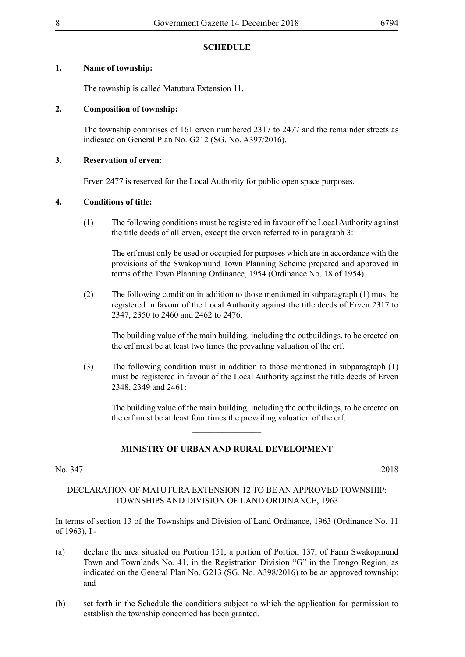# **SCHEDULE**

# **1. Name of township:**

The township is called Matutura Extension 11.

# **2. Composition of township:**

The township comprises of 161 erven numbered 2317 to 2477 and the remainder streets as indicated on General Plan No. G212 (SG. No. A397/2016).

# **3. Reservation of erven:**

Erven 2477 is reserved for the Local Authority for public open space purposes.

# **4. Conditions of title:**

(1) The following conditions must be registered in favour of the Local Authority against the title deeds of all erven, except the erven referred to in paragraph 3:

The erf must only be used or occupied for purposes which are in accordance with the provisions of the Swakopmund Town Planning Scheme prepared and approved in terms of the Town Planning Ordinance, 1954 (Ordinance No. 18 of 1954).

(2) The following condition in addition to those mentioned in subparagraph (1) must be registered in favour of the Local Authority against the title deeds of Erven 2317 to 2347, 2350 to 2460 and 2462 to 2476:

The building value of the main building, including the outbuildings, to be erected on the erf must be at least two times the prevailing valuation of the erf.

(3) The following condition must in addition to those mentioned in subparagraph (1) must be registered in favour of the Local Authority against the title deeds of Erven 2348, 2349 and 2461:

The building value of the main building, including the outbuildings, to be erected on the erf must be at least four times the prevailing valuation of the erf.

# **MINISTRY OF URBAN AND RURAL DEVELOPMENT**

 $\overline{\phantom{a}}$  , where  $\overline{\phantom{a}}$ 

# No. 347 2018

# DECLARATION OF MATUTURA EXTENSION 12 TO BE AN APPROVED TOWNSHIP: TOWNSHIPS AND DIVISION OF LAND ORDINANCE, 1963

In terms of section 13 of the Townships and Division of Land Ordinance, 1963 (Ordinance No. 11 of 1963), I -

- (a) declare the area situated on Portion 151, a portion of Portion 137, of Farm Swakopmund Town and Townlands No. 41, in the Registration Division "G" in the Erongo Region, as indicated on the General Plan No. G213 (SG. No. A398/2016) to be an approved township; and
- (b) set forth in the Schedule the conditions subject to which the application for permission to establish the township concerned has been granted.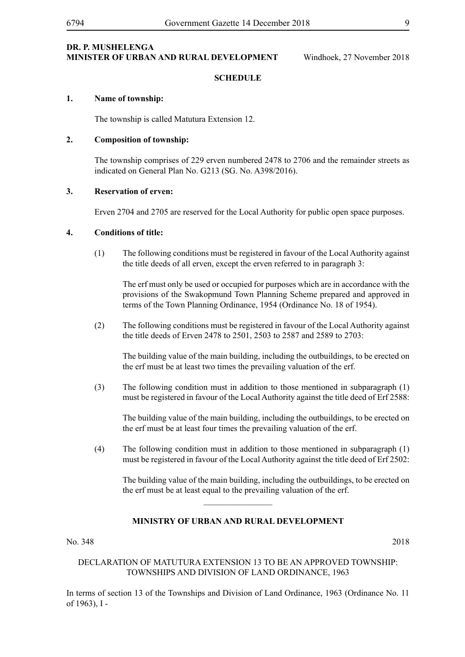# **SCHEDULE**

# **1. Name of township:**

The township is called Matutura Extension 12.

#### **2. Composition of township:**

The township comprises of 229 erven numbered 2478 to 2706 and the remainder streets as indicated on General Plan No. G213 (SG. No. A398/2016).

#### **3. Reservation of erven:**

Erven 2704 and 2705 are reserved for the Local Authority for public open space purposes.

#### **4. Conditions of title:**

(1) The following conditions must be registered in favour of the Local Authority against the title deeds of all erven, except the erven referred to in paragraph 3:

The erf must only be used or occupied for purposes which are in accordance with the provisions of the Swakopmund Town Planning Scheme prepared and approved in terms of the Town Planning Ordinance, 1954 (Ordinance No. 18 of 1954).

(2) The following conditions must be registered in favour of the Local Authority against the title deeds of Erven 2478 to 2501, 2503 to 2587 and 2589 to 2703:

The building value of the main building, including the outbuildings, to be erected on the erf must be at least two times the prevailing valuation of the erf.

(3) The following condition must in addition to those mentioned in subparagraph (1) must be registered in favour of the Local Authority against the title deed of Erf 2588:

The building value of the main building, including the outbuildings, to be erected on the erf must be at least four times the prevailing valuation of the erf.

(4) The following condition must in addition to those mentioned in subparagraph (1) must be registered in favour of the Local Authority against the title deed of Erf 2502:

The building value of the main building, including the outbuildings, to be erected on the erf must be at least equal to the prevailing valuation of the erf.

# **MINISTRY OF URBAN AND RURAL DEVELOPMENT**

 $\frac{1}{2}$ 

No. 348 2018

# DECLARATION OF MATUTURA EXTENSION 13 TO BE AN APPROVED TOWNSHIP: TOWNSHIPS AND DIVISION OF LAND ORDINANCE, 1963

In terms of section 13 of the Townships and Division of Land Ordinance, 1963 (Ordinance No. 11 of 1963), I -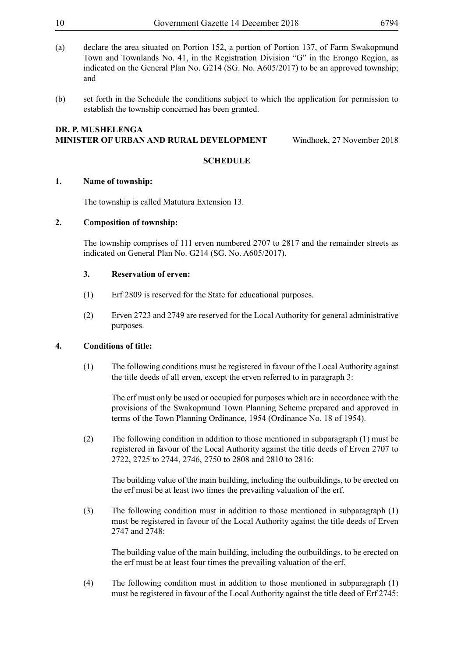- (a) declare the area situated on Portion 152, a portion of Portion 137, of Farm Swakopmund Town and Townlands No. 41, in the Registration Division "G" in the Erongo Region, as indicated on the General Plan No. G214 (SG. No. A605/2017) to be an approved township; and
- (b) set forth in the Schedule the conditions subject to which the application for permission to establish the township concerned has been granted.

#### **DR. P. Mushelenga Minister of Urban and Rural Development** Windhoek, 27 November 2018

# **SCHEDULE**

# **1. Name of township:**

The township is called Matutura Extension 13.

# **2. Composition of township:**

The township comprises of 111 erven numbered 2707 to 2817 and the remainder streets as indicated on General Plan No. G214 (SG. No. A605/2017).

# **3. Reservation of erven:**

- (1) Erf 2809 is reserved for the State for educational purposes.
- (2) Erven 2723 and 2749 are reserved for the Local Authority for general administrative purposes.

# **4. Conditions of title:**

(1) The following conditions must be registered in favour of the Local Authority against the title deeds of all erven, except the erven referred to in paragraph 3:

The erf must only be used or occupied for purposes which are in accordance with the provisions of the Swakopmund Town Planning Scheme prepared and approved in terms of the Town Planning Ordinance, 1954 (Ordinance No. 18 of 1954).

(2) The following condition in addition to those mentioned in subparagraph (1) must be registered in favour of the Local Authority against the title deeds of Erven 2707 to 2722, 2725 to 2744, 2746, 2750 to 2808 and 2810 to 2816:

The building value of the main building, including the outbuildings, to be erected on the erf must be at least two times the prevailing valuation of the erf.

(3) The following condition must in addition to those mentioned in subparagraph (1) must be registered in favour of the Local Authority against the title deeds of Erven 2747 and 2748:

The building value of the main building, including the outbuildings, to be erected on the erf must be at least four times the prevailing valuation of the erf.

(4) The following condition must in addition to those mentioned in subparagraph (1) must be registered in favour of the Local Authority against the title deed of Erf 2745: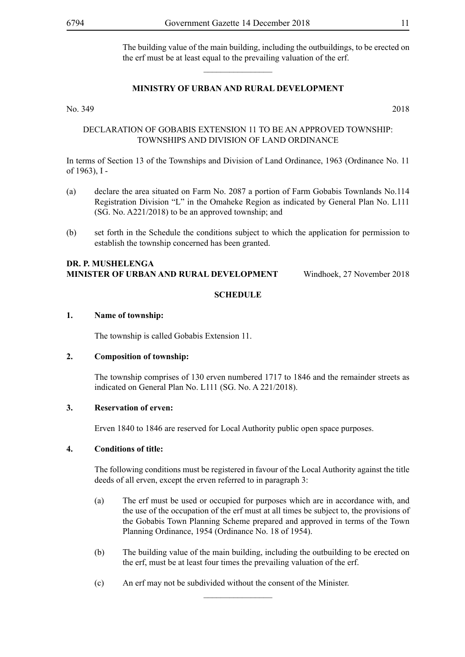The building value of the main building, including the outbuildings, to be erected on the erf must be at least equal to the prevailing valuation of the erf.

# **MINISTRY OF URBAN AND RURAL DEVELOPMENT**

 $\overline{\phantom{a}}$  , where  $\overline{\phantom{a}}$ 

No. 349 2018

# DECLARATION OF GOBABIS EXTENSION 11 TO BE AN APPROVED TOWNSHIP: TOWNSHIPS AND DIVISION OF LAND ORDINANCE

In terms of Section 13 of the Townships and Division of Land Ordinance, 1963 (Ordinance No. 11 of 1963), I -

- (a) declare the area situated on Farm No. 2087 a portion of Farm Gobabis Townlands No.114 Registration Division "L" in the Omaheke Region as indicated by General Plan No. L111 (SG. No. A221/2018) to be an approved township; and
- (b) set forth in the Schedule the conditions subject to which the application for permission to establish the township concerned has been granted.

# **DR. P. Mushelenga Minister of Urban and Rural Development** Windhoek, 27 November 2018

# **SCHEDULE**

# **1. Name of township:**

The township is called Gobabis Extension 11.

# **2. Composition of township:**

The township comprises of 130 erven numbered 1717 to 1846 and the remainder streets as indicated on General Plan No. L111 (SG. No. A 221/2018).

# **3. Reservation of erven:**

Erven 1840 to 1846 are reserved for Local Authority public open space purposes.

# **4. Conditions of title:**

The following conditions must be registered in favour of the Local Authority against the title deeds of all erven, except the erven referred to in paragraph 3:

- (a) The erf must be used or occupied for purposes which are in accordance with, and the use of the occupation of the erf must at all times be subject to, the provisions of the Gobabis Town Planning Scheme prepared and approved in terms of the Town Planning Ordinance, 1954 (Ordinance No. 18 of 1954).
- (b) The building value of the main building, including the outbuilding to be erected on the erf, must be at least four times the prevailing valuation of the erf.
- (c) An erf may not be subdivided without the consent of the Minister.

 $\frac{1}{2}$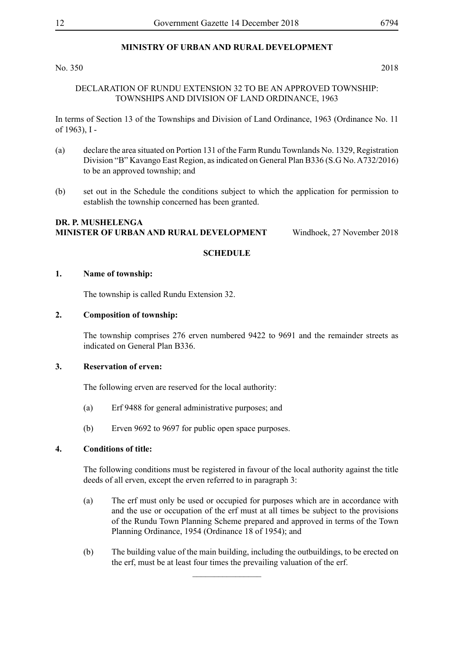# **MINISTRY OF URBAN AND RURAL DEVELOPMENT**

No. 350 2018

# DECLARATION OF RUNDU EXTENSION 32 TO BE AN APPROVED TOWNSHIP: TOWNSHIPS AND DIVISION OF LAND ORDINANCE, 1963

In terms of Section 13 of the Townships and Division of Land Ordinance, 1963 (Ordinance No. 11 of 1963), I -

- (a) declare the area situated on Portion 131 of the Farm Rundu Townlands No. 1329, Registration Division "B" Kavango East Region, as indicated on General Plan B336 (S.G No. A732/2016) to be an approved township; and
- (b) set out in the Schedule the conditions subject to which the application for permission to establish the township concerned has been granted.

# **DR. P. Mushelenga Minister of Urban and Rural Development** Windhoek, 27 November 2018

# **SCHEDULE**

#### **1. Name of township:**

The township is called Rundu Extension 32.

#### **2. Composition of township:**

The township comprises 276 erven numbered 9422 to 9691 and the remainder streets as indicated on General Plan B336.

#### **3. Reservation of erven:**

The following erven are reserved for the local authority:

- (a) Erf 9488 for general administrative purposes; and
- (b) Erven 9692 to 9697 for public open space purposes.

# **4. Conditions of title:**

The following conditions must be registered in favour of the local authority against the title deeds of all erven, except the erven referred to in paragraph 3:

- (a) The erf must only be used or occupied for purposes which are in accordance with and the use or occupation of the erf must at all times be subject to the provisions of the Rundu Town Planning Scheme prepared and approved in terms of the Town Planning Ordinance, 1954 (Ordinance 18 of 1954); and
- (b) The building value of the main building, including the outbuildings, to be erected on the erf, must be at least four times the prevailing valuation of the erf.

 $\frac{1}{2}$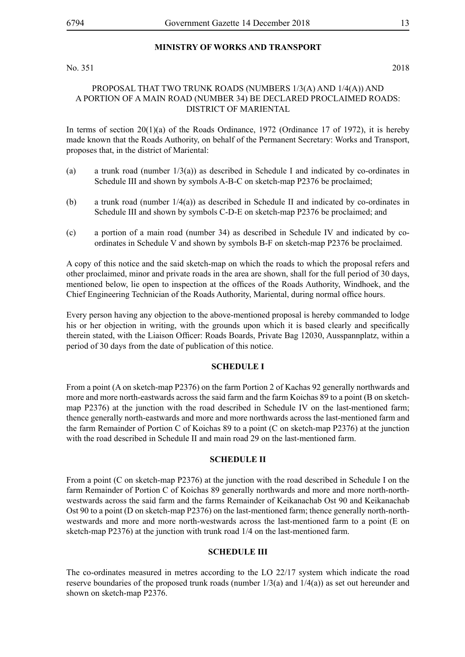# **MINISTRY OF WORKS AND TRANSPORT**

No. 351 2018

# PROPOSAL THAT TWO TRUNK ROADS (NUMBERS 1/3(A) AND 1/4(A)) AND A PORTION OF A MAIN ROAD (NUMBER 34) BE DECLARED PROCLAIMED ROADS: DISTRICT OF MARIENTAL

In terms of section  $20(1)(a)$  of the Roads Ordinance, 1972 (Ordinance 17 of 1972), it is hereby made known that the Roads Authority, on behalf of the Permanent Secretary: Works and Transport, proposes that, in the district of Mariental:

- (a) a trunk road (number  $1/3$ (a)) as described in Schedule I and indicated by co-ordinates in Schedule III and shown by symbols A-B-C on sketch-map P2376 be proclaimed;
- (b) a trunk road (number 1/4(a)) as described in Schedule II and indicated by co-ordinates in Schedule III and shown by symbols C-D-E on sketch-map P2376 be proclaimed; and
- (c) a portion of a main road (number 34) as described in Schedule IV and indicated by coordinates in Schedule V and shown by symbols B-F on sketch-map P2376 be proclaimed.

A copy of this notice and the said sketch-map on which the roads to which the proposal refers and other proclaimed, minor and private roads in the area are shown, shall for the full period of 30 days, mentioned below, lie open to inspection at the offices of the Roads Authority, Windhoek, and the Chief Engineering Technician of the Roads Authority, Mariental, during normal office hours.

Every person having any objection to the above-mentioned proposal is hereby commanded to lodge his or her objection in writing, with the grounds upon which it is based clearly and specifically therein stated, with the Liaison Officer: Roads Boards, Private Bag 12030, Ausspannplatz, within a period of 30 days from the date of publication of this notice.

# **SCHEDULE I**

From a point (A on sketch-map P2376) on the farm Portion 2 of Kachas 92 generally northwards and more and more north-eastwards across the said farm and the farm Koichas 89 to a point (B on sketchmap P2376) at the junction with the road described in Schedule IV on the last-mentioned farm; thence generally north-eastwards and more and more northwards across the last-mentioned farm and the farm Remainder of Portion C of Koichas 89 to a point (C on sketch-map P2376) at the junction with the road described in Schedule II and main road 29 on the last-mentioned farm.

#### **SCHEDULE II**

From a point (C on sketch-map P2376) at the junction with the road described in Schedule I on the farm Remainder of Portion C of Koichas 89 generally northwards and more and more north-northwestwards across the said farm and the farms Remainder of Keikanachab Ost 90 and Keikanachab Ost 90 to a point (D on sketch-map P2376) on the last-mentioned farm; thence generally north-northwestwards and more and more north-westwards across the last-mentioned farm to a point (E on sketch-map P2376) at the junction with trunk road 1/4 on the last-mentioned farm.

# **SCHEDULE III**

The co-ordinates measured in metres according to the LO 22/17 system which indicate the road reserve boundaries of the proposed trunk roads (number  $1/3$ (a) and  $1/4$ (a)) as set out hereunder and shown on sketch-map P2376.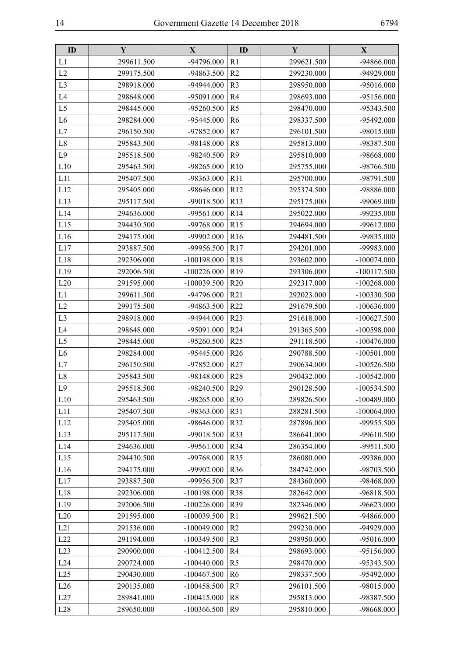| ID             | Y          | X             | ID              | Y          | $\mathbf{X}$  |
|----------------|------------|---------------|-----------------|------------|---------------|
| L1             | 299611.500 | -94796.000    | R <sub>1</sub>  | 299621.500 | -94866.000    |
| L2             | 299175.500 | -94863.500    | R <sub>2</sub>  | 299230.000 | -94929.000    |
| L <sub>3</sub> | 298918.000 | -94944.000    | R <sub>3</sub>  | 298950.000 | -95016.000    |
| L4             | 298648.000 | -95091.000    | R <sub>4</sub>  | 298693.000 | -95156.000    |
| L <sub>5</sub> | 298445.000 | -95260.500    | R <sub>5</sub>  | 298470.000 | -95343.500    |
| L <sub>6</sub> | 298284.000 | -95445.000    | R <sub>6</sub>  | 298337.500 | -95492.000    |
| L7             | 296150.500 | -97852.000    | R7              | 296101.500 | -98015.000    |
| L8             | 295843.500 | -98148.000    | R <sub>8</sub>  | 295813.000 | -98387.500    |
| L9             | 295518.500 | -98240.500    | R <sub>9</sub>  | 295810.000 | -98668.000    |
| L10            | 295463.500 | -98265.000    | R10             | 295755.000 | -98766.500    |
| L11            | 295407.500 | -98363.000    | R11             | 295700.000 | -98791.500    |
| L12            | 295405.000 | -98646.000    | R12             | 295374.500 | -98886.000    |
| L13            | 295117.500 | -99018.500    | R13             | 295175.000 | -99069.000    |
| L14            | 294636.000 | -99561.000    | R14             | 295022.000 | -99235.000    |
| L15            | 294430.500 | -99768.000    | R15             | 294694.000 | -99612.000    |
| L16            | 294175.000 | -99902.000    | R16             | 294481.500 | -99835.000    |
| L17            | 293887.500 | -99956.500    | R17             | 294201.000 | -99983.000    |
| L18            | 292306.000 | $-100198.000$ | R <sub>18</sub> | 293602.000 | $-100074.000$ |
| L19            | 292006.500 | $-100226.000$ | R <sub>19</sub> | 293306.000 | $-100117.500$ |
| L20            | 291595.000 | $-100039.500$ | R <sub>20</sub> | 292317.000 | $-100268.000$ |
| L1             | 299611.500 | -94796.000    | R21             | 292023.000 | $-100330.500$ |
| L2             | 299175.500 | -94863.500    | R22             | 291679.500 | $-100636.000$ |
| L <sub>3</sub> | 298918.000 | -94944.000    | R23             | 291618.000 | $-100627.500$ |
| L <sub>4</sub> | 298648.000 | -95091.000    | R <sub>24</sub> | 291365.500 | $-100598.000$ |
| L <sub>5</sub> | 298445.000 | -95260.500    | R25             | 291118.500 | $-100476.000$ |
| L <sub>6</sub> | 298284.000 | -95445.000    | R <sub>26</sub> | 290788.500 | $-100501.000$ |
| L7             | 296150.500 | -97852.000    | R27             | 290634.000 | $-100526.500$ |
| L8             | 295843.500 | -98148.000    | <b>R28</b>      | 290432.000 | $-100542.000$ |
| L9             | 295518.500 | -98240.500    | R29             | 290128.500 | $-100534.500$ |
| L10            | 295463.500 | -98265.000    | <b>R30</b>      | 289826.500 | $-100489.000$ |
| L11            | 295407.500 | -98363.000    | R31             | 288281.500 | $-100064.000$ |
| L12            | 295405.000 | -98646.000    | R32             | 287896.000 | -99955.500    |
| L13            | 295117.500 | -99018.500    | R33             | 286641.000 | -99610.500    |
| L14            | 294636.000 | -99561.000    | R34             | 286354.000 | -99511.500    |
| L15            | 294430.500 | -99768.000    | R35             | 286080.000 | -99386.000    |
| L16            | 294175.000 | -99902.000    | R36             | 284742.000 | -98703.500    |
| L17            | 293887.500 | -99956.500    | R37             | 284360.000 | -98468.000    |
| L18            | 292306.000 | $-100198.000$ | <b>R38</b>      | 282642.000 | -96818.500    |
| L19            | 292006.500 | $-100226.000$ | R39             | 282346.000 | $-96623.000$  |
| L20            | 291595.000 | $-100039.500$ | R <sub>1</sub>  | 299621.500 | -94866.000    |
| L21            | 291536.000 | $-100049.000$ | R <sub>2</sub>  | 299230.000 | -94929.000    |
| L22            | 291194.000 | $-100349.500$ | R <sub>3</sub>  | 298950.000 | -95016.000    |
| L23            | 290900.000 | $-100412.500$ | R <sub>4</sub>  | 298693.000 | -95156.000    |
| L24            | 290724.000 | $-100440.000$ | R <sub>5</sub>  | 298470.000 | -95343.500    |
| L25            | 290430.000 | $-100467.500$ | R <sub>6</sub>  | 298337.500 | -95492.000    |
| L26            | 290135.000 | $-100458.500$ | R7              | 296101.500 | -98015.000    |
| L27            | 289841.000 | $-100415.000$ | R <sub>8</sub>  | 295813.000 | -98387.500    |
| L28            | 289650.000 | $-100366.500$ | R <sub>9</sub>  | 295810.000 | -98668.000    |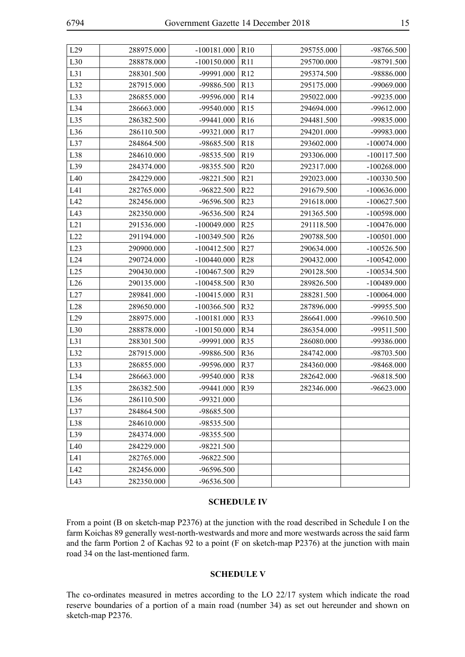| L29 | 288975.000 | $-100181.000$ | R <sub>10</sub> | 295755.000 | -98766.500    |
|-----|------------|---------------|-----------------|------------|---------------|
| L30 | 288878.000 | $-100150.000$ | R11             | 295700.000 | -98791.500    |
| L31 | 288301.500 | -99991.000    | R12             | 295374.500 | -98886.000    |
| L32 | 287915.000 | -99886.500    | R13             | 295175.000 | -99069.000    |
| L33 | 286855.000 | -99596.000    | R14             | 295022.000 | -99235.000    |
| L34 | 286663.000 | -99540.000    | R15             | 294694.000 | -99612.000    |
| L35 | 286382.500 | -99441.000    | R <sub>16</sub> | 294481.500 | -99835.000    |
| L36 | 286110.500 | -99321.000    | R17             | 294201.000 | -99983.000    |
| L37 | 284864.500 | -98685.500    | R18             | 293602.000 | $-100074.000$ |
| L38 | 284610.000 | -98535.500    | R <sub>19</sub> | 293306.000 | $-100117.500$ |
| L39 | 284374.000 | -98355.500    | R <sub>20</sub> | 292317.000 | $-100268.000$ |
| L40 | 284229.000 | -98221.500    | R21             | 292023.000 | $-100330.500$ |
| L41 | 282765.000 | -96822.500    | R <sub>22</sub> | 291679.500 | $-100636.000$ |
| L42 | 282456.000 | -96596.500    | R23             | 291618.000 | $-100627.500$ |
| L43 | 282350.000 | -96536.500    | R <sub>24</sub> | 291365.500 | $-100598.000$ |
| L21 | 291536.000 | $-100049.000$ | R25             | 291118.500 | $-100476.000$ |
| L22 | 291194.000 | $-100349.500$ | R <sub>26</sub> | 290788.500 | $-100501.000$ |
| L23 | 290900.000 | $-100412.500$ | R27             | 290634.000 | $-100526.500$ |
| L24 | 290724.000 | $-100440.000$ | <b>R28</b>      | 290432.000 | $-100542.000$ |
| L25 | 290430.000 | $-100467.500$ | R29             | 290128.500 | $-100534.500$ |
| L26 | 290135.000 | $-100458.500$ | R30             | 289826.500 | $-100489.000$ |
| L27 | 289841.000 | $-100415.000$ | R31             | 288281.500 | $-100064.000$ |
| L28 | 289650.000 | $-100366.500$ | R32             | 287896.000 | -99955.500    |
| L29 | 288975.000 | $-100181.000$ | <b>R33</b>      | 286641.000 | -99610.500    |
| L30 | 288878.000 | $-100150.000$ | R34             | 286354.000 | -99511.500    |
| L31 | 288301.500 | -99991.000    | R35             | 286080.000 | -99386.000    |
| L32 | 287915.000 | -99886.500    | R36             | 284742.000 | -98703.500    |
| L33 | 286855.000 | -99596.000    | R37             | 284360.000 | -98468.000    |
| L34 | 286663.000 | -99540.000    | <b>R38</b>      | 282642.000 | -96818.500    |
| L35 | 286382.500 | -99441.000    | R39             | 282346.000 | $-96623.000$  |
| L36 | 286110.500 | -99321.000    |                 |            |               |
| L37 | 284864.500 | -98685.500    |                 |            |               |
| L38 | 284610.000 | -98535.500    |                 |            |               |
| L39 | 284374.000 | -98355.500    |                 |            |               |
| L40 | 284229.000 | -98221.500    |                 |            |               |
| L41 | 282765.000 | -96822.500    |                 |            |               |
| L42 | 282456.000 | -96596.500    |                 |            |               |
| L43 | 282350.000 | -96536.500    |                 |            |               |

#### **SCHEDULE IV**

From a point (B on sketch-map P2376) at the junction with the road described in Schedule I on the farm Koichas 89 generally west-north-westwards and more and more westwards across the said farm and the farm Portion 2 of Kachas 92 to a point (F on sketch-map P2376) at the junction with main road 34 on the last-mentioned farm.

#### **SCHEDULE V**

The co-ordinates measured in metres according to the LO 22/17 system which indicate the road reserve boundaries of a portion of a main road (number 34) as set out hereunder and shown on sketch-map P2376.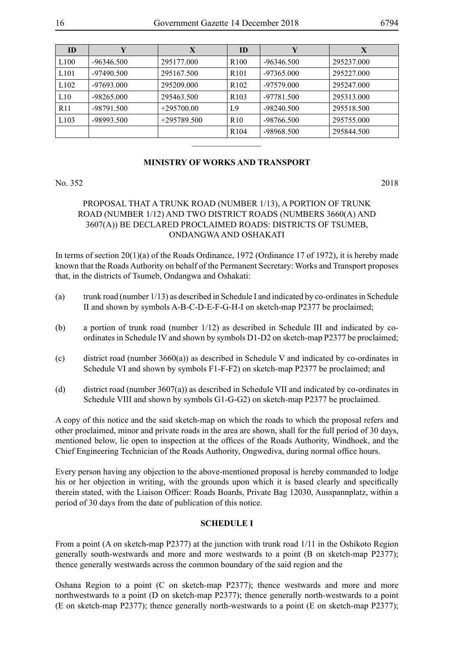| ID               | Y            | X             | ID               | Y            | X          |
|------------------|--------------|---------------|------------------|--------------|------------|
| L100             | $-96346.500$ | 295177.000    | R <sub>100</sub> | -96346.500   | 295237.000 |
| L <sub>101</sub> | $-97490.500$ | 295167.500    | R <sub>101</sub> | $-97365.000$ | 295227.000 |
| L <sub>102</sub> | $-97693.000$ | 295209.000    | R <sub>102</sub> | $-97579.000$ | 295247.000 |
| L10              | -98265.000   | 295463.500    | R <sub>103</sub> | -97781.500   | 295313.000 |
| R <sub>11</sub>  | -98791.500   | $+295700.00$  | L <sub>9</sub>   | $-98240.500$ | 295518.500 |
| L <sub>103</sub> | -98993.500   | $+295789.500$ | R <sub>10</sub>  | -98766.500   | 295755.000 |
|                  |              |               | R <sub>104</sub> | -98968.500   | 295844.500 |
|                  |              |               |                  |              |            |

# **MINISTRY OF WORKS AND TRANSPORT**

No. 352 2018

# PROPOSAL THAT A TRUNK ROAD (NUMBER 1/13), A PORTION OF TRUNK ROAD (NUMBER 1/12) AND TWO DISTRICT ROADS (NUMBERS 3660(A) AND 3607(A)) BE DECLARED PROCLAIMED ROADS: DISTRICTS OF TSUMEB, ONDANGWA AND OSHAKATI

In terms of section 20(1)(a) of the Roads Ordinance, 1972 (Ordinance 17 of 1972), it is hereby made known that the Roads Authority on behalf of the Permanent Secretary: Works and Transport proposes that, in the districts of Tsumeb, Ondangwa and Oshakati:

- (a) trunk road (number 1/13) as described in Schedule I and indicated by co-ordinates in Schedule II and shown by symbols A-B-C-D-E-F-G-H-I on sketch-map P2377 be proclaimed;
- (b) a portion of trunk road (number 1/12) as described in Schedule III and indicated by coordinates in Schedule IV and shown by symbols D1-D2 on sketch-map P2377 be proclaimed;
- (c) district road (number 3660(a)) as described in Schedule V and indicated by co-ordinates in Schedule VI and shown by symbols F1-F-F2) on sketch-map P2377 be proclaimed; and
- (d) district road (number 3607(a)) as described in Schedule VII and indicated by co-ordinates in Schedule VIII and shown by symbols G1-G-G2) on sketch-map P2377 be proclaimed.

A copy of this notice and the said sketch-map on which the roads to which the proposal refers and other proclaimed, minor and private roads in the area are shown, shall for the full period of 30 days, mentioned below, lie open to inspection at the offices of the Roads Authority, Windhoek, and the Chief Engineering Technician of the Roads Authority, Ongwediva, during normal office hours.

Every person having any objection to the above-mentioned proposal is hereby commanded to lodge his or her objection in writing, with the grounds upon which it is based clearly and specifically therein stated, with the Liaison Officer: Roads Boards, Private Bag 12030, Ausspannplatz, within a period of 30 days from the date of publication of this notice.

# **SCHEDULE I**

From a point (A on sketch-map P2377) at the junction with trunk road 1/11 in the Oshikoto Region generally south-westwards and more and more westwards to a point (B on sketch-map P2377); thence generally westwards across the common boundary of the said region and the

Oshana Region to a point (C on sketch-map P2377); thence westwards and more and more northwestwards to a point (D on sketch-map P2377); thence generally north-westwards to a point (E on sketch-map P2377); thence generally north-westwards to a point (E on sketch-map P2377);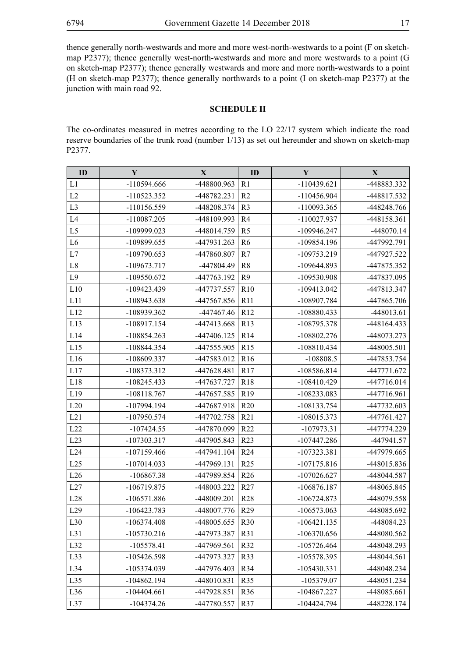thence generally north-westwards and more and more west-north-westwards to a point (F on sketchmap P2377); thence generally west-north-westwards and more and more westwards to a point (G on sketch-map P2377); thence generally westwards and more and more north-westwards to a point (H on sketch-map P2377); thence generally northwards to a point (I on sketch-map P2377) at the junction with main road 92.

# **SCHEDULE II**

The co-ordinates measured in metres according to the LO 22/17 system which indicate the road reserve boundaries of the trunk road (number 1/13) as set out hereunder and shown on sketch-map P2377.

| ID             | Y             | $\mathbf{X}$ | ID              | Y             | X            |
|----------------|---------------|--------------|-----------------|---------------|--------------|
| L1             | -110594.666   | -448800.963  | R <sub>1</sub>  | $-110439.621$ | -448883.332  |
| L2             | -110523.352   | -448782.231  | R <sub>2</sub>  | $-110456.904$ | -448817.532  |
| L <sub>3</sub> | -110156.559   | -448208.374  | R <sub>3</sub>  | $-110093.365$ | -448248.766  |
| L4             | $-110087.205$ | -448109.993  | R4              | -110027.937   | -448158.361  |
| L <sub>5</sub> | -109999.023   | -448014.759  | R <sub>5</sub>  | -109946.247   | $-448070.14$ |
| L <sub>6</sub> | -109899.655   | -447931.263  | R <sub>6</sub>  | -109854.196   | -447992.791  |
| L7             | $-109790.653$ | -447860.807  | R7              | $-109753.219$ | -447927.522  |
| $\rm L8$       | -109673.717   | -447804.49   | R <sub>8</sub>  | -109644.893   | -447875.352  |
| L <sub>9</sub> | $-109550.672$ | -447763.192  | R <sub>9</sub>  | -109530.908   | -447837.095  |
| L10            | $-109423.439$ | -447737.557  | R10             | $-109413.042$ | -447813.347  |
| L11            | -108943.638   | -447567.856  | R11             | -108907.784   | -447865.706  |
| L12            | -108939.362   | -447467.46   | R12             | -108880.433   | -448013.61   |
| L13            | -108917.154   | -447413.668  | R13             | -108795.378   | -448164.433  |
| L14            | $-108854.263$ | -447406.125  | R14             | $-108802.276$ | -448073.273  |
| L15            | -108844.354   | -447555.905  | R15             | $-108810.434$ | -448005.501  |
| L16            | -108609.337   | -447583.012  | R <sub>16</sub> | $-108808.5$   | -447853.754  |
| L17            | -108373.312   | -447628.481  | R17             | -108586.814   | -447771.672  |
| L18            | $-108245.433$ | -447637.727  | <b>R18</b>      | $-108410.429$ | -447716.014  |
| L19            | $-108118.767$ | -447657.585  | R19             | -108233.083   | -447716.961  |
| L20            | -107994.194   | -447687.918  | R <sub>20</sub> | -108133.754   | -447732.603  |
| L21            | $-107950.574$ | -447702.758  | R21             | -108015.373   | -447761.427  |
| L22            | $-107424.55$  | -447870.099  | R22             | $-107973.31$  | -447774.229  |
| L23            | $-107303.317$ | -447905.843  | R23             | $-107447.286$ | -447941.57   |
| L24            | $-107159.466$ | -447941.104  | R <sub>24</sub> | -107323.381   | -447979.665  |
| L25            | $-107014.033$ | -447969.131  | R25             | $-107175.816$ | -448015.836  |
| L26            | $-106867.38$  | -447989.854  | R <sub>26</sub> | $-107026.627$ | -448044.587  |
| L27            | $-106719.875$ | -448003.222  | R27             | $-106876.187$ | -448065.845  |
| L28            | $-106571.886$ | -448009.201  | <b>R28</b>      | $-106724.873$ | -448079.558  |
| L29            | $-106423.783$ | -448007.776  | R <sub>29</sub> | $-106573.063$ | -448085.692  |
| L30            | $-106374.408$ | -448005.655  | <b>R30</b>      | $-106421.135$ | -448084.23   |
| L31            | $-105730.216$ | -447973.387  | R31             | $-106370.656$ | -448080.562  |
| L32            | $-105578.41$  | -447969.561  | R32             | $-105726.464$ | -448048.293  |
| L33            | $-105426.598$ | -447973.327  | R33             | -105578.395   | -448044.561  |
| L34            | -105374.039   | -447976.403  | R34             | $-105430.331$ | -448048.234  |
| L35            | $-104862.194$ | -448010.831  | R35             | -105379.07    | -448051.234  |
| L36            | $-104404.661$ | -447928.851  | R36             | $-104867.227$ | -448085.661  |
| L37            | $-104374.26$  | -447780.557  | R37             | $-104424.794$ | -448228.174  |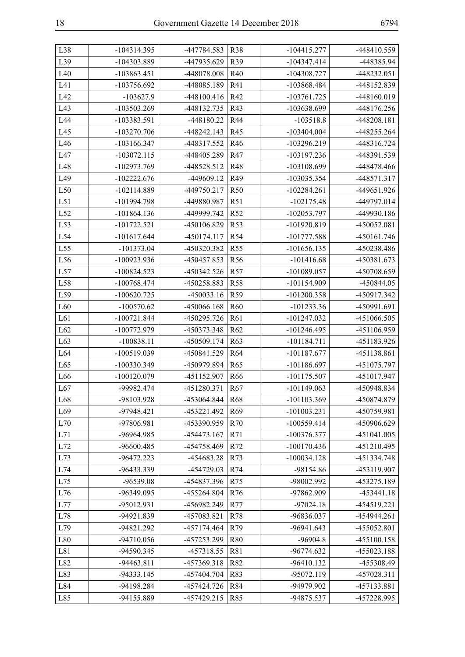| L38 | $-104314.395$ | -447784.583  | <b>R38</b>      | $-104415.277$ | -448410.559  |
|-----|---------------|--------------|-----------------|---------------|--------------|
| L39 | -104303.889   | -447935.629  | R39             | $-104347.414$ | -448385.94   |
| L40 | $-103863.451$ | -448078.008  | R40             | $-104308.727$ | -448232.051  |
| L41 | -103756.692   | -448085.189  | R41             | -103868.484   | -448152.839  |
| L42 | $-103627.9$   | -448100.416  | R42             | -103761.725   | -448160.019  |
| L43 | -103503.269   | -448132.735  | R43             | -103638.699   | -448176.256  |
| L44 | -103383.591   | -448180.22   | R44             | $-103518.8$   | -448208.181  |
| L45 | -103270.706   | -448242.143  | R45             | $-103404.004$ | -448255.264  |
| L46 | -103166.347   | -448317.552  | R46             | -103296.219   | -448316.724  |
| L47 | $-103072.115$ | -448405.289  | R47             | -103197.236   | -448391.539  |
| L48 | -102973.769   | -448528.512  | R48             | -103108.699   | -448478.466  |
| L49 | $-102222.676$ | -449609.12   | R49             | -103035.354   | -448571.317  |
| L50 | $-102114.889$ | -449750.217  | R <sub>50</sub> | $-102284.261$ | -449651.926  |
| L51 | -101994.798   | -449880.987  | R51             | $-102175.48$  | -449797.014  |
| L52 | $-101864.136$ | -449999.742  | R52             | $-102053.797$ | -449930.186  |
| L53 | $-101722.521$ | -450106.829  | <b>R53</b>      | -101920.819   | -450052.081  |
| L54 | $-101617.644$ | -450174.117  | R <sub>54</sub> | $-101777.588$ | -450161.746  |
| L55 | $-101373.04$  | -450320.382  | <b>R55</b>      | $-101656.135$ | -450238.486  |
| L56 | -100923.936   | -450457.853  | R <sub>56</sub> | $-101416.68$  | -450381.673  |
| L57 | $-100824.523$ | -450342.526  | R57             | -101089.057   | -450708.659  |
| L58 | $-100768.474$ | -450258.883  | <b>R58</b>      | -101154.909   | -450844.05   |
| L59 | $-100620.725$ | $-450033.16$ | R59             | $-101200.358$ | -450917.342  |
| L60 | $-100570.62$  | -450066.168  | R <sub>60</sub> | $-101233.36$  | -450991.691  |
| L61 | $-100721.844$ | -450295.726  | R61             | $-101247.032$ | -451066.505  |
| L62 | -100772.979   | -450373.348  | R <sub>62</sub> | $-101246.495$ | -451106.959  |
| L63 | $-100838.11$  | -450509.174  | R63             | $-101184.711$ | -451183.926  |
| L64 | -100519.039   | -450841.529  | R64             | -101187.677   | -451138.861  |
| L65 | -100330.349   | -450979.894  | R <sub>65</sub> | $-101186.697$ | -451075.797  |
| L66 | $-100120.079$ | -451152.907  | R <sub>66</sub> | $-101175.507$ | -451017.947  |
| L67 | -99982.474    | -451280.371  | R <sub>67</sub> | $-101149.063$ | -450948.834  |
| L68 | -98103.928    | -453064.844  | <b>R68</b>      | -101103.369   | -450874.879  |
| L69 | -97948.421    | -453221.492  | R69             | $-101003.231$ | -450759.981  |
| L70 | -97806.981    | -453390.959  | R70             | $-100559.414$ | -450906.629  |
| L71 | -96964.985    | -454473.167  | R71             | $-100376.377$ | -451041.005  |
| L72 | -96600.485    | -454758.469  | R72             | $-100170.436$ | -451210.495  |
| L73 | -96472.223    | -454683.28   | R73             | $-100034.128$ | -451334.748  |
| L74 | -96433.339    | -454729.03   | R74             | -98154.86     | -453119.907  |
| L75 | -96539.08     | -454837.396  | R75             | -98002.992    | -453275.189  |
| L76 | -96349.095    | -455264.804  | R76             | -97862.909    | $-453441.18$ |
| L77 | -95012.931    | -456982.249  | R77             | $-97024.18$   | -454519.221  |
| L78 | -94921.839    | -457083.821  | R78             | -96836.037    | -454944.261  |
| L79 | -94821.292    | -457174.464  | R79             | -96941.643    | -455052.801  |
| L80 | -94710.056    | -457253.299  | <b>R80</b>      | $-96904.8$    | -455100.158  |
| L81 | -94590.345    | -457318.55   | R81             | -96774.632    | -455023.188  |
| L82 | -94463.811    | -457369.318  | R82             | $-96410.132$  | -455308.49   |
| L83 | -94333.145    | -457404.704  | R83             | -95072.119    | -457028.311  |
| L84 | -94198.284    | -457424.726  | R84             | -94979.902    | -457133.881  |
| L85 | -94155.889    | -457429.215  | R85             | -94875.537    | -457228.995  |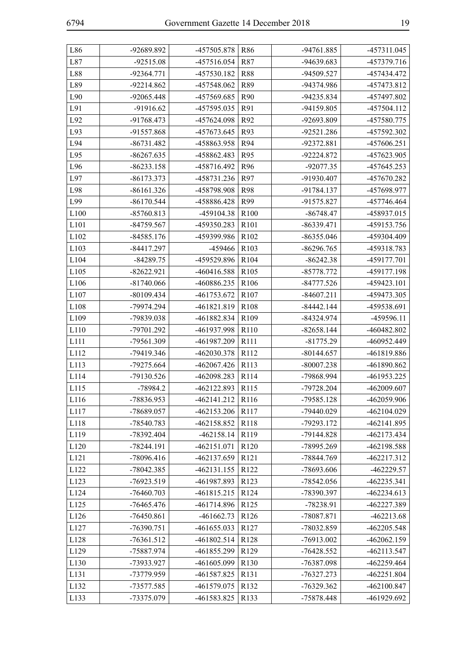| ×<br>I<br>I<br>I<br>۰.<br>v |
|-----------------------------|
|                             |

| L86              | -92689.892   | -457505.878   | R86              | -94761.885   | -457311.045   |
|------------------|--------------|---------------|------------------|--------------|---------------|
| L87              | $-92515.08$  | -457516.054   | R87              | -94639.683   | -457379.716   |
| L88              | -92364.771   | -457530.182   | <b>R88</b>       | -94509.527   | -457434.472   |
| L89              | -92214.862   | -457548.062   | R89              | -94374.986   | -457473.812   |
| L90              | $-92065.448$ | -457569.685   | R90              | -94235.834   | -457497.802   |
| L91              | -91916.62    | -457595.035   | R91              | -94159.805   | -457504.112   |
| L92              | -91768.473   | -457624.098   | R92              | -92693.809   | -457580.775   |
| L93              | -91557.868   | -457673.645   | R93              | -92521.286   | -457592.302   |
| L94              | $-86731.482$ | -458863.958   | R94              | -92372.881   | -457606.251   |
| L95              | $-86267.635$ | -458862.483   | R95              | -92224.872   | -457623.905   |
| L96              | $-86233.158$ | -458716.492   | R96              | -92077.35    | -457645.253   |
| L97              | -86173.373   | -458731.236   | R97              | -91930.407   | -457670.282   |
| L98              | $-86161.326$ | -458798.908   | R98              | $-91784.137$ | -457698.977   |
| L99              | $-86170.544$ | -458886.428   | R99              | -91575.827   | -457746.464   |
| L <sub>100</sub> | $-85760.813$ | -459104.38    | R <sub>100</sub> | $-86748.47$  | -458937.015   |
| L101             | -84759.567   | -459350.283   | R101             | -86339.471   | -459153.756   |
| L102             | $-84585.176$ | -459399.986   | R <sub>102</sub> | $-86355.046$ | -459304.409   |
| L103             | $-84417.297$ | -459466       | R <sub>103</sub> | $-86296.765$ | -459318.783   |
| L104             | $-84289.75$  | -459529.896   | R <sub>104</sub> | $-86242.38$  | -459177.701   |
| L105             | $-82622.921$ | -460416.588   | R105             | $-85778.772$ | -459177.198   |
| L106             | $-81740.066$ | -460886.235   | R106             | -84777.526   | -459423.101   |
| L107             | $-80109.434$ | -461753.672   | R107             | $-84607.211$ | -459473.305   |
| L108             | -79974.294   | -461821.819   | R <sub>108</sub> | $-84442.144$ | -459538.691   |
| L109             | -79839.038   | -461882.834   | R109             | -84324.974   | -459596.11    |
| L110             | -79701.292   | -461937.998   | R110             | $-82658.144$ | -460482.802   |
| L111             | -79561.309   | -461987.209   | R111             | $-81775.29$  | -460952.449   |
| L112             | -79419.346   | -462030.378   | R112             | $-80144.657$ | -461819.886   |
| L113             | -79275.664   | $-462067.426$ | R113             | $-80007.238$ | -461890.862   |
| L114             | -79130.526   | -462098.283   | R114             | -79868.994   | -461953.225   |
| L115             | -78984.2     | -462122.893   | R115             | -79728.204   | -462009.607   |
| L116             | -78836.953   | $-462141.212$ | R <sub>116</sub> | -79585.128   | -462059.906   |
| L117             | -78689.057   | -462153.206   | R117             | -79440.029   | -462104.029   |
| L118             | -78540.783   | -462158.852   | R118             | -79293.172   | -462141.895   |
| L119             | -78392.404   | $-462158.14$  | R119             | -79144.828   | -462173.434   |
| L120             | -78244.191   | -462151.071   | R120             | -78995.269   | -462198.588   |
| L121             | -78096.416   | -462137.659   | R121             | -78844.769   | -462217.312   |
| L122             | -78042.385   | -462131.155   | R122             | -78693.606   | -462229.57    |
| L123             | -76923.519   | -461987.893   | R123             | -78542.056   | -462235.341   |
| L124             | $-76460.703$ | -461815.215   | R124             | -78390.397   | -462234.613   |
| L125             | $-76465.476$ | -461714.896   | R125             | -78238.91    | -462227.389   |
| L126             | -76450.861   | $-461662.73$  | R126             | -78087.871   | -462213.68    |
| L127             | -76390.751   | -461655.033   | R127             | -78032.859   | -462205.548   |
| L128             | -76361.512   | -461802.514   | R128             | -76913.002   | -462062.159   |
| L129             | -75887.974   | -461855.299   | R129             | $-76428.552$ | -462113.547   |
| L130             | -73933.927   | -461605.099   | R130             | -76387.098   | -462259.464   |
| L131             | -73779.959   | -461587.825   | R131             | -76327.273   | $-462251.804$ |
| L132             | -73577.585   | -461579.075   | R132             | -76329.362   | -462100.847   |
| L133             | -73375.079   | -461583.825   | R133             | -75878.448   | -461929.692   |
|                  |              |               |                  |              |               |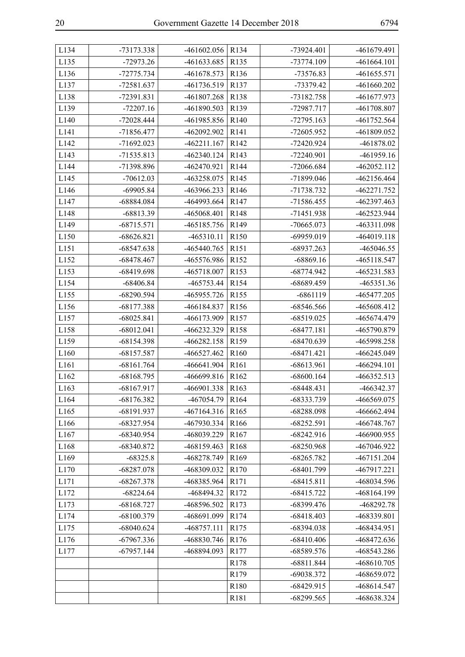| L134 | -73173.338   | -461602.056   | R <sub>134</sub> | -73924.401   | -461679.491   |
|------|--------------|---------------|------------------|--------------|---------------|
| L135 | $-72973.26$  | -461633.685   | R135             | -73774.109   | $-461664.101$ |
| L136 | -72775.734   | -461678.573   | R136             | -73576.83    | -461655.571   |
| L137 | -72581.637   | -461736.519   | R <sub>137</sub> | -73379.42    | -461660.202   |
| L138 | -72391.831   | -461807.268   | R <sub>138</sub> | -73182.758   | -461677.973   |
| L139 | $-72207.16$  | -461890.503   | R139             | -72987.717   | -461708.807   |
| L140 | -72028.444   | -461985.856   | R <sub>140</sub> | $-72795.163$ | -461752.564   |
| L141 | -71856.477   | -462092.902   | R141             | -72605.952   | -461809.052   |
| L142 | -71692.023   | -462211.167   | R <sub>142</sub> | $-72420.924$ | -461878.02    |
| L143 | -71535.813   | $-462340.124$ | R <sub>143</sub> | -72240.901   | $-461959.16$  |
| L144 | -71398.896   | -462470.921   | R <sub>144</sub> | -72066.684   | $-462052.112$ |
| L145 | $-70612.03$  | -463258.075   | R <sub>145</sub> | -71899.046   | -462156.464   |
| L146 | $-69905.84$  | -463966.233   | R <sub>146</sub> | -71738.732   | -462271.752   |
| L147 | -68884.084   | -464993.664   | R <sub>147</sub> | -71586.455   | -462397.463   |
| L148 | -68813.39    | -465068.401   | R148             | -71451.938   | -462523.944   |
| L149 | $-68715.571$ | -465185.756   | R149             | $-70665.073$ | -463311.098   |
| L150 | $-68626.821$ | $-465310.11$  | R <sub>150</sub> | -69959.019   | -464019.118   |
| L151 | $-68547.638$ | -465440.765   | R151             | -68937.263   | -465046.55    |
| L152 | $-68478.467$ | -465576.986   | R152             | $-68869.16$  | -465118.547   |
| L153 | $-68419.698$ | -465718.007   | R153             | -68774.942   | -465231.583   |
| L154 | $-68406.84$  | -465753.44    | R154             | -68689.459   | -465351.36    |
| L155 | $-68290.594$ | -465955.726   | R155             | $-6861119$   | -465477.205   |
| L156 | -68177.388   | -466184.837   | R156             | -68546.566   | -465608.412   |
| L157 | $-68025.841$ | -466173.909   | R <sub>157</sub> | $-68519.025$ | -465674.479   |
| L158 | $-68012.041$ | -466232.329   | R <sub>158</sub> | $-68477.181$ | -465790.879   |
| L159 | -68154.398   | -466282.158   | R159             | -68470.639   | -465998.258   |
| L160 | $-68157.587$ | -466527.462   | R <sub>160</sub> | $-68471.421$ | -466245.049   |
| L161 | $-68161.764$ | -466641.904   | R <sub>161</sub> | $-68613.961$ | -466294.101   |
| L162 | $-68168.795$ | -466699.816   | R <sub>162</sub> | $-68600.164$ | -466352.513   |
| L163 | -68167.917   | -466901.338   | R163             | $-68448.431$ | -466342.37    |
| L164 | -68176.382   | -467054.79    | R164             | -68333.739   | -466569.075   |
| L165 | -68191.937   | -467164.316   | R165             | $-68288.098$ | -466662.494   |
| L166 | $-68327.954$ | -467930.334   | R166             | $-68252.591$ | -466748.767   |
| L167 | -68340.954   | -468039.229   | R167             | $-68242.916$ | -466900.955   |
| L168 | -68340.872   | -468159.463   | R168             | $-68250.968$ | -467046.922   |
| L169 | $-68325.8$   | -468278.749   | R169             | $-68265.782$ | -467151.204   |
| L170 | $-68287.078$ | -468309.032   | R170             | -68401.799   | -467917.221   |
| L171 | $-68267.378$ | -468385.964   | R171             | $-68415.811$ | -468034.596   |
| L172 | $-68224.64$  | -468494.32    | R172             | $-68415.722$ | -468164.199   |
| L173 | $-68168.727$ | -468596.502   | R173             | -68399.476   | -468292.78    |
| L174 | -68100.379   | -468691.099   | R174             | $-68418.403$ | -468339.801   |
| L175 | $-68040.624$ | -468757.111   | R175             | -68394.038   | -468434.951   |
| L176 | -67967.336   | -468830.746   | R176             | $-68410.406$ | -468472.636   |
| L177 | $-67957.144$ | -468894.093   | R177             | -68589.576   | -468543.286   |
|      |              |               | R178             | $-68811.844$ | -468610.705   |
|      |              |               | R179             | -69038.372   | -468659.072   |
|      |              |               | R180             | $-68429.915$ | -468614.547   |
|      |              |               | R181             | $-68299.565$ | -468638.324   |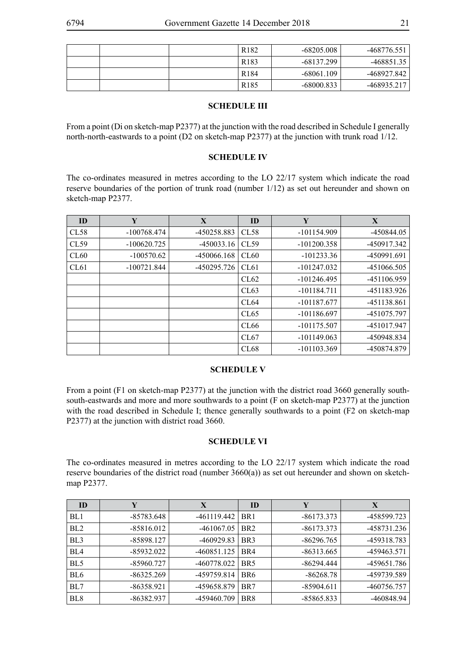|  | R <sub>182</sub> | -68205.008   | -468776.551 |
|--|------------------|--------------|-------------|
|  | R <sub>183</sub> | -68137.299   | -468851.35  |
|  | R <sub>184</sub> | $-68061.109$ | -468927.842 |
|  | R <sub>185</sub> | -68000.833   | -468935.217 |

# **SCHEDULE III**

From a point (Di on sketch-map P2377) at the junction with the road described in Schedule I generally north-north-eastwards to a point (D2 on sketch-map P2377) at the junction with trunk road 1/12.

# **SCHEDULE IV**

The co-ordinates measured in metres according to the LO 22/17 system which indicate the road reserve boundaries of the portion of trunk road (number 1/12) as set out hereunder and shown on sketch-map P2377.

| ID   | Y             | X            | ID               | Y             | X           |
|------|---------------|--------------|------------------|---------------|-------------|
| CL58 | $-100768.474$ | -450258.883  | CL58             | $-101154.909$ | -450844.05  |
| CL59 | $-100620.725$ | $-450033.16$ | CL59             | $-101200.358$ | -450917.342 |
| CL60 | $-100570.62$  | -450066.168  | CL60             | $-101233.36$  | -450991.691 |
| CL61 | $-100721.844$ | -450295.726  | CL61             | $-101247.032$ | -451066.505 |
|      |               |              | CL62             | $-101246.495$ | -451106.959 |
|      |               |              | CL63             | $-101184.711$ | -451183.926 |
|      |               |              | CL <sub>64</sub> | -101187.677   | -451138.861 |
|      |               |              | CL65             | $-101186.697$ | -451075.797 |
|      |               |              | CL <sub>66</sub> | $-101175.507$ | -451017.947 |
|      |               |              | CL67             | $-101149.063$ | -450948.834 |
|      |               |              | CL68             | $-101103.369$ | -450874.879 |

# **SCHEDULE V**

From a point (F1 on sketch-map P2377) at the junction with the district road 3660 generally southsouth-eastwards and more and more southwards to a point (F on sketch-map P2377) at the junction with the road described in Schedule I; thence generally southwards to a point (F2 on sketch-map P2377) at the junction with district road 3660.

# **SCHEDULE VI**

The co-ordinates measured in metres according to the LO 22/17 system which indicate the road reserve boundaries of the district road (number 3660(a)) as set out hereunder and shown on sketchmap P2377.

| ID              | Y            | X             | ID              | Y            | X           |
|-----------------|--------------|---------------|-----------------|--------------|-------------|
| BL1             | -85783.648   | -461119.442   | BR <sub>1</sub> | -86173.373   | -458599.723 |
| BL <sub>2</sub> | $-85816.012$ | $-461067.05$  | BR <sub>2</sub> | $-86173.373$ | -458731.236 |
| BL <sub>3</sub> | -85898.127   | -460929.83    | BR <sub>3</sub> | -86296.765   | -459318.783 |
| BL <sub>4</sub> | -85932.022   | $-460851.125$ | BR4             | $-86313.665$ | -459463.571 |
| BL <sub>5</sub> | -85960.727   | -460778.022   | BR <sub>5</sub> | -86294.444   | -459651.786 |
| BL <sub>6</sub> | -86325.269   | -459759.814   | BR <sub>6</sub> | $-86268.78$  | -459739.589 |
| BL7             | $-86358.921$ | -459658.879   | BR7             | -85904.611   | -460756.757 |
| BL <sub>8</sub> | -86382.937   | -459460.709   | BR <sub>8</sub> | -85865.833   | -460848.94  |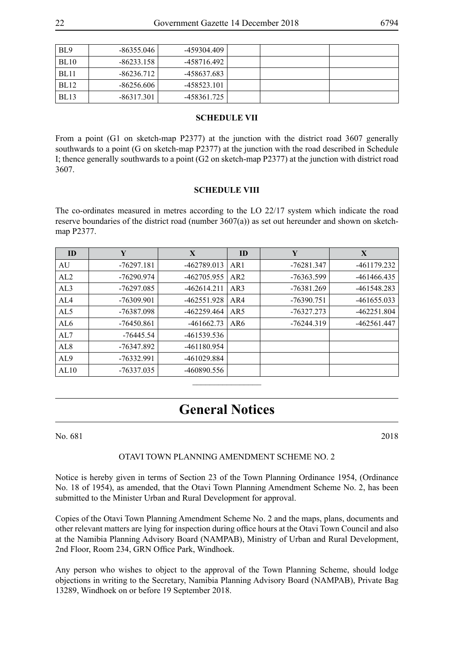| BL <sub>9</sub> | -86355.046   | -459304.409 |  |  |
|-----------------|--------------|-------------|--|--|
| BL10            | $-86233.158$ | -458716.492 |  |  |
| <b>BL11</b>     | $-86236.712$ | -458637.683 |  |  |
| BL12            | -86256.606   | -458523.101 |  |  |
| BL13            | -86317.301   | -458361.725 |  |  |

#### **SCHEDULE VII**

From a point (G1 on sketch-map P2377) at the junction with the district road 3607 generally southwards to a point (G on sketch-map P2377) at the junction with the road described in Schedule I; thence generally southwards to a point (G2 on sketch-map P2377) at the junction with district road 3607.

#### **SCHEDULE VIII**

The co-ordinates measured in metres according to the LO 22/17 system which indicate the road reserve boundaries of the district road (number 3607(a)) as set out hereunder and shown on sketchmap P2377.

| ID              | Y            | X             | ID              | Y            | X             |
|-----------------|--------------|---------------|-----------------|--------------|---------------|
| AU              | $-76297.181$ | -462789.013   | AR <sub>1</sub> | $-76281.347$ | -461179.232   |
| AL2             | $-76290.974$ | -462705.955   | AR2             | -76363.599   | -461466.435   |
| AL3             | -76297.085   | $-462614.211$ | AR3             | -76381.269   | -461548.283   |
| AL4             | $-76309.901$ | -462551.928   | AR4             | $-76390.751$ | $-461655.033$ |
| AL5             | -76387.098   | -462259.464   | AR5             | $-76327.273$ | -462251.804   |
| AL6             | $-76450.861$ | $-461662.73$  | AR6             | $-76244.319$ | -462561.447   |
| AL7             | $-76445.54$  | -461539.536   |                 |              |               |
| AL <sub>8</sub> | -76347.892   | -461180.954   |                 |              |               |
| AL <sub>9</sub> | $-76332.991$ | -461029.884   |                 |              |               |
| AL10            | -76337.035   | -460890.556   |                 |              |               |

# **General Notices**

 $\frac{1}{2}$ 

No. 681 2018

# OTAVI TOWN PLANNING AMENDMENT SCHEME NO. 2

Notice is hereby given in terms of Section 23 of the Town Planning Ordinance 1954, (Ordinance No. 18 of 1954), as amended, that the Otavi Town Planning Amendment Scheme No. 2, has been submitted to the Minister Urban and Rural Development for approval.

Copies of the Otavi Town Planning Amendment Scheme No. 2 and the maps, plans, documents and other relevant matters are lying for inspection during office hours at the Otavi Town Council and also at the Namibia Planning Advisory Board (NAMPAB), Ministry of Urban and Rural Development, 2nd Floor, Room 234, GRN Office Park, Windhoek.

Any person who wishes to object to the approval of the Town Planning Scheme, should lodge objections in writing to the Secretary, Namibia Planning Advisory Board (NAMPAB), Private Bag 13289, Windhoek on or before 19 September 2018.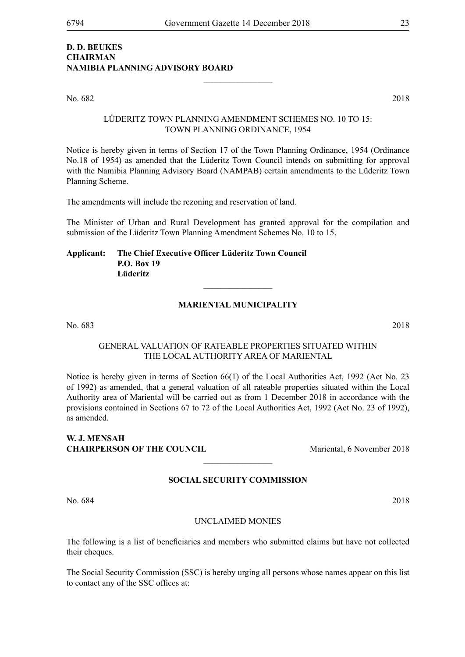# **D. D. BEUKES CHAIRMAN NAMIBIA PLANNING ADVISORY BOARD**

No. 682 2018

LÜDERITZ TOWN PLANNING AMENDMENT SCHEMES NO. 10 TO 15: TOWN PLANNING ORDINANCE, 1954

 $\frac{1}{2}$ 

Notice is hereby given in terms of Section 17 of the Town Planning Ordinance, 1954 (Ordinance No.18 of 1954) as amended that the Lüderitz Town Council intends on submitting for approval with the Namibia Planning Advisory Board (NAMPAB) certain amendments to the Lüderitz Town Planning Scheme.

The amendments will include the rezoning and reservation of land.

The Minister of Urban and Rural Development has granted approval for the compilation and submission of the Lüderitz Town Planning Amendment Schemes No. 10 to 15.

**Applicant: The Chief Executive Officer Lüderitz Town Council P.O. Box 19 Lüderitz**

# **Mariental Municipality**

 $\overline{\phantom{a}}$  , where  $\overline{\phantom{a}}$ 

No. 683 2018

# GENERAL VALUATION OF RATEABLE PROPERTIES SITUATED WITHIN THE LOCAL AUTHORITY AREA OF MARIENTAL

Notice is hereby given in terms of Section 66(1) of the Local Authorities Act, 1992 (Act No. 23 of 1992) as amended, that a general valuation of all rateable properties situated within the Local Authority area of Mariental will be carried out as from 1 December 2018 in accordance with the provisions contained in Sections 67 to 72 of the Local Authorities Act, 1992 (Act No. 23 of 1992), as amended.

# **W. J. MENSAH CHAIRPERSON OF THE COUNCIL** Mariental, 6 November 2018

#### **SOCIAL SECURITY COMMISSION**

 $\frac{1}{2}$ 

No. 684 2018

#### UNCLAIMED MONIES

The following is a list of beneficiaries and members who submitted claims but have not collected their cheques.

The Social Security Commission (SSC) is hereby urging all persons whose names appear on this list to contact any of the SSC offices at: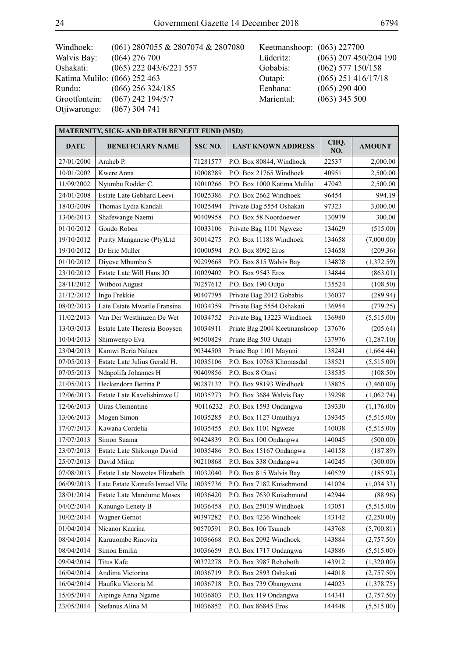| Windhoek:                    | (061) 2807055 & 2807074 & 2807080 | Keetmanshoop: (063) 227700 |                         |
|------------------------------|-----------------------------------|----------------------------|-------------------------|
| Walvis Bay:                  | $(064)$ 276 700                   | Lüderitz:                  | $(063)$ 207 450/204 190 |
| Oshakati:                    | $(065)$ 222 043/6/221 557         | Gobabis:                   | $(062)$ 577 150/158     |
| Katima Mulilo: (066) 252 463 |                                   | Outapi:                    | $(065)$ 251 416/17/18   |
| Rundu:                       | $(066)$ 256 324/185               | Eenhana:                   | $(065)$ 290 400         |
| Grootfontein:                | $(067)$ 242 194/5/7               | Mariental:                 | $(063)$ 345 500         |
| Otjiwarongo:                 | $(067)$ 304 741                   |                            |                         |
|                              |                                   |                            |                         |

| <b>MATERNITY, SICK- AND DEATH BENEFIT FUND (MSD)</b> |                                  |          |                              |             |               |  |
|------------------------------------------------------|----------------------------------|----------|------------------------------|-------------|---------------|--|
| <b>DATE</b>                                          | <b>BENEFICIARY NAME</b>          | SSC NO.  | <b>LAST KNOWN ADDRESS</b>    | CHQ.<br>NO. | <b>AMOUNT</b> |  |
| 27/01/2000                                           | Araheb P.                        | 71281577 | P.O. Box 80844, Windhoek     | 22537       | 2,000.00      |  |
| 10/01/2002                                           | Kwere Anna                       | 10008289 | P.O. Box 21765 Windhoek      | 40951       | 2,500.00      |  |
| 11/09/2002                                           | Nyumbu Rodder C.                 | 10010266 | P.O. Box 1000 Katima Mulilo  | 47042       | 2,500.00      |  |
| 24/01/2008                                           | Estate Late Gebhard Leevi        | 10025386 | P.O. Box 2662 Windhoek       | 96454       | 994.19        |  |
| 18/03/2009                                           | Thomas Lydia Kandali             | 10025494 | Private Bag 5554 Oshakati    | 97323       | 3,000.00      |  |
| 13/06/2013                                           | Shafewange Naemi                 | 90409958 | P.O. Box 58 Noordoewer       | 130979      | 300.00        |  |
| 01/10/2012                                           | Gondo Roben                      | 10033106 | Private Bag 1101 Ngweze      | 134629      | (515.00)      |  |
| 19/10/2012                                           | Purity Manganese (Pty)Ltd        | 30014275 | P.O. Box 11188 Windhoek      | 134658      | (7,000.00)    |  |
| 19/10/2012                                           | Dr Eric Muller                   | 10000594 | P.O. Box 8092 Eros           | 134658      | (209.36)      |  |
| 01/10/2012                                           | Diyeve Mbumbo S                  | 90299668 | P.O. Box 815 Walvis Bay      | 134828      | (1,372.59)    |  |
| 23/10/2012                                           | Estate Late Will Hans JO         | 10029402 | P.O. Box 9543 Eros           | 134844      | (863.01)      |  |
| 28/11/2012                                           | Witbooi August                   | 70257612 | P.O. Box 190 Outjo           | 135524      | (108.50)      |  |
| 21/12/2012                                           | Ingo Frekkie                     | 90407795 | Private Bag 2012 Gobabis     | 136037      | (289.94)      |  |
| 08/02/2013                                           | Late Estate Mwatile Fransina     | 10034359 | Private Bag 5554 Oshakati    | 136954      | (779.25)      |  |
| 11/02/2013                                           | Van Der Westhiuzen De Wet        | 10034752 | Private Bag 13223 Windhoek   | 136980      | (5,515.00)    |  |
| 13/03/2013                                           | Estate Late Theresia Booysen     | 10034911 | Priate Bag 2004 Keetmanshoop | 137676      | (205.64)      |  |
| 10/04/2013                                           | Shimwenyo Eva                    | 90500829 | Priate Bag 503 Outapi        | 137976      | (1, 287.10)   |  |
| 23/04/2013                                           | Kamwi Beria Naluca               | 90344503 | Priate Bag 1101 Mayuni       | 138241      | (1,664.44)    |  |
| 07/05/2013                                           | Estate Late Julius Gerald H.     | 10035106 | P.O. Box 10763 Khomasdal     | 138521      | (5,515.00)    |  |
| 07/05/2013                                           | Ndapolifa Johannes H             | 90409856 | P.O. Box 8 Otavi             | 138535      | (108.50)      |  |
| 21/05/2013                                           | Heckendorn Bettina P             | 90287132 | P.O. Box 98193 Windhoek      | 138825      | (3,460.00)    |  |
| 12/06/2013                                           | Estate Late Kavelishimwe U       | 10035273 | P.O. Box 3684 Walvis Bay     | 139298      | (1,062.74)    |  |
| 12/06/2013                                           | Uiras Clementine                 | 90116232 | P.O. Box 1593 Ondangwa       | 139330      | (1,176.00)    |  |
| 13/06/2013                                           | Mogen Simon                      | 10035285 | P.O. Box 1127 Omuthiya       | 139345      | (5,515.00)    |  |
| 17/07/2013                                           | Kawana Cordelia                  | 10035455 | P.O. Box 1101 Ngweze         | 140038      | (5,515.00)    |  |
| 17/07/2013                                           | Simon Suama                      | 90424839 | P.O. Box 100 Ondangwa        | 140045      | (500.00)      |  |
| 23/07/2013                                           | Estate Late Shikongo David       | 10035486 | P.O. Box 15167 Ondangwa      | 140158      | (187.89)      |  |
| 25/07/2013                                           | David Miina                      | 90210868 | P.O. Box 338 Ondangwa        | 140245      | (300.00)      |  |
| 07/08/2013                                           | Estate Late Nowotes Elizabeth    | 10032040 | P.O. Box 815 Walvis Bay      | 140529      | (185.92)      |  |
| 06/09/2013                                           | Late Estate Kamafo Ismael Vile   | 10035736 | P.O. Box 7182 Kuisebmond     | 141024      | (1,034.33)    |  |
| 28/01/2014                                           | <b>Estate Late Mandume Moses</b> | 10036420 | P.O. Box 7630 Kuisebmund     | 142944      | (88.96)       |  |
| 04/02/2014                                           | Kanungo Lenety B                 | 10036458 | P.O. Box 25019 Windhoek      | 143051      | (5,515.00)    |  |
| 10/02/2014                                           | Wagner Gernot                    | 90397282 | P.O. Box 4236 Windhoek       | 143142      | (2,250.00)    |  |
| 01/04/2014                                           | Nicanor Kaarina                  | 90570591 | P.O. Box 106 Tsumeb          | 143768      | (5,700.81)    |  |
| 08/04/2014                                           | Karuuombe Rinovita               | 10036668 | P.O. Box 2092 Windhoek       | 143884      | (2,757.50)    |  |
| 08/04/2014                                           | Simon Emilia                     | 10036659 | P.O. Box 1717 Ondangwa       | 143886      | (5,515.00)    |  |
| 09/04/2014                                           | Titus Kafe                       | 90372278 | P.O. Box 3987 Rehoboth       | 143912      | (1,320.00)    |  |
| 16/04/2014                                           | Andima Victorina                 | 10036719 | P.O. Box 2893 Oshakati       | 144018      | (2,757.50)    |  |
| 16/04/2014                                           | Haufiku Victoria M.              | 10036718 | P.O. Box 739 Ohangwena       | 144023      | (1,378.75)    |  |
| 15/05/2014                                           | Aipinge Anna Ngame               | 10036803 | P.O. Box 119 Ondangwa        | 144341      | (2,757.50)    |  |
| 23/05/2014                                           | Stefanus Alina M                 | 10036852 | P.O. Box 86845 Eros          | 144448      | (5,515.00)    |  |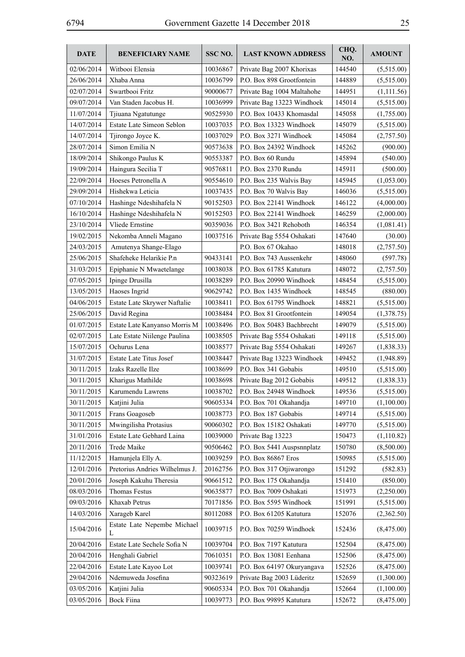| <b>DATE</b> | <b>BENEFICIARY NAME</b>          | SSC NO.  | <b>LAST KNOWN ADDRESS</b>  | CHQ.<br>NO. | <b>AMOUNT</b> |
|-------------|----------------------------------|----------|----------------------------|-------------|---------------|
| 02/06/2014  | Witbooi Elensia                  | 10036867 | Private Bag 2007 Khorixas  | 144540      | (5,515.00)    |
| 26/06/2014  | Xhaba Anna                       | 10036799 | P.O. Box 898 Grootfontein  | 144889      | (5,515.00)    |
| 02/07/2014  | Swartbooi Fritz                  | 90000677 | Private Bag 1004 Maltahohe | 144951      | (1,111.56)    |
| 09/07/2014  | Van Staden Jacobus H.            | 10036999 | Private Bag 13223 Windhoek | 145014      | (5,515.00)    |
| 11/07/2014  | Tjiuana Ngatutunge               | 90525930 | P.O. Box 10433 Khomasdal   | 145058      | (1,755.00)    |
| 14/07/2014  | Estate Late Simeon Seblon        | 10037035 | P.O. Box 13323 Windhoek    | 145079      | (5,515.00)    |
| 14/07/2014  | Tjirongo Joyce K.                | 10037029 | P.O. Box 3271 Windhoek     | 145084      | (2,757.50)    |
| 28/07/2014  | Simon Emilia N                   | 90573638 | P.O. Box 24392 Windhoek    | 145262      | (900.00)      |
| 18/09/2014  | Shikongo Paulus K                | 90553387 | P.O. Box 60 Rundu          | 145894      | (540.00)      |
| 19/09/2014  | Haingura Secilia T               | 90576811 | P.O. Box 2370 Rundu        | 145911      | (500.00)      |
| 22/09/2014  | Hoeses Petronella A              | 90554610 | P.O. Box 235 Walvis Bay    | 145945      | (1,053.00)    |
| 29/09/2014  | Hishekwa Leticia                 | 10037435 | P.O. Box 70 Walvis Bay     | 146036      | (5,515.00)    |
| 07/10/2014  | Hashinge Ndeshihafela N          | 90152503 | P.O. Box 22141 Windhoek    | 146122      | (4,000.00)    |
| 16/10/2014  | Hashinge Ndeshihafela N          | 90152503 | P.O. Box 22141 Windhoek    | 146259      | (2,000.00)    |
| 23/10/2014  | Vliede Ernstine                  | 90359036 | P.O. Box 3421 Rehoboth     | 146354      | (1,081.41)    |
| 19/02/2015  | Nekomba Anneli Magano            | 10037516 | Private Bag 5554 Oshakati  | 147640      | (30.00)       |
| 24/03/2015  | Amutenya Shange-Elago            |          | P.O. Box 67 Okahao         | 148018      | (2,757.50)    |
| 25/06/2015  | Shafeheke Helarikie P.n          | 90433141 | P.O. Box 743 Aussenkehr    | 148060      | (597.78)      |
| 31/03/2015  | Epiphanie N Mwaetelange          | 10038038 | P.O. Box 61785 Katutura    | 148072      | (2,757.50)    |
| 07/05/2015  | Ipinge Drusilla                  | 10038289 | P.O. Box 20990 Windhoek    | 148454      | (5,515.00)    |
| 13/05/2015  | Haoses Ingrid                    | 90629742 | P.O. Box 1435 Windhoek     | 148545      | (880.00)      |
| 04/06/2015  | Estate Late Skrywer Naftalie     | 10038411 | P.O. Box 61795 Windhoek    | 148821      | (5,515.00)    |
| 25/06/2015  | David Regina                     | 10038484 | P.O. Box 81 Grootfontein   | 149054      | (1,378.75)    |
| 01/07/2015  | Estate Late Kanyanso Morris M    | 10038496 | P.O. Box 50483 Bachbrecht  | 149079      | (5,515.00)    |
| 02/07/2015  | Late Estate Niilenge Paulina     | 10038505 | Private Bag 5554 Oshakati  | 149118      | (5,515.00)    |
| 15/07/2015  | Ochurus Lena                     | 10038577 | Private Bag 5554 Oshakati  | 149267      | (1, 838.33)   |
| 31/07/2015  | <b>Estate Late Titus Josef</b>   | 10038447 | Private Bag 13223 Windhoek | 149452      | (1,948.89)    |
| 30/11/2015  | Izaks Razelle Ilze               | 10038699 | P.O. Box 341 Gobabis       | 149510      | (5,515.00)    |
| 30/11/2015  | Kharigus Mathilde                | 10038698 | Private Bag 2012 Gobabis   | 149512      | (1,838.33)    |
| 30/11/2015  | Karumendu Lawrens                | 10038702 | P.O. Box 24948 Windhoek    | 149536      | (5,515.00)    |
| 30/11/2015  | Katjini Julia                    | 90605334 | P.O. Box 701 Okahandja     | 149710      | (1,100.00)    |
| 30/11/2015  | Frans Goagoseb                   | 10038773 | P.O. Box 187 Gobabis       | 149714      | (5,515.00)    |
| 30/11/2015  | Mwingilisha Protasius            | 90060302 | P.O. Box 15182 Oshakati    | 149770      | (5,515.00)    |
| 31/01/2016  | Estate Late Gebhard Laina        | 10039000 | Private Bag 13223          | 150473      | (1,110.82)    |
| 20/11/2016  | Trede Maike                      | 90506462 | P.O. Box 5441 Auspsnnplatz | 150780      | (8,500.00)    |
| 11/12/2015  | Hamunjela Elly A.                | 10039259 | P.O. Box 86867 Eros        | 150985      | (5,515.00)    |
| 12/01/2016  | Pretorius Andries Wilhelmus J.   | 20162756 | P.O. Box 317 Otjiwarongo   | 151292      | (582.83)      |
| 20/01/2016  | Joseph Kakuhu Theresia           | 90661512 | P.O. Box 175 Okahandja     | 151410      | (850.00)      |
| 08/03/2016  | Thomas Festus                    | 90635877 | P.O. Box 7009 Oshakati     | 151973      | (2,250.00)    |
| 09/03/2016  | Khaxab Petrus                    | 70171856 | P.O. Box 5595 Windhoek     | 151991      | (5,515.00)    |
| 14/03/2016  | Xarageb Karel                    | 80112088 | P.O. Box 61205 Katutura    | 152076      | (2,362.50)    |
| 15/04/2016  | Estate Late Nepembe Michael<br>L | 10039715 | P.O. Box 70259 Windhoek    | 152436      | (8,475.00)    |
| 20/04/2016  | Estate Late Sechele Sofia N      | 10039704 | P.O. Box 7197 Katutura     | 152504      | (8,475.00)    |
| 20/04/2016  | Henghali Gabriel                 | 70610351 | P.O. Box 13081 Eenhana     | 152506      | (8,475.00)    |
| 22/04/2016  | Estate Late Kayoo Lot            | 10039741 | P.O. Box 64197 Okuryangava | 152526      | (8,475.00)    |
| 29/04/2016  | Ndemuweda Josefina               | 90323619 | Private Bag 2003 Lüderitz  | 152659      | (1,300.00)    |
| 03/05/2016  | Katjini Julia                    | 90605334 | P.O. Box 701 Okahandja     | 152664      | (1,100.00)    |
| 03/05/2016  | <b>Bock Fiina</b>                | 10039773 | P.O. Box 99895 Katutura    | 152672      | (8,475.00)    |
|             |                                  |          |                            |             |               |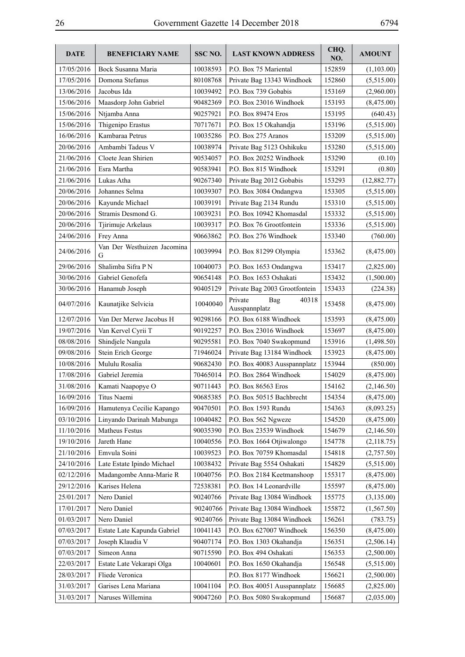| 17/05/2016<br>Bock Susanna Maria<br>10038593<br>P.O. Box 75 Mariental<br>152859<br>(1,103.00)<br>17/05/2016<br>Domona Stefanus<br>80108768<br>Private Bag 13343 Windhoek<br>152860<br>(5,515.00)<br>Jacobus Ida<br>P.O. Box 739 Gobabis<br>153169<br>13/06/2016<br>10039492<br>(2,960.00)<br>15/06/2016<br>Maasdorp John Gabriel<br>90482369<br>P.O. Box 23016 Windhoek<br>153193<br>(8,475.00)<br>15/06/2016<br>Ntjamba Anna<br>90257921<br>P.O. Box 89474 Eros<br>153195<br>(640.43)<br>Thigenipo Erastus<br>15/06/2016<br>70717671<br>P.O. Box 15 Okahandja<br>153196<br>(5,515.00)<br>Kambaraa Petrus<br>16/06/2016<br>10035286<br>P.O. Box 275 Aranos<br>153209<br>(5,515.00)<br>Ambambi Tadeus V<br>10038974<br>20/06/2016<br>Private Bag 5123 Oshikuku<br>153280<br>(5,515.00)<br>Cloete Jean Shirien<br>P.O. Box 20252 Windhoek<br>21/06/2016<br>90534057<br>153290<br>(0.10)<br>21/06/2016<br>Esra Martha<br>90583941<br>P.O. Box 815 Windhoek<br>153291<br>(0.80)<br>21/06/2016<br>Lukas Atha<br>90267340<br>Private Bag 2012 Gobabis<br>153293<br>(12,882.77)<br>Johannes Selma<br>20/06/2016<br>10039307<br>P.O. Box 3084 Ondangwa<br>153305<br>(5,515.00)<br>20/06/2016<br>Kayunde Michael<br>10039191<br>Private Bag 2134 Rundu<br>153310<br>(5,515.00)<br>Stramis Desmond G.<br>20/06/2016<br>10039231<br>P.O. Box 10942 Khomasdal<br>153332<br>(5,515.00)<br>20/06/2016<br>Tjirimuje Arkelaus<br>10039317<br>P.O. Box 76 Grootfontein<br>153336<br>(5,515.00)<br>Frey Anna<br>90663862<br>P.O. Box 276 Windhoek<br>24/06/2016<br>153340<br>(760.00)<br>Van Der Westhuizen Jacomina<br>10039994<br>24/06/2016<br>P.O. Box 81299 Olympia<br>153362<br>(8,475.00)<br>G<br>Shalimba Sifra PN<br>29/06/2016<br>10040073<br>P.O. Box 1653 Ondangwa<br>153417<br>(2,825.00)<br>Gabriel Genofefa<br>30/06/2016<br>90654148<br>P.O. Box 1653 Oshakati<br>153432<br>(1,500.00)<br>90405129<br>Private Bag 2003 Grootfontein<br>153433<br>30/06/2016<br>Hanamub Joseph<br>(224.38)<br>Private<br>40318<br>Bag<br>Kaunatjike Selvicia<br>10040040<br>04/07/2016<br>153458<br>(8,475.00)<br>Ausspannplatz<br>P.O. Box 6188 Windhoek<br>12/07/2016<br>Van Der Merwe Jacobus H<br>90298166<br>153593<br>(8,475.00)<br>Van Kervel Cyrii T<br>90192257<br>P.O. Box 23016 Windhoek<br>153697<br>19/07/2016<br>(8,475.00)<br>08/08/2016<br>Shindjele Nangula<br>90295581<br>P.O. Box 7040 Swakopmund<br>153916<br>(1,498.50)<br>Private Bag 13184 Windhoek<br>09/08/2016<br>Stein Erich George<br>71946024<br>153923<br>(8,475.00)<br>90682430<br>153944<br>10/08/2016<br>Mululu Rosalia<br>P.O. Box 40083 Ausspannplatz<br>(850.00)<br>P.O. Box 2864 Windhoek<br>17/08/2016<br>Gabriel Jeremia<br>70465014<br>154029<br>(8,475.00)<br>31/08/2016<br>Kamati Naapopye O<br>90711443<br>P.O. Box 86563 Eros<br>154162<br>(2,146.50)<br>16/09/2016<br>Titus Naemi<br>P.O. Box 50515 Bachbrecht<br>90685385<br>154354<br>(8,475.00)<br>16/09/2016<br>Hamutenya Cecilie Kapango<br>90470501<br>P.O. Box 1593 Rundu<br>154363<br>(8,093.25)<br>Linyando Darinah Mabunga<br>10040482<br>03/10/2016<br>P.O. Box 562 Ngweze<br>154520<br>(8,475.00)<br>Matheus Festus<br>11/10/2016<br>90035390<br>P.O. Box 23539 Windhoek<br>154679<br>(2,146.50)<br>Jareth Hane<br>19/10/2016<br>10040556<br>P.O. Box 1664 Otjiwalongo<br>154778<br>(2,118.75)<br>Emvula Soini<br>21/10/2016<br>10039523<br>P.O. Box 70759 Khomasdal<br>154818<br>(2,757.50)<br>24/10/2016<br>Late Estate Ipindo Michael<br>10038432<br>Private Bag 5554 Oshakati<br>154829<br>(5,515.00)<br>Madangombe Anna-Marie R<br>02/12/2016<br>10040756<br>P.O. Box 2184 Keetmanshoop<br>155317<br>(8,475.00)<br>P.O. Box 14 Leonardville<br>29/12/2016<br>Karises Helena<br>72538381<br>155597<br>(8,475.00)<br>25/01/2017<br>Nero Daniel<br>90240766<br>Private Bag 13084 Windhoek<br>155775<br>(3,135.00)<br>Nero Daniel<br>90240766<br>17/01/2017<br>Private Bag 13084 Windhoek<br>155872<br>(1,567.50)<br>Nero Daniel<br>01/03/2017<br>90240766<br>Private Bag 13084 Windhoek<br>156261<br>(783.75)<br>P.O. Box 627007 Windhoek<br>07/03/2017<br>Estate Late Kapunda Gabriel<br>10041143<br>156350<br>(8,475.00)<br>Joseph Klaudia V<br>90407174<br>P.O. Box 1303 Okahandja<br>156351<br>07/03/2017<br>(2,506.14)<br>07/03/2017<br>Simeon Anna<br>90715590<br>P.O. Box 494 Oshakati<br>156353<br>(2,500.00)<br>22/03/2017<br>Estate Late Vekarapi Olga<br>10040601<br>P.O. Box 1650 Okahandja<br>156548<br>(5,515.00)<br>Fliede Veronica<br>P.O. Box 8177 Windhoek<br>28/03/2017<br>156621<br>(2,500.00)<br>Garises Lena Mariana<br>10041104<br>P.O. Box 40051 Ausspannplatz<br>31/03/2017<br>156685<br>(2,825.00) | <b>DATE</b> | <b>BENEFICIARY NAME</b> | SSC <sub>NO</sub> . | <b>LAST KNOWN ADDRESS</b> | CHQ.<br>NO. | <b>AMOUNT</b> |
|----------------------------------------------------------------------------------------------------------------------------------------------------------------------------------------------------------------------------------------------------------------------------------------------------------------------------------------------------------------------------------------------------------------------------------------------------------------------------------------------------------------------------------------------------------------------------------------------------------------------------------------------------------------------------------------------------------------------------------------------------------------------------------------------------------------------------------------------------------------------------------------------------------------------------------------------------------------------------------------------------------------------------------------------------------------------------------------------------------------------------------------------------------------------------------------------------------------------------------------------------------------------------------------------------------------------------------------------------------------------------------------------------------------------------------------------------------------------------------------------------------------------------------------------------------------------------------------------------------------------------------------------------------------------------------------------------------------------------------------------------------------------------------------------------------------------------------------------------------------------------------------------------------------------------------------------------------------------------------------------------------------------------------------------------------------------------------------------------------------------------------------------------------------------------------------------------------------------------------------------------------------------------------------------------------------------------------------------------------------------------------------------------------------------------------------------------------------------------------------------------------------------------------------------------------------------------------------------------------------------------------------------------------------------------------------------------------------------------------------------------------------------------------------------------------------------------------------------------------------------------------------------------------------------------------------------------------------------------------------------------------------------------------------------------------------------------------------------------------------------------------------------------------------------------------------------------------------------------------------------------------------------------------------------------------------------------------------------------------------------------------------------------------------------------------------------------------------------------------------------------------------------------------------------------------------------------------------------------------------------------------------------------------------------------------------------------------------------------------------------------------------------------------------------------------------------------------------------------------------------------------------------------------------------------------------------------------------------------------------------------------------------------------------------------------------------------------------------------------------------------------------------------------------------------------------------------------------------------------------------------------------------------------------------------------------------------------------------------------------------------------------------------------------------------------------------------------------------------------------------------------------------------------------------------------------------------------------------------------------------------------------------------------------------|-------------|-------------------------|---------------------|---------------------------|-------------|---------------|
|                                                                                                                                                                                                                                                                                                                                                                                                                                                                                                                                                                                                                                                                                                                                                                                                                                                                                                                                                                                                                                                                                                                                                                                                                                                                                                                                                                                                                                                                                                                                                                                                                                                                                                                                                                                                                                                                                                                                                                                                                                                                                                                                                                                                                                                                                                                                                                                                                                                                                                                                                                                                                                                                                                                                                                                                                                                                                                                                                                                                                                                                                                                                                                                                                                                                                                                                                                                                                                                                                                                                                                                                                                                                                                                                                                                                                                                                                                                                                                                                                                                                                                                                                                                                                                                                                                                                                                                                                                                                                                                                                                                                                                                                      |             |                         |                     |                           |             |               |
|                                                                                                                                                                                                                                                                                                                                                                                                                                                                                                                                                                                                                                                                                                                                                                                                                                                                                                                                                                                                                                                                                                                                                                                                                                                                                                                                                                                                                                                                                                                                                                                                                                                                                                                                                                                                                                                                                                                                                                                                                                                                                                                                                                                                                                                                                                                                                                                                                                                                                                                                                                                                                                                                                                                                                                                                                                                                                                                                                                                                                                                                                                                                                                                                                                                                                                                                                                                                                                                                                                                                                                                                                                                                                                                                                                                                                                                                                                                                                                                                                                                                                                                                                                                                                                                                                                                                                                                                                                                                                                                                                                                                                                                                      |             |                         |                     |                           |             |               |
|                                                                                                                                                                                                                                                                                                                                                                                                                                                                                                                                                                                                                                                                                                                                                                                                                                                                                                                                                                                                                                                                                                                                                                                                                                                                                                                                                                                                                                                                                                                                                                                                                                                                                                                                                                                                                                                                                                                                                                                                                                                                                                                                                                                                                                                                                                                                                                                                                                                                                                                                                                                                                                                                                                                                                                                                                                                                                                                                                                                                                                                                                                                                                                                                                                                                                                                                                                                                                                                                                                                                                                                                                                                                                                                                                                                                                                                                                                                                                                                                                                                                                                                                                                                                                                                                                                                                                                                                                                                                                                                                                                                                                                                                      |             |                         |                     |                           |             |               |
|                                                                                                                                                                                                                                                                                                                                                                                                                                                                                                                                                                                                                                                                                                                                                                                                                                                                                                                                                                                                                                                                                                                                                                                                                                                                                                                                                                                                                                                                                                                                                                                                                                                                                                                                                                                                                                                                                                                                                                                                                                                                                                                                                                                                                                                                                                                                                                                                                                                                                                                                                                                                                                                                                                                                                                                                                                                                                                                                                                                                                                                                                                                                                                                                                                                                                                                                                                                                                                                                                                                                                                                                                                                                                                                                                                                                                                                                                                                                                                                                                                                                                                                                                                                                                                                                                                                                                                                                                                                                                                                                                                                                                                                                      |             |                         |                     |                           |             |               |
|                                                                                                                                                                                                                                                                                                                                                                                                                                                                                                                                                                                                                                                                                                                                                                                                                                                                                                                                                                                                                                                                                                                                                                                                                                                                                                                                                                                                                                                                                                                                                                                                                                                                                                                                                                                                                                                                                                                                                                                                                                                                                                                                                                                                                                                                                                                                                                                                                                                                                                                                                                                                                                                                                                                                                                                                                                                                                                                                                                                                                                                                                                                                                                                                                                                                                                                                                                                                                                                                                                                                                                                                                                                                                                                                                                                                                                                                                                                                                                                                                                                                                                                                                                                                                                                                                                                                                                                                                                                                                                                                                                                                                                                                      |             |                         |                     |                           |             |               |
|                                                                                                                                                                                                                                                                                                                                                                                                                                                                                                                                                                                                                                                                                                                                                                                                                                                                                                                                                                                                                                                                                                                                                                                                                                                                                                                                                                                                                                                                                                                                                                                                                                                                                                                                                                                                                                                                                                                                                                                                                                                                                                                                                                                                                                                                                                                                                                                                                                                                                                                                                                                                                                                                                                                                                                                                                                                                                                                                                                                                                                                                                                                                                                                                                                                                                                                                                                                                                                                                                                                                                                                                                                                                                                                                                                                                                                                                                                                                                                                                                                                                                                                                                                                                                                                                                                                                                                                                                                                                                                                                                                                                                                                                      |             |                         |                     |                           |             |               |
|                                                                                                                                                                                                                                                                                                                                                                                                                                                                                                                                                                                                                                                                                                                                                                                                                                                                                                                                                                                                                                                                                                                                                                                                                                                                                                                                                                                                                                                                                                                                                                                                                                                                                                                                                                                                                                                                                                                                                                                                                                                                                                                                                                                                                                                                                                                                                                                                                                                                                                                                                                                                                                                                                                                                                                                                                                                                                                                                                                                                                                                                                                                                                                                                                                                                                                                                                                                                                                                                                                                                                                                                                                                                                                                                                                                                                                                                                                                                                                                                                                                                                                                                                                                                                                                                                                                                                                                                                                                                                                                                                                                                                                                                      |             |                         |                     |                           |             |               |
|                                                                                                                                                                                                                                                                                                                                                                                                                                                                                                                                                                                                                                                                                                                                                                                                                                                                                                                                                                                                                                                                                                                                                                                                                                                                                                                                                                                                                                                                                                                                                                                                                                                                                                                                                                                                                                                                                                                                                                                                                                                                                                                                                                                                                                                                                                                                                                                                                                                                                                                                                                                                                                                                                                                                                                                                                                                                                                                                                                                                                                                                                                                                                                                                                                                                                                                                                                                                                                                                                                                                                                                                                                                                                                                                                                                                                                                                                                                                                                                                                                                                                                                                                                                                                                                                                                                                                                                                                                                                                                                                                                                                                                                                      |             |                         |                     |                           |             |               |
|                                                                                                                                                                                                                                                                                                                                                                                                                                                                                                                                                                                                                                                                                                                                                                                                                                                                                                                                                                                                                                                                                                                                                                                                                                                                                                                                                                                                                                                                                                                                                                                                                                                                                                                                                                                                                                                                                                                                                                                                                                                                                                                                                                                                                                                                                                                                                                                                                                                                                                                                                                                                                                                                                                                                                                                                                                                                                                                                                                                                                                                                                                                                                                                                                                                                                                                                                                                                                                                                                                                                                                                                                                                                                                                                                                                                                                                                                                                                                                                                                                                                                                                                                                                                                                                                                                                                                                                                                                                                                                                                                                                                                                                                      |             |                         |                     |                           |             |               |
|                                                                                                                                                                                                                                                                                                                                                                                                                                                                                                                                                                                                                                                                                                                                                                                                                                                                                                                                                                                                                                                                                                                                                                                                                                                                                                                                                                                                                                                                                                                                                                                                                                                                                                                                                                                                                                                                                                                                                                                                                                                                                                                                                                                                                                                                                                                                                                                                                                                                                                                                                                                                                                                                                                                                                                                                                                                                                                                                                                                                                                                                                                                                                                                                                                                                                                                                                                                                                                                                                                                                                                                                                                                                                                                                                                                                                                                                                                                                                                                                                                                                                                                                                                                                                                                                                                                                                                                                                                                                                                                                                                                                                                                                      |             |                         |                     |                           |             |               |
|                                                                                                                                                                                                                                                                                                                                                                                                                                                                                                                                                                                                                                                                                                                                                                                                                                                                                                                                                                                                                                                                                                                                                                                                                                                                                                                                                                                                                                                                                                                                                                                                                                                                                                                                                                                                                                                                                                                                                                                                                                                                                                                                                                                                                                                                                                                                                                                                                                                                                                                                                                                                                                                                                                                                                                                                                                                                                                                                                                                                                                                                                                                                                                                                                                                                                                                                                                                                                                                                                                                                                                                                                                                                                                                                                                                                                                                                                                                                                                                                                                                                                                                                                                                                                                                                                                                                                                                                                                                                                                                                                                                                                                                                      |             |                         |                     |                           |             |               |
|                                                                                                                                                                                                                                                                                                                                                                                                                                                                                                                                                                                                                                                                                                                                                                                                                                                                                                                                                                                                                                                                                                                                                                                                                                                                                                                                                                                                                                                                                                                                                                                                                                                                                                                                                                                                                                                                                                                                                                                                                                                                                                                                                                                                                                                                                                                                                                                                                                                                                                                                                                                                                                                                                                                                                                                                                                                                                                                                                                                                                                                                                                                                                                                                                                                                                                                                                                                                                                                                                                                                                                                                                                                                                                                                                                                                                                                                                                                                                                                                                                                                                                                                                                                                                                                                                                                                                                                                                                                                                                                                                                                                                                                                      |             |                         |                     |                           |             |               |
|                                                                                                                                                                                                                                                                                                                                                                                                                                                                                                                                                                                                                                                                                                                                                                                                                                                                                                                                                                                                                                                                                                                                                                                                                                                                                                                                                                                                                                                                                                                                                                                                                                                                                                                                                                                                                                                                                                                                                                                                                                                                                                                                                                                                                                                                                                                                                                                                                                                                                                                                                                                                                                                                                                                                                                                                                                                                                                                                                                                                                                                                                                                                                                                                                                                                                                                                                                                                                                                                                                                                                                                                                                                                                                                                                                                                                                                                                                                                                                                                                                                                                                                                                                                                                                                                                                                                                                                                                                                                                                                                                                                                                                                                      |             |                         |                     |                           |             |               |
|                                                                                                                                                                                                                                                                                                                                                                                                                                                                                                                                                                                                                                                                                                                                                                                                                                                                                                                                                                                                                                                                                                                                                                                                                                                                                                                                                                                                                                                                                                                                                                                                                                                                                                                                                                                                                                                                                                                                                                                                                                                                                                                                                                                                                                                                                                                                                                                                                                                                                                                                                                                                                                                                                                                                                                                                                                                                                                                                                                                                                                                                                                                                                                                                                                                                                                                                                                                                                                                                                                                                                                                                                                                                                                                                                                                                                                                                                                                                                                                                                                                                                                                                                                                                                                                                                                                                                                                                                                                                                                                                                                                                                                                                      |             |                         |                     |                           |             |               |
|                                                                                                                                                                                                                                                                                                                                                                                                                                                                                                                                                                                                                                                                                                                                                                                                                                                                                                                                                                                                                                                                                                                                                                                                                                                                                                                                                                                                                                                                                                                                                                                                                                                                                                                                                                                                                                                                                                                                                                                                                                                                                                                                                                                                                                                                                                                                                                                                                                                                                                                                                                                                                                                                                                                                                                                                                                                                                                                                                                                                                                                                                                                                                                                                                                                                                                                                                                                                                                                                                                                                                                                                                                                                                                                                                                                                                                                                                                                                                                                                                                                                                                                                                                                                                                                                                                                                                                                                                                                                                                                                                                                                                                                                      |             |                         |                     |                           |             |               |
|                                                                                                                                                                                                                                                                                                                                                                                                                                                                                                                                                                                                                                                                                                                                                                                                                                                                                                                                                                                                                                                                                                                                                                                                                                                                                                                                                                                                                                                                                                                                                                                                                                                                                                                                                                                                                                                                                                                                                                                                                                                                                                                                                                                                                                                                                                                                                                                                                                                                                                                                                                                                                                                                                                                                                                                                                                                                                                                                                                                                                                                                                                                                                                                                                                                                                                                                                                                                                                                                                                                                                                                                                                                                                                                                                                                                                                                                                                                                                                                                                                                                                                                                                                                                                                                                                                                                                                                                                                                                                                                                                                                                                                                                      |             |                         |                     |                           |             |               |
|                                                                                                                                                                                                                                                                                                                                                                                                                                                                                                                                                                                                                                                                                                                                                                                                                                                                                                                                                                                                                                                                                                                                                                                                                                                                                                                                                                                                                                                                                                                                                                                                                                                                                                                                                                                                                                                                                                                                                                                                                                                                                                                                                                                                                                                                                                                                                                                                                                                                                                                                                                                                                                                                                                                                                                                                                                                                                                                                                                                                                                                                                                                                                                                                                                                                                                                                                                                                                                                                                                                                                                                                                                                                                                                                                                                                                                                                                                                                                                                                                                                                                                                                                                                                                                                                                                                                                                                                                                                                                                                                                                                                                                                                      |             |                         |                     |                           |             |               |
|                                                                                                                                                                                                                                                                                                                                                                                                                                                                                                                                                                                                                                                                                                                                                                                                                                                                                                                                                                                                                                                                                                                                                                                                                                                                                                                                                                                                                                                                                                                                                                                                                                                                                                                                                                                                                                                                                                                                                                                                                                                                                                                                                                                                                                                                                                                                                                                                                                                                                                                                                                                                                                                                                                                                                                                                                                                                                                                                                                                                                                                                                                                                                                                                                                                                                                                                                                                                                                                                                                                                                                                                                                                                                                                                                                                                                                                                                                                                                                                                                                                                                                                                                                                                                                                                                                                                                                                                                                                                                                                                                                                                                                                                      |             |                         |                     |                           |             |               |
|                                                                                                                                                                                                                                                                                                                                                                                                                                                                                                                                                                                                                                                                                                                                                                                                                                                                                                                                                                                                                                                                                                                                                                                                                                                                                                                                                                                                                                                                                                                                                                                                                                                                                                                                                                                                                                                                                                                                                                                                                                                                                                                                                                                                                                                                                                                                                                                                                                                                                                                                                                                                                                                                                                                                                                                                                                                                                                                                                                                                                                                                                                                                                                                                                                                                                                                                                                                                                                                                                                                                                                                                                                                                                                                                                                                                                                                                                                                                                                                                                                                                                                                                                                                                                                                                                                                                                                                                                                                                                                                                                                                                                                                                      |             |                         |                     |                           |             |               |
|                                                                                                                                                                                                                                                                                                                                                                                                                                                                                                                                                                                                                                                                                                                                                                                                                                                                                                                                                                                                                                                                                                                                                                                                                                                                                                                                                                                                                                                                                                                                                                                                                                                                                                                                                                                                                                                                                                                                                                                                                                                                                                                                                                                                                                                                                                                                                                                                                                                                                                                                                                                                                                                                                                                                                                                                                                                                                                                                                                                                                                                                                                                                                                                                                                                                                                                                                                                                                                                                                                                                                                                                                                                                                                                                                                                                                                                                                                                                                                                                                                                                                                                                                                                                                                                                                                                                                                                                                                                                                                                                                                                                                                                                      |             |                         |                     |                           |             |               |
|                                                                                                                                                                                                                                                                                                                                                                                                                                                                                                                                                                                                                                                                                                                                                                                                                                                                                                                                                                                                                                                                                                                                                                                                                                                                                                                                                                                                                                                                                                                                                                                                                                                                                                                                                                                                                                                                                                                                                                                                                                                                                                                                                                                                                                                                                                                                                                                                                                                                                                                                                                                                                                                                                                                                                                                                                                                                                                                                                                                                                                                                                                                                                                                                                                                                                                                                                                                                                                                                                                                                                                                                                                                                                                                                                                                                                                                                                                                                                                                                                                                                                                                                                                                                                                                                                                                                                                                                                                                                                                                                                                                                                                                                      |             |                         |                     |                           |             |               |
|                                                                                                                                                                                                                                                                                                                                                                                                                                                                                                                                                                                                                                                                                                                                                                                                                                                                                                                                                                                                                                                                                                                                                                                                                                                                                                                                                                                                                                                                                                                                                                                                                                                                                                                                                                                                                                                                                                                                                                                                                                                                                                                                                                                                                                                                                                                                                                                                                                                                                                                                                                                                                                                                                                                                                                                                                                                                                                                                                                                                                                                                                                                                                                                                                                                                                                                                                                                                                                                                                                                                                                                                                                                                                                                                                                                                                                                                                                                                                                                                                                                                                                                                                                                                                                                                                                                                                                                                                                                                                                                                                                                                                                                                      |             |                         |                     |                           |             |               |
|                                                                                                                                                                                                                                                                                                                                                                                                                                                                                                                                                                                                                                                                                                                                                                                                                                                                                                                                                                                                                                                                                                                                                                                                                                                                                                                                                                                                                                                                                                                                                                                                                                                                                                                                                                                                                                                                                                                                                                                                                                                                                                                                                                                                                                                                                                                                                                                                                                                                                                                                                                                                                                                                                                                                                                                                                                                                                                                                                                                                                                                                                                                                                                                                                                                                                                                                                                                                                                                                                                                                                                                                                                                                                                                                                                                                                                                                                                                                                                                                                                                                                                                                                                                                                                                                                                                                                                                                                                                                                                                                                                                                                                                                      |             |                         |                     |                           |             |               |
|                                                                                                                                                                                                                                                                                                                                                                                                                                                                                                                                                                                                                                                                                                                                                                                                                                                                                                                                                                                                                                                                                                                                                                                                                                                                                                                                                                                                                                                                                                                                                                                                                                                                                                                                                                                                                                                                                                                                                                                                                                                                                                                                                                                                                                                                                                                                                                                                                                                                                                                                                                                                                                                                                                                                                                                                                                                                                                                                                                                                                                                                                                                                                                                                                                                                                                                                                                                                                                                                                                                                                                                                                                                                                                                                                                                                                                                                                                                                                                                                                                                                                                                                                                                                                                                                                                                                                                                                                                                                                                                                                                                                                                                                      |             |                         |                     |                           |             |               |
|                                                                                                                                                                                                                                                                                                                                                                                                                                                                                                                                                                                                                                                                                                                                                                                                                                                                                                                                                                                                                                                                                                                                                                                                                                                                                                                                                                                                                                                                                                                                                                                                                                                                                                                                                                                                                                                                                                                                                                                                                                                                                                                                                                                                                                                                                                                                                                                                                                                                                                                                                                                                                                                                                                                                                                                                                                                                                                                                                                                                                                                                                                                                                                                                                                                                                                                                                                                                                                                                                                                                                                                                                                                                                                                                                                                                                                                                                                                                                                                                                                                                                                                                                                                                                                                                                                                                                                                                                                                                                                                                                                                                                                                                      |             |                         |                     |                           |             |               |
|                                                                                                                                                                                                                                                                                                                                                                                                                                                                                                                                                                                                                                                                                                                                                                                                                                                                                                                                                                                                                                                                                                                                                                                                                                                                                                                                                                                                                                                                                                                                                                                                                                                                                                                                                                                                                                                                                                                                                                                                                                                                                                                                                                                                                                                                                                                                                                                                                                                                                                                                                                                                                                                                                                                                                                                                                                                                                                                                                                                                                                                                                                                                                                                                                                                                                                                                                                                                                                                                                                                                                                                                                                                                                                                                                                                                                                                                                                                                                                                                                                                                                                                                                                                                                                                                                                                                                                                                                                                                                                                                                                                                                                                                      |             |                         |                     |                           |             |               |
|                                                                                                                                                                                                                                                                                                                                                                                                                                                                                                                                                                                                                                                                                                                                                                                                                                                                                                                                                                                                                                                                                                                                                                                                                                                                                                                                                                                                                                                                                                                                                                                                                                                                                                                                                                                                                                                                                                                                                                                                                                                                                                                                                                                                                                                                                                                                                                                                                                                                                                                                                                                                                                                                                                                                                                                                                                                                                                                                                                                                                                                                                                                                                                                                                                                                                                                                                                                                                                                                                                                                                                                                                                                                                                                                                                                                                                                                                                                                                                                                                                                                                                                                                                                                                                                                                                                                                                                                                                                                                                                                                                                                                                                                      |             |                         |                     |                           |             |               |
|                                                                                                                                                                                                                                                                                                                                                                                                                                                                                                                                                                                                                                                                                                                                                                                                                                                                                                                                                                                                                                                                                                                                                                                                                                                                                                                                                                                                                                                                                                                                                                                                                                                                                                                                                                                                                                                                                                                                                                                                                                                                                                                                                                                                                                                                                                                                                                                                                                                                                                                                                                                                                                                                                                                                                                                                                                                                                                                                                                                                                                                                                                                                                                                                                                                                                                                                                                                                                                                                                                                                                                                                                                                                                                                                                                                                                                                                                                                                                                                                                                                                                                                                                                                                                                                                                                                                                                                                                                                                                                                                                                                                                                                                      |             |                         |                     |                           |             |               |
|                                                                                                                                                                                                                                                                                                                                                                                                                                                                                                                                                                                                                                                                                                                                                                                                                                                                                                                                                                                                                                                                                                                                                                                                                                                                                                                                                                                                                                                                                                                                                                                                                                                                                                                                                                                                                                                                                                                                                                                                                                                                                                                                                                                                                                                                                                                                                                                                                                                                                                                                                                                                                                                                                                                                                                                                                                                                                                                                                                                                                                                                                                                                                                                                                                                                                                                                                                                                                                                                                                                                                                                                                                                                                                                                                                                                                                                                                                                                                                                                                                                                                                                                                                                                                                                                                                                                                                                                                                                                                                                                                                                                                                                                      |             |                         |                     |                           |             |               |
|                                                                                                                                                                                                                                                                                                                                                                                                                                                                                                                                                                                                                                                                                                                                                                                                                                                                                                                                                                                                                                                                                                                                                                                                                                                                                                                                                                                                                                                                                                                                                                                                                                                                                                                                                                                                                                                                                                                                                                                                                                                                                                                                                                                                                                                                                                                                                                                                                                                                                                                                                                                                                                                                                                                                                                                                                                                                                                                                                                                                                                                                                                                                                                                                                                                                                                                                                                                                                                                                                                                                                                                                                                                                                                                                                                                                                                                                                                                                                                                                                                                                                                                                                                                                                                                                                                                                                                                                                                                                                                                                                                                                                                                                      |             |                         |                     |                           |             |               |
|                                                                                                                                                                                                                                                                                                                                                                                                                                                                                                                                                                                                                                                                                                                                                                                                                                                                                                                                                                                                                                                                                                                                                                                                                                                                                                                                                                                                                                                                                                                                                                                                                                                                                                                                                                                                                                                                                                                                                                                                                                                                                                                                                                                                                                                                                                                                                                                                                                                                                                                                                                                                                                                                                                                                                                                                                                                                                                                                                                                                                                                                                                                                                                                                                                                                                                                                                                                                                                                                                                                                                                                                                                                                                                                                                                                                                                                                                                                                                                                                                                                                                                                                                                                                                                                                                                                                                                                                                                                                                                                                                                                                                                                                      |             |                         |                     |                           |             |               |
|                                                                                                                                                                                                                                                                                                                                                                                                                                                                                                                                                                                                                                                                                                                                                                                                                                                                                                                                                                                                                                                                                                                                                                                                                                                                                                                                                                                                                                                                                                                                                                                                                                                                                                                                                                                                                                                                                                                                                                                                                                                                                                                                                                                                                                                                                                                                                                                                                                                                                                                                                                                                                                                                                                                                                                                                                                                                                                                                                                                                                                                                                                                                                                                                                                                                                                                                                                                                                                                                                                                                                                                                                                                                                                                                                                                                                                                                                                                                                                                                                                                                                                                                                                                                                                                                                                                                                                                                                                                                                                                                                                                                                                                                      |             |                         |                     |                           |             |               |
|                                                                                                                                                                                                                                                                                                                                                                                                                                                                                                                                                                                                                                                                                                                                                                                                                                                                                                                                                                                                                                                                                                                                                                                                                                                                                                                                                                                                                                                                                                                                                                                                                                                                                                                                                                                                                                                                                                                                                                                                                                                                                                                                                                                                                                                                                                                                                                                                                                                                                                                                                                                                                                                                                                                                                                                                                                                                                                                                                                                                                                                                                                                                                                                                                                                                                                                                                                                                                                                                                                                                                                                                                                                                                                                                                                                                                                                                                                                                                                                                                                                                                                                                                                                                                                                                                                                                                                                                                                                                                                                                                                                                                                                                      |             |                         |                     |                           |             |               |
|                                                                                                                                                                                                                                                                                                                                                                                                                                                                                                                                                                                                                                                                                                                                                                                                                                                                                                                                                                                                                                                                                                                                                                                                                                                                                                                                                                                                                                                                                                                                                                                                                                                                                                                                                                                                                                                                                                                                                                                                                                                                                                                                                                                                                                                                                                                                                                                                                                                                                                                                                                                                                                                                                                                                                                                                                                                                                                                                                                                                                                                                                                                                                                                                                                                                                                                                                                                                                                                                                                                                                                                                                                                                                                                                                                                                                                                                                                                                                                                                                                                                                                                                                                                                                                                                                                                                                                                                                                                                                                                                                                                                                                                                      |             |                         |                     |                           |             |               |
|                                                                                                                                                                                                                                                                                                                                                                                                                                                                                                                                                                                                                                                                                                                                                                                                                                                                                                                                                                                                                                                                                                                                                                                                                                                                                                                                                                                                                                                                                                                                                                                                                                                                                                                                                                                                                                                                                                                                                                                                                                                                                                                                                                                                                                                                                                                                                                                                                                                                                                                                                                                                                                                                                                                                                                                                                                                                                                                                                                                                                                                                                                                                                                                                                                                                                                                                                                                                                                                                                                                                                                                                                                                                                                                                                                                                                                                                                                                                                                                                                                                                                                                                                                                                                                                                                                                                                                                                                                                                                                                                                                                                                                                                      |             |                         |                     |                           |             |               |
|                                                                                                                                                                                                                                                                                                                                                                                                                                                                                                                                                                                                                                                                                                                                                                                                                                                                                                                                                                                                                                                                                                                                                                                                                                                                                                                                                                                                                                                                                                                                                                                                                                                                                                                                                                                                                                                                                                                                                                                                                                                                                                                                                                                                                                                                                                                                                                                                                                                                                                                                                                                                                                                                                                                                                                                                                                                                                                                                                                                                                                                                                                                                                                                                                                                                                                                                                                                                                                                                                                                                                                                                                                                                                                                                                                                                                                                                                                                                                                                                                                                                                                                                                                                                                                                                                                                                                                                                                                                                                                                                                                                                                                                                      |             |                         |                     |                           |             |               |
|                                                                                                                                                                                                                                                                                                                                                                                                                                                                                                                                                                                                                                                                                                                                                                                                                                                                                                                                                                                                                                                                                                                                                                                                                                                                                                                                                                                                                                                                                                                                                                                                                                                                                                                                                                                                                                                                                                                                                                                                                                                                                                                                                                                                                                                                                                                                                                                                                                                                                                                                                                                                                                                                                                                                                                                                                                                                                                                                                                                                                                                                                                                                                                                                                                                                                                                                                                                                                                                                                                                                                                                                                                                                                                                                                                                                                                                                                                                                                                                                                                                                                                                                                                                                                                                                                                                                                                                                                                                                                                                                                                                                                                                                      |             |                         |                     |                           |             |               |
|                                                                                                                                                                                                                                                                                                                                                                                                                                                                                                                                                                                                                                                                                                                                                                                                                                                                                                                                                                                                                                                                                                                                                                                                                                                                                                                                                                                                                                                                                                                                                                                                                                                                                                                                                                                                                                                                                                                                                                                                                                                                                                                                                                                                                                                                                                                                                                                                                                                                                                                                                                                                                                                                                                                                                                                                                                                                                                                                                                                                                                                                                                                                                                                                                                                                                                                                                                                                                                                                                                                                                                                                                                                                                                                                                                                                                                                                                                                                                                                                                                                                                                                                                                                                                                                                                                                                                                                                                                                                                                                                                                                                                                                                      |             |                         |                     |                           |             |               |
|                                                                                                                                                                                                                                                                                                                                                                                                                                                                                                                                                                                                                                                                                                                                                                                                                                                                                                                                                                                                                                                                                                                                                                                                                                                                                                                                                                                                                                                                                                                                                                                                                                                                                                                                                                                                                                                                                                                                                                                                                                                                                                                                                                                                                                                                                                                                                                                                                                                                                                                                                                                                                                                                                                                                                                                                                                                                                                                                                                                                                                                                                                                                                                                                                                                                                                                                                                                                                                                                                                                                                                                                                                                                                                                                                                                                                                                                                                                                                                                                                                                                                                                                                                                                                                                                                                                                                                                                                                                                                                                                                                                                                                                                      |             |                         |                     |                           |             |               |
|                                                                                                                                                                                                                                                                                                                                                                                                                                                                                                                                                                                                                                                                                                                                                                                                                                                                                                                                                                                                                                                                                                                                                                                                                                                                                                                                                                                                                                                                                                                                                                                                                                                                                                                                                                                                                                                                                                                                                                                                                                                                                                                                                                                                                                                                                                                                                                                                                                                                                                                                                                                                                                                                                                                                                                                                                                                                                                                                                                                                                                                                                                                                                                                                                                                                                                                                                                                                                                                                                                                                                                                                                                                                                                                                                                                                                                                                                                                                                                                                                                                                                                                                                                                                                                                                                                                                                                                                                                                                                                                                                                                                                                                                      |             |                         |                     |                           |             |               |
|                                                                                                                                                                                                                                                                                                                                                                                                                                                                                                                                                                                                                                                                                                                                                                                                                                                                                                                                                                                                                                                                                                                                                                                                                                                                                                                                                                                                                                                                                                                                                                                                                                                                                                                                                                                                                                                                                                                                                                                                                                                                                                                                                                                                                                                                                                                                                                                                                                                                                                                                                                                                                                                                                                                                                                                                                                                                                                                                                                                                                                                                                                                                                                                                                                                                                                                                                                                                                                                                                                                                                                                                                                                                                                                                                                                                                                                                                                                                                                                                                                                                                                                                                                                                                                                                                                                                                                                                                                                                                                                                                                                                                                                                      |             |                         |                     |                           |             |               |
|                                                                                                                                                                                                                                                                                                                                                                                                                                                                                                                                                                                                                                                                                                                                                                                                                                                                                                                                                                                                                                                                                                                                                                                                                                                                                                                                                                                                                                                                                                                                                                                                                                                                                                                                                                                                                                                                                                                                                                                                                                                                                                                                                                                                                                                                                                                                                                                                                                                                                                                                                                                                                                                                                                                                                                                                                                                                                                                                                                                                                                                                                                                                                                                                                                                                                                                                                                                                                                                                                                                                                                                                                                                                                                                                                                                                                                                                                                                                                                                                                                                                                                                                                                                                                                                                                                                                                                                                                                                                                                                                                                                                                                                                      |             |                         |                     |                           |             |               |
|                                                                                                                                                                                                                                                                                                                                                                                                                                                                                                                                                                                                                                                                                                                                                                                                                                                                                                                                                                                                                                                                                                                                                                                                                                                                                                                                                                                                                                                                                                                                                                                                                                                                                                                                                                                                                                                                                                                                                                                                                                                                                                                                                                                                                                                                                                                                                                                                                                                                                                                                                                                                                                                                                                                                                                                                                                                                                                                                                                                                                                                                                                                                                                                                                                                                                                                                                                                                                                                                                                                                                                                                                                                                                                                                                                                                                                                                                                                                                                                                                                                                                                                                                                                                                                                                                                                                                                                                                                                                                                                                                                                                                                                                      |             |                         |                     |                           |             |               |
|                                                                                                                                                                                                                                                                                                                                                                                                                                                                                                                                                                                                                                                                                                                                                                                                                                                                                                                                                                                                                                                                                                                                                                                                                                                                                                                                                                                                                                                                                                                                                                                                                                                                                                                                                                                                                                                                                                                                                                                                                                                                                                                                                                                                                                                                                                                                                                                                                                                                                                                                                                                                                                                                                                                                                                                                                                                                                                                                                                                                                                                                                                                                                                                                                                                                                                                                                                                                                                                                                                                                                                                                                                                                                                                                                                                                                                                                                                                                                                                                                                                                                                                                                                                                                                                                                                                                                                                                                                                                                                                                                                                                                                                                      |             |                         |                     |                           |             |               |
|                                                                                                                                                                                                                                                                                                                                                                                                                                                                                                                                                                                                                                                                                                                                                                                                                                                                                                                                                                                                                                                                                                                                                                                                                                                                                                                                                                                                                                                                                                                                                                                                                                                                                                                                                                                                                                                                                                                                                                                                                                                                                                                                                                                                                                                                                                                                                                                                                                                                                                                                                                                                                                                                                                                                                                                                                                                                                                                                                                                                                                                                                                                                                                                                                                                                                                                                                                                                                                                                                                                                                                                                                                                                                                                                                                                                                                                                                                                                                                                                                                                                                                                                                                                                                                                                                                                                                                                                                                                                                                                                                                                                                                                                      |             |                         |                     |                           |             |               |
|                                                                                                                                                                                                                                                                                                                                                                                                                                                                                                                                                                                                                                                                                                                                                                                                                                                                                                                                                                                                                                                                                                                                                                                                                                                                                                                                                                                                                                                                                                                                                                                                                                                                                                                                                                                                                                                                                                                                                                                                                                                                                                                                                                                                                                                                                                                                                                                                                                                                                                                                                                                                                                                                                                                                                                                                                                                                                                                                                                                                                                                                                                                                                                                                                                                                                                                                                                                                                                                                                                                                                                                                                                                                                                                                                                                                                                                                                                                                                                                                                                                                                                                                                                                                                                                                                                                                                                                                                                                                                                                                                                                                                                                                      |             |                         |                     |                           |             |               |
|                                                                                                                                                                                                                                                                                                                                                                                                                                                                                                                                                                                                                                                                                                                                                                                                                                                                                                                                                                                                                                                                                                                                                                                                                                                                                                                                                                                                                                                                                                                                                                                                                                                                                                                                                                                                                                                                                                                                                                                                                                                                                                                                                                                                                                                                                                                                                                                                                                                                                                                                                                                                                                                                                                                                                                                                                                                                                                                                                                                                                                                                                                                                                                                                                                                                                                                                                                                                                                                                                                                                                                                                                                                                                                                                                                                                                                                                                                                                                                                                                                                                                                                                                                                                                                                                                                                                                                                                                                                                                                                                                                                                                                                                      | 31/03/2017  | Naruses Willemina       | 90047260            | P.O. Box 5080 Swakopmund  | 156687      | (2,035.00)    |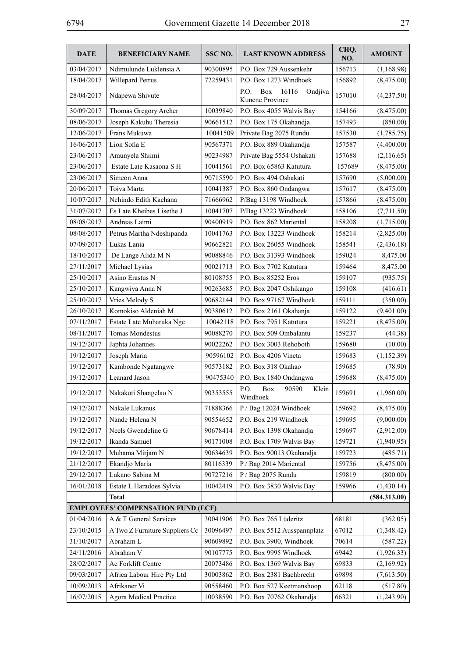| <b>DATE</b> | <b>BENEFICIARY NAME</b>                   | SSC NO.              | <b>LAST KNOWN ADDRESS</b>                                           | CHQ.<br>NO.      | <b>AMOUNT</b>            |
|-------------|-------------------------------------------|----------------------|---------------------------------------------------------------------|------------------|--------------------------|
| 03/04/2017  | Ndimulunde Luklensia A                    | 90300895             | P.O. Box 729 Aussenkehr                                             | 156713           | (1,168.98)               |
| 18/04/2017  | Willepard Petrus                          | 72259431             | P.O. Box 1273 Windhoek                                              | 156892           | (8,475.00)               |
| 28/04/2017  | Ndapewa Shivute                           |                      | 16116<br>Ondjiva<br>P.O.<br>Box<br>Kunene Province                  | 157010           | (4,237.50)               |
| 30/09/2017  | Thomas Gregory Archer                     | 10039840             | P.O. Box 4055 Walvis Bay                                            | 154166           | (8,475.00)               |
| 08/06/2017  | Joseph Kakuhu Theresia                    | 90661512             | P.O. Box 175 Okahandja                                              | 157493           | (850.00)                 |
| 12/06/2017  | Frans Mukuwa                              | 10041509             | Private Bag 2075 Rundu                                              | 157530           | (1,785.75)               |
| 16/06/2017  | Lion Sofia E                              | 90567371             | P.O. Box 889 Okahandja                                              | 157587           | (4,400.00)               |
| 23/06/2017  | Amunyela Shiimi                           | 90234987             | Private Bag 5554 Oshakati                                           | 157688           | (2,116.65)               |
| 23/06/2017  | Estate Late Kasaona S H                   | 10041561             | P.O. Box 65863 Katutura                                             | 157689           | (8,475.00)               |
| 23/06/2017  | Simeon Anna                               | 90715590             | P.O. Box 494 Oshakati                                               | 157690           | (5,000.00)               |
| 20/06/2017  | Toiva Marta                               | 10041387             | P.O. Box 860 Ondangwa                                               | 157617           | (8,475.00)               |
| 10/07/2017  | Nchindo Edith Kachana                     | 71666962             | P/Bag 13198 Windhoek                                                | 157866           | (8,475.00)               |
| 31/07/2017  | Es Late Kheibes Lisethe J                 | 10041707             | P/Bag 13223 Windhoek                                                | 158106           | (7,711.50)               |
| 08/08/2017  | Andreas Laimi                             | 90400919             | P.O. Box 862 Mariental                                              | 158208           | (1,715.00)               |
| 08/08/2017  | Petrus Martha Ndeshipanda                 | 10041763             | P.O. Box 13223 Windhoek                                             | 158214           | (2,825.00)               |
| 07/09/2017  | Lukas Lania                               | 90662821             | P.O. Box 26055 Windhoek                                             | 158541           | (2,436.18)               |
| 18/10/2017  | De Lange Alida M N                        | 90088846             | P.O. Box 31393 Windhoek                                             | 159024           | 8,475.00                 |
| 27/11/2017  | Michael Lysias                            | 90021713             | P.O. Box 7702 Katutura                                              | 159464           | 8,475.00                 |
| 25/10/2017  | Asino Erastus N                           | 80108755             | P.O. Box 85252 Eros                                                 | 159107           | (935.75)                 |
| 25/10/2017  | Kangwiya Anna N                           | 90263685             | P.O. Box 2047 Oshikango                                             | 159108           | (416.61)                 |
| 25/10/2017  | Vries Melody S                            | 90682144             | P.O. Box 97167 Windhoek                                             | 159111           | (350.00)                 |
| 26/10/2017  | Komokiso Aldeniah M                       | 90380612             | P.O. Box 2161 Okahanja                                              | 159122           | (9,401.00)               |
| 07/11/2017  | Estate Late Muharuka Nge                  | 10042118             | P.O. Box 7951 Katutura                                              | 159221           | (8,475.00)               |
| 08/11/2017  | <b>Tomas Mondestus</b>                    | 90088270             | P.O. Box 509 Ombalantu                                              | 159237           | (44.38)                  |
| 19/12/2017  | Japhta Johannes                           | 90022262             | P.O. Box 3003 Rehoboth                                              | 159680           | (10.00)                  |
| 19/12/2017  | Joseph Maria                              | 90596102             | P.O. Box 4206 Vineta                                                | 159683           | (1,152.39)               |
| 19/12/2017  |                                           | 90573182             | P.O. Box 318 Okahao                                                 | 159685           |                          |
| 19/12/2017  | Kambonde Ngatangwe<br>Leanard Jason       |                      |                                                                     |                  | (78.90)                  |
| 19/12/2017  | Nakakoti Shangelao N                      | 90475340<br>90353555 | P.O. Box 1840 Ondangwa<br>P.O.<br>Box<br>90590<br>Klein<br>Windhoek | 159688<br>159691 | (8,475.00)<br>(1,960.00) |
| 19/12/2017  | Nakale Lukanus                            | 71888366             | P / Bag 12024 Windhoek                                              | 159692           | (8,475.00)               |
| 19/12/2017  | Nande Helena N                            | 90554652             | P.O. Box 219 Windhoek                                               | 159695           | (9,000.00)               |
| 19/12/2017  | Neels Gwendeline G                        | 90678414             | P.O. Box 1398 Okahandja                                             | 159697           | (2,912.00)               |
| 19/12/2017  | Ikanda Samuel                             | 90171008             | P.O. Box 1709 Walvis Bay                                            | 159721           | (1,940.95)               |
| 19/12/2017  | Muhama Mirjam N                           | 90634639             | P.O. Box 90013 Okahandja                                            | 159723           | (485.71)                 |
| 21/12/2017  | Ekandjo Maria                             | 80116339             | P / Bag 2014 Mariental                                              | 159756           | (8,475.00)               |
| 29/12/2017  | Lukano Sabina M                           | 90727216             | P / Bag 2075 Rundu                                                  | 159819           | (800.00)                 |
| 16/01/2018  | Estate L Haradoes Sylvia                  | 10042419             | P.O. Box 3830 Walvis Bay                                            | 159966           | (1,430.14)               |
|             | <b>Total</b>                              |                      |                                                                     |                  | (584,313.00)             |
|             | <b>EMPLOYEES' COMPENSATION FUND (ECF)</b> |                      |                                                                     |                  |                          |
| 01/04/2016  | A & T General Services                    | 30041906             | P.O. Box 765 Lüderitz                                               | 68181            | (362.05)                 |
| 23/10/2015  | A Two Z Furniture Suppliers Cc            | 30096497             | P.O. Box 5512 Ausspannplatz                                         | 67012            | (1,348.42)               |
| 31/10/2017  | Abraham L                                 | 90609892             | P.O. Box 3900, Windhoek                                             | 70614            | (587.22)                 |
| 24/11/2016  | Abraham V                                 | 90107775             | P.O. Box 9995 Windhoek                                              | 69442            | (1,926.33)               |
| 28/02/2017  | Ae Forklift Centre                        | 20073486             | P.O. Box 1369 Walvis Bay                                            | 69833            | (2,169.92)               |
| 09/03/2017  | Africa Labour Hire Pty Ltd                | 30003862             | P.O. Box 2381 Bachbrecht                                            | 69898            | (7,613.50)               |
| 10/09/2013  | Afrikaner Vi                              | 90558460             | P.O. Box 527 Keetmanshoop                                           | 62118            | (517.80)                 |
| 16/07/2015  | <b>Agora Medical Practice</b>             | 10038590             |                                                                     | 66321            |                          |
|             |                                           |                      | P.O. Box 70762 Okahandja                                            |                  | (1,243.90)               |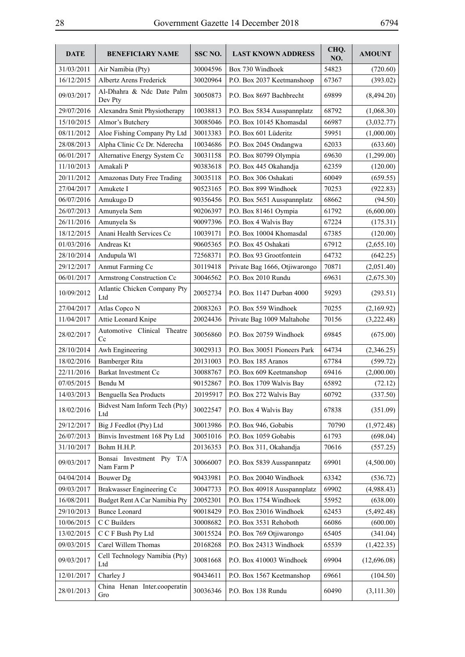| <b>DATE</b> | <b>BENEFICIARY NAME</b>                 | SSC NO.  | <b>LAST KNOWN ADDRESS</b>     | CHQ.<br>NO. | <b>AMOUNT</b> |
|-------------|-----------------------------------------|----------|-------------------------------|-------------|---------------|
| 31/03/2011  | Air Namibia (Pty)                       | 30004596 | Box 730 Windhoek              | 54823       | (720.60)      |
| 16/12/2015  | Albertz Arens Frederick                 | 30020964 | P.O. Box 2037 Keetmanshoop    | 67367       | (393.02)      |
| 09/03/2017  | Al-Dhahra & Ndc Date Palm<br>Dev Pty    | 30050873 | P.O. Box 8697 Bachbrecht      | 69899       | (8,494.20)    |
| 29/07/2016  | Alexandra Smit Physiotherapy            | 10038813 | P.O. Box 5834 Ausspannplatz   | 68792       | (1,068.30)    |
| 15/10/2015  | Almor's Butchery                        | 30085046 | P.O. Box 10145 Khomasdal      | 66987       | (3,032.77)    |
| 08/11/2012  | Aloe Fishing Company Pty Ltd            | 30013383 | P.O. Box 601 Lüderitz         | 59951       | (1,000.00)    |
| 28/08/2013  | Alpha Clinic Cc Dr. Nderecha            | 10034686 | P.O. Box 2045 Ondangwa        | 62033       | (633.60)      |
| 06/01/2017  | Alternative Energy System Cc            | 30031158 | P.O. Box 80799 Olympia        | 69630       | (1,299.00)    |
| 11/10/2013  | Amakali P                               | 90383618 | P.O. Box 445 Okahandja        | 62359       | (120.00)      |
| 20/11/2012  | Amazonas Duty Free Trading              | 30035118 | P.O. Box 306 Oshakati         | 60049       | (659.55)      |
| 27/04/2017  | Amukete I                               | 90523165 | P.O. Box 899 Windhoek         | 70253       | (922.83)      |
| 06/07/2016  | Amukugo D                               | 90356456 | P.O. Box 5651 Ausspannplatz   | 68662       | (94.50)       |
| 26/07/2013  | Amunyela Sem                            | 90206397 | P.O. Box 81461 Oympia         | 61792       | (6,600.00)    |
| 26/11/2016  | Amunyela Ss                             | 90097396 | P.O. Box 4 Walvis Bay         | 67224       | (175.31)      |
| 18/12/2015  | Anani Health Services Cc                | 10039171 | P.O. Box 10004 Khomasdal      | 67385       | (120.00)      |
| 01/03/2016  | Andreas Kt                              | 90605365 | P.O. Box 45 Oshakati          | 67912       | (2,655.10)    |
| 28/10/2014  | Andupula Wl                             | 72568371 | P.O. Box 93 Grootfontein      | 64732       | (642.25)      |
| 29/12/2017  | Anmut Farming Cc                        | 30119418 | Private Bag 1666, Otjiwarongo | 70871       | (2,051.40)    |
| 06/01/2017  | Armstrong Construction Cc               | 30046562 | P.O. Box 2010 Rundu           | 69631       | (2,675.30)    |
| 10/09/2012  | Atlantic Chicken Company Pty<br>Ltd     | 20052734 | P.O. Box 1147 Durban 4000     | 59293       | (293.51)      |
| 27/04/2017  | Atlas Copco N                           | 20083263 | P.O. Box 559 Windhoek         | 70255       | (2,169.92)    |
| 11/04/2017  | Attie Leonard Knipe                     | 20024436 | Private Bag 1009 Maltahohe    | 70156       | (3,222.48)    |
| 28/02/2017  | Automotive Clinical Theatre<br>Cc       | 30056860 | P.O. Box 20759 Windhoek       | 69845       | (675.00)      |
| 28/10/2014  | Awh Engineering                         | 30029313 | P.O. Box 30051 Pioneers Park  | 64734       | (2,346.25)    |
| 18/02/2016  | Bamberger Rita                          | 20131003 | P.O. Box 185 Aranos           | 67784       | (599.72)      |
| 22/11/2016  | Barkat Investment Cc                    | 30088767 | P.O. Box 609 Keetmanshop      | 69416       | (2,000.00)    |
| 07/05/2015  | Bendu M                                 | 90152867 | P.O. Box 1709 Walvis Bay      | 65892       | (72.12)       |
| 14/03/2013  | Benguella Sea Products                  | 20195917 | P.O. Box 272 Walvis Bay       | 60792       | (337.50)      |
| 18/02/2016  | Bidvest Nam Inform Tech (Pty)<br>Ltd    | 30022547 | P.O. Box 4 Walvis Bay         | 67838       | (351.09)      |
| 29/12/2017  | Big J Feedlot (Pty) Ltd                 | 30013986 | P.O. Box 946, Gobabis         | 70790       | (1,972.48)    |
| 26/07/2013  | Binvis Investment 168 Pty Ltd           | 30051016 | P.O. Box 1059 Gobabis         | 61793       | (698.04)      |
| 31/10/2017  | Bohm H.H.P.                             | 20136353 | P.O. Box 311, Okahandja       | 70616       | (557.25)      |
| 09/03/2017  | Bonsai Investment Pty T/A<br>Nam Farm P | 30066007 | P.O. Box 5839 Ausspannpatz    | 69901       | (4,500.00)    |
| 04/04/2014  | <b>Bouwer</b> Dg                        | 90433981 | P.O. Box 20040 Windhoek       | 63342       | (536.72)      |
| 09/03/2017  | Brakwasser Engineering Cc               | 30047733 | P.O. Box 40918 Ausspannplatz  | 69902       | (4,988.43)    |
| 16/08/2011  | Budget Rent A Car Namibia Pty           | 20052301 | P.O. Box 1754 Windhoek        | 55952       | (638.00)      |
| 29/10/2013  | <b>Bunce Leonard</b>                    | 90018429 | P.O. Box 23016 Windhoek       | 62453       | (5,492.48)    |
| 10/06/2015  | C C Builders                            | 30008682 | P.O. Box 3531 Rehoboth        | 66086       | (600.00)      |
| 13/02/2015  | C C F Bush Pty Ltd                      | 30015524 | P.O. Box 769 Otjiwarongo      | 65405       | (341.04)      |
| 09/03/2015  | Carel Willem Thomas                     | 20168268 | P.O. Box 24313 Windhoek       | 65539       | (1,422.35)    |
| 09/03/2017  | Cell Technology Namibia (Pty)<br>Ltd    | 30081668 | P.O. Box 410003 Windhoek      | 69904       | (12,696.08)   |
| 12/01/2017  | Charley J                               | 90434611 | P.O. Box 1567 Keetmanshop     | 69661       | (104.50)      |
| 28/01/2013  | China Henan Inter.cooperatin<br>Gro     | 30036346 | P.O. Box 138 Rundu            | 60490       | (3,111.30)    |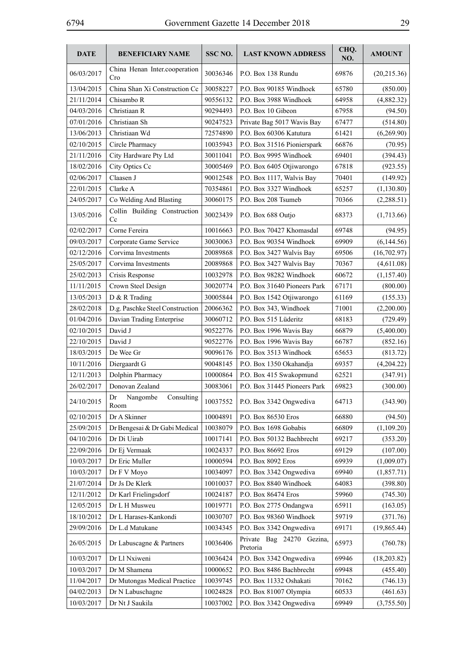| <b>DATE</b> | <b>BENEFICIARY NAME</b>              | SSC <sub>NO</sub> . | <b>LAST KNOWN ADDRESS</b>             | CHQ.<br>NO. | <b>AMOUNT</b> |
|-------------|--------------------------------------|---------------------|---------------------------------------|-------------|---------------|
| 06/03/2017  | China Henan Inter.cooperation<br>Cro | 30036346            | P.O. Box 138 Rundu                    | 69876       | (20,215.36)   |
| 13/04/2015  | China Shan Xi Construction Cc        | 30058227            | P.O. Box 90185 Windhoek               | 65780       | (850.00)      |
| 21/11/2014  | Chisambo R                           | 90556132            | P.O. Box 3988 Windhoek                | 64958       | (4,882.32)    |
| 04/03/2016  | Christiaan R                         | 90294493            | P.O. Box 10 Gibeon                    | 67958       | (94.50)       |
| 07/01/2016  | Christiaan Sh                        | 90247523            | Private Bag 5017 Wavis Bay            | 67477       | (514.80)      |
| 13/06/2013  | Christiaan Wd                        | 72574890            | P.O. Box 60306 Katutura               | 61421       | (6,269.90)    |
| 02/10/2015  | Circle Pharmacy                      | 10035943            | P.O. Box 31516 Pionierspark           | 66876       | (70.95)       |
| 21/11/2016  | City Hardware Pty Ltd                | 30011041            | P.O. Box 9995 Windhoek                | 69401       | (394.43)      |
| 18/02/2016  | City Optics Cc                       | 30005469            | P.O. Box 6405 Otjiwarongo             | 67818       | (923.55)      |
| 02/06/2017  | Claasen J                            | 90012548            | P.O. Box 1117, Walvis Bay             | 70401       | (149.92)      |
| 22/01/2015  | Clarke A                             | 70354861            | P.O. Box 3327 Windhoek                | 65257       | (1,130.80)    |
| 24/05/2017  | Co Welding And Blasting              | 30060175            | P.O. Box 208 Tsumeb                   | 70366       | (2,288.51)    |
| 13/05/2016  | Collin Building Construction<br>Cc   | 30023439            | P.O. Box 688 Outjo                    | 68373       | (1,713.66)    |
| 02/02/2017  | Corne Fereira                        | 10016663            | P.O. Box 70427 Khomasdal              | 69748       | (94.95)       |
| 09/03/2017  | Corporate Game Service               | 30030063            | P.O. Box 90354 Windhoek               | 69909       | (6,144.56)    |
| 02/12/2016  | Corvima Investments                  | 20089868            | P.O. Box 3427 Walvis Bay              | 69506       | (16,702.97)   |
| 25/05/2017  | Corvima Investments                  | 20089868            | P.O. Box 3427 Walvis Bay              | 70367       | (4,611.08)    |
| 25/02/2013  | Crisis Response                      | 10032978            | P.O. Box 98282 Windhoek               | 60672       | (1,157.40)    |
| 11/11/2015  | Crown Steel Design                   | 30020774            | P.O. Box 31640 Pioneers Park          | 67171       | (800.00)      |
| 13/05/2013  | D & R Trading                        | 30005844            | P.O. Box 1542 Otjiwarongo             | 61169       | (155.33)      |
| 28/02/2018  | D.g. Paschke Steel Construction      | 20066362            | P.O. Box 343, Windhoek                | 71001       | (2,200.00)    |
| 01/04/2016  | Davian Trading Enterprise            | 30060712            | P.O. Box 515 Lüderitz                 | 68183       | (729.49)      |
| 02/10/2015  | David J                              | 90522776            | P.O. Box 1996 Wavis Bay               | 66879       | (5,400.00)    |
| 22/10/2015  | David J                              | 90522776            | P.O. Box 1996 Wavis Bay               | 66787       | (852.16)      |
| 18/03/2015  | De Wee Gr                            | 90096176            | P.O. Box 3513 Windhoek                | 65653       | (813.72)      |
| 10/11/2016  | Diergaardt G                         | 90048145            | P.O. Box 1350 Okahandja               | 69357       | (4,204.22)    |
| 12/11/2013  | Dolphin Pharmacy                     | 10000864            | P.O. Box 415 Swakopmund               | 62521       | (347.91)      |
| 26/02/2017  | Donovan Zealand                      | 30083061            | P.O. Box 31445 Pioneers Park          | 69823       | (300.00)      |
| 24/10/2015  | Nangombe<br>Consulting<br>Dr<br>Room | 10037552            | P.O. Box 3342 Ongwediva               | 64713       | (343.90)      |
| 02/10/2015  | Dr A Skinner                         | 10004891            | P.O. Box 86530 Eros                   | 66880       | (94.50)       |
| 25/09/2015  | Dr Bengesai & Dr Gabi Medical        | 10038079            | P.O. Box 1698 Gobabis                 | 66809       | (1,109.20)    |
| 04/10/2016  | Dr Di Uirab                          | 10017141            | P.O. Box 50132 Bachbrecht             | 69217       | (353.20)      |
| 22/09/2016  | Dr Ej Vermaak                        | 10024337            | P.O. Box 86692 Eros                   | 69129       | (107.00)      |
| 10/03/2017  | Dr Eric Muller                       | 10000594            | P.O. Box 8092 Eros                    | 69939       | (1,009.07)    |
| 10/03/2017  | Dr F V Moyo                          | 10034097            | P.O. Box 3342 Ongwediva               | 69940       | (1, 857.71)   |
| 21/07/2014  | Dr Js De Klerk                       | 10010037            | P.O. Box 8840 Windhoek                | 64083       | (398.80)      |
| 12/11/2012  | Dr Karl Frielingsdorf                | 10024187            | P.O. Box 86474 Eros                   | 59960       | (745.30)      |
| 12/05/2015  | Dr L H Musweu                        | 10019771            | P.O. Box 2775 Ondangwa                | 65911       | (163.05)      |
| 18/10/2012  | Dr L Harases-Kankondi                | 10030707            | P.O. Box 98360 Windhoek               | 59719       | (371.76)      |
| 29/09/2016  | Dr L.d Matukane                      | 10034345            | P.O. Box 3342 Ongwediva               | 69171       | (19, 865.44)  |
| 26/05/2015  | Dr Labuscagne & Partners             | 10036406            | Private Bag 24270 Gezina,<br>Pretoria | 65973       | (760.78)      |
| 10/03/2017  | Dr Ll Nxiweni                        | 10036424            | P.O. Box 3342 Ongwediva               | 69946       | (18,203.82)   |
| 10/03/2017  | Dr M Shamena                         | 10000652            | P.O. Box 8486 Bachbrecht              | 69948       | (455.40)      |
| 11/04/2017  | Dr Mutongas Medical Practice         | 10039745            | P.O. Box 11332 Oshakati               | 70162       | (746.13)      |
| 04/02/2013  | Dr N Labuschagne                     | 10024828            | P.O. Box 81007 Olympia                | 60533       | (461.63)      |
| 10/03/2017  | Dr Nt J Saukila                      | 10037002            | P.O. Box 3342 Ongwediva               | 69949       | (3,755.50)    |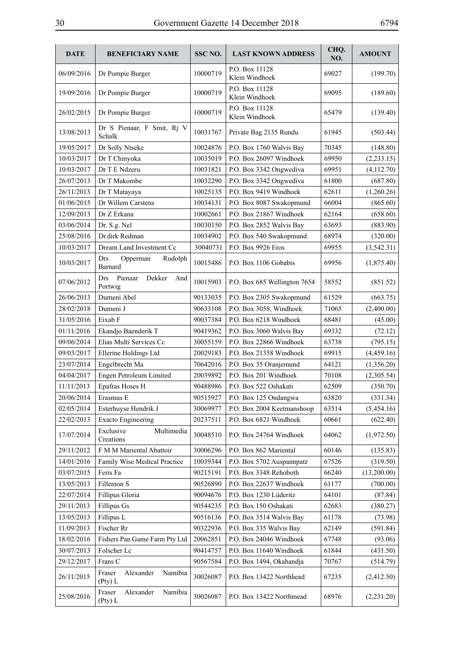| <b>DATE</b> | <b>BENEFICIARY NAME</b>                           | SSC NO.  | <b>LAST KNOWN ADDRESS</b>        | CHQ.<br>NO. | <b>AMOUNT</b> |
|-------------|---------------------------------------------------|----------|----------------------------------|-------------|---------------|
| 06/09/2016  | Dr Pompie Burger                                  | 10000719 | P.O. Box 11128<br>Klein Windhoek | 69027       | (199.70)      |
| 19/09/2016  | Dr Pompie Burger                                  | 10000719 | P.O. Box 11128<br>Klein Windhoek | 69095       | (189.60)      |
| 26/02/2015  | Dr Pompie Burger                                  | 10000719 | P.O. Box 11128<br>Klein Windhoek | 65479       | (139.40)      |
| 13/08/2013  | Dr S Pienaar, F Smit, Rj V<br>Schalk              | 10031767 | Private Bag 2135 Rundu           | 61945       | (503.44)      |
| 19/05/2017  | Dr Solly Ntseke                                   | 10024876 | P.O. Box 1760 Walvis Bay         | 70345       | (148.80)      |
| 10/03/2017  | Dr T Chinyoka                                     | 10035019 | P.O. Box 26097 Windhoek          | 69950       | (2,233.15)    |
| 10/03/2017  | Dr T E Ndzeru                                     | 10031821 | P.O. Box 3342 Ongwediva          | 69951       | (4,112.70)    |
| 26/07/2013  | Dr T Makombe                                      | 10032290 | P.O. Box 3342 Ongwediva          | 61800       | (687.80)      |
| 26/11/2013  | Dr T Matayaya                                     | 10025135 | P.O. Box 9419 Windhoek           | 62611       | (1,260.26)    |
| 01/06/2015  | Dr Willem Carstens                                | 10034131 | P.O. Box 8087 Swakopmund         | 66004       | (865.60)      |
| 12/09/2013  | Dr Z Erkana                                       | 10002661 | P.O. Box 21867 Windhoek          | 62164       | (658.60)      |
| 03/06/2014  | Dr. S.g. Nel                                      | 10030150 | P.O. Box 2852 Walvis Bay         | 63693       | (883.90)      |
| 25/08/2016  | Dr.dirk Redman                                    | 10034902 | P.O. Box 540 Swakopmund          | 68974       | (320.00)      |
| 10/03/2017  | Dream Land Investment Cc                          | 30040731 | P.O. Box 9926 Eros               | 69955       | (3,542.31)    |
| 10/03/2017  | <b>Drs</b><br>Opperman<br>Rudolph<br>Barnard      | 10015486 | P.O. Box 1106 Gobabis            | 69956       | (1,875.40)    |
| 07/06/2012  | Pienaar<br>Dekker<br><b>Drs</b><br>And<br>Portwig | 10015903 | P.O. Box 685 Wellington 7654     | 58552       | (851.52)      |
| 26/06/2013  | Dumeni Abel                                       | 90133035 | P.O. Box 2305 Swakopmund         | 61529       | (663.75)      |
| 28/02/2018  | Dumeni J                                          | 90633108 | P.O. Box 3058, Windhoek          | 71065       | (2,400.00)    |
| 31/05/2016  | Eixab F                                           | 90037384 | P.O. Box 6218 Windhoek           | 68481       | (45.00)       |
| 01/11/2016  | Ekandjo Baenderik T                               | 90419362 | P.O. Box 3060 Walvis Bay         | 69332       | (72.12)       |
| 09/06/2014  | Elias Multi Services Cc                           | 30055159 | P.O. Box 22866 Windhoek          | 63738       | (795.15)      |
| 09/03/2017  | Ellerine Holdings Ltd                             | 20029183 | P.O. Box 21358 Windhoek          | 69915       | (4,459.16)    |
| 23/07/2014  | Engelbrecht Ma                                    | 70642016 | P.O. Box 35 Oranjemund           | 64121       | (1,356.20)    |
| 04/04/2017  | Engen Petroleum Limited                           | 20039892 | P.O. Box 201 Windhoek            | 70108       | (2,305.54)    |
| 11/11/2013  | Epafras Hoses H                                   | 90488986 | P.O. Box 522 Oshakati            | 62509       | (350.70)      |
| 20/06/2014  | Erasmus E                                         | 90515927 | P.O. Box 125 Ondangwa            | 63820       | (331.34)      |
| 02/05/2014  | Esterhuyse Hendrik J                              | 30069977 | P.O. Box 2004 Keetmanshoop       | 63514       | (5,454.16)    |
| 22/02/2013  | <b>Exacto Engineering</b>                         | 20237511 | P.O. Box 6821 Windhoek           | 60661       | (622.40)      |
| 17/07/2014  | Exclusive<br>Multimedia<br>Creations              | 30048510 | P.O. Box 24764 Windhoek          | 64062       | (1,972.50)    |
| 29/11/2012  | F M M Mariental Abattoir                          | 30006296 | P.O. Box 862 Mariental           | 60146       | (135.83)      |
| 14/01/2016  | Family Wise Medical Practice                      | 10039344 | P.O. Box 5702 Auspannpatz        | 67526       | (319.50)      |
| 03/07/2015  | Feris Fa                                          | 90215191 | P.O. Box 3348 Rehoboth           | 66240       | (13,200.00)   |
| 13/05/2013  | Fillemon S                                        | 90526890 | P.O. Box 22637 Windhoek          | 61177       | (700.00)      |
| 22/07/2014  | Fillipus Gloria                                   | 90094676 | P.O. Box 1230 Lüderitz           | 64101       | (87.84)       |
| 29/11/2013  | <b>Fillipus Gs</b>                                | 90544235 | P.O. Box 150 Oshakati            | 62683       | (380.27)      |
| 13/05/2013  | Fillipus L                                        | 90516136 | P.O. Box 3514 Walvis Bay         | 61178       | (73.98)       |
| 11/09/2013  | Fischer Rr                                        | 90322936 | P.O. Box 335 Walvis Bay          | 62149       | (591.84)      |
| 18/02/2016  | Fishers Pan Game Farm Pty Ltd                     | 20062851 | P.O. Box 24046 Windhoek          | 67748       | (93.06)       |
| 30/07/2013  | Folscher Lc                                       | 90414757 | P.O. Box 11640 Windhoek          | 61844       | (431.50)      |
| 29/12/2017  | Frans C                                           | 90567584 | P.O. Box 1494, Okahandja         | 70767       | (514.79)      |
| 26/11/2015  | Alexander<br>Fraser<br>Namibia<br>(Pty) L         | 30026087 | P.O. Box 13422 Northhead         | 67235       | (2,412.50)    |
| 25/08/2016  | Alexander<br>Fraser<br>Namibia<br>(Pty) L         | 30026087 | P.O. Box 13422 Northmead         | 68976       | (2,231.20)    |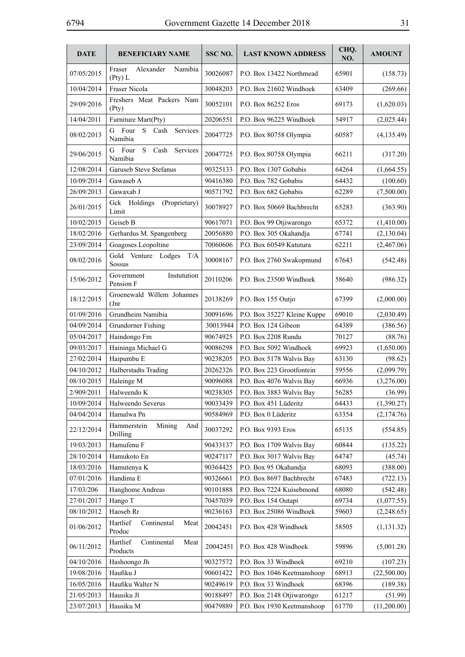| <b>DATE</b> | <b>BENEFICIARY NAME</b>                         | SSC <sub>NO</sub> . | <b>LAST KNOWN ADDRESS</b>   | CHQ.<br>NO. | <b>AMOUNT</b> |
|-------------|-------------------------------------------------|---------------------|-----------------------------|-------------|---------------|
| 07/05/2015  | Fraser<br>Alexander<br>Namibia<br>$($ Pty $)$ L | 30026087            | P.O. Box 13422 Northmead    | 65901       | (158.73)      |
| 10/04/2014  | Fraser Nicola                                   | 30048203            | P.O. Box 21602 Windhoek     | 63409       | (269.66)      |
| 29/09/2016  | Freshers Meat Packers Nam<br>(Pty)              | 30052101            | P.O. Box 86252 Eros         | 69173       | (1,620.03)    |
| 14/04/2011  | Furniture Mart(Pty)                             | 20206551            | P.O. Box 96225 Windhoek     | 54917       | (2,025.44)    |
| 08/02/2013  | Four<br>S.<br>Cash<br>G<br>Services<br>Namibia  | 20047725            | P.O. Box 80758 Olympia      | 60587       | (4, 135.49)   |
| 29/06/2015  | S<br>G<br>Four<br>Cash Services<br>Namibia      | 20047725            | P.O. Box 80758 Olympia      | 66211       | (317.20)      |
| 12/08/2014  | Garuseb Steve Stefanus                          | 90325133            | P.O. Box 1307 Gobabis       | 64264       | (1,664.55)    |
| 10/09/2014  | Gawaseb A                                       | 90416380            | P.O. Box 782 Gobabis        | 64432       | (100.60)      |
| 26/09/2013  | Gawaxab J                                       | 90571792            | P.O. Box 682 Gobabis        | 62289       | (7,500.00)    |
| 26/01/2015  | Gck Holdings<br>(Proprietary)<br>Limit          | 30078927            | P.O. Box 50669 Bachbrecht   | 65283       | (363.90)      |
| 10/02/2015  | Geiseb B                                        | 90617071            | P.O. Box 99 Otjiwarongo     | 65372       | (1,410.00)    |
| 18/02/2016  | Gerhardus M. Spangenberg                        | 20056880            | P.O. Box 305 Okahandja      | 67741       | (2,130.04)    |
| 23/09/2014  | Goagoses Leopoltine                             | 70060606            | P.O. Box 60549 Katutura     | 62211       | (2,467.06)    |
| 08/02/2016  | Gold Venture Lodges<br>T/A<br><b>Sossus</b>     | 30008167            | P.O. Box 2760 Swakopmund    | 67643       | (542.48)      |
| 15/06/2012  | Government<br>Instutution<br>Pension F          | 20110206            | P.O. Box 23500 Windhoek     | 58640       | (986.32)      |
| 18/12/2015  | Groenewald Willem Johannes<br>$_{\rm (Jnr)}$    | 20138269            | P.O. Box 155 Outjo          | 67399       | (2,000.00)    |
| 01/09/2016  | Grundheim Namibia                               | 30091696            | P.O. Box 35227 Kleine Kuppe | 69010       | (2,030.49)    |
| 04/09/2014  | Grundorner Fishing                              | 30013944            | P.O. Box 124 Gibeon         | 64389       | (386.56)      |
| 05/04/2017  | Haindongo Fm                                    | 90674925            | P.O. Box 2208 Rundu         | 70127       | (88.76)       |
| 09/03/2017  | Haininga Michael G                              | 90086298            | P.O. Box 5092 Windhoek      | 69923       | (1,650.00)    |
| 27/02/2014  | Haipumbu E                                      | 90238205            | P.O. Box 5178 Walvis Bay    | 63130       | (98.62)       |
| 04/10/2012  | Halberstadts Trading                            | 20262326            | P.O. Box 223 Grootfontein   | 59556       | (2,099.79)    |
| 08/10/2015  | Haleinge M                                      | 90096088            | P.O. Box 4076 Walvis Bay    | 66936       | (3,276.00)    |
| 2/909/2011  | Halweendo K                                     | 90238305            | P.O. Box 3883 Walvis Bay    | 56285       | (36.99)       |
| 10/09/2014  | Halweendo Severus                               | 90033439            | P.O. Box 451 Lüderitz       | 64433       | (1,390.27)    |
| 04/04/2014  | Hamalwa Pn                                      | 90584969            | P.O. Box 0 Lüderitz         | 63354       | (2,174.76)    |
| 22/12/2014  | Hammerstein<br>Mining<br>And<br>Drilling        | 30037292            | P.O. Box 9393 Eros          | 65135       | (554.85)      |
| 19/03/2013  | Hamufenu F                                      | 90433137            | P.O. Box 1709 Walvis Bay    | 60844       | (135.22)      |
| 28/10/2014  | Hamukoto En                                     | 90247117            | P.O. Box 3017 Walvis Bay    | 64747       | (45.74)       |
| 18/03/2016  | Hamutenya K                                     | 90364425            | P.O. Box 95 Okahandja       | 68093       | (388.00)      |
| 07/01/2016  | Handima E                                       | 90326661            | P.O. Box 8697 Bachbrecht    | 67483       | (722.13)      |
| 17/03/206   | Hanghome Andreas                                | 90101888            | P.O. Box 7224 Kuisebmond    | 68080       | (542.48)      |
| 27/01/2017  | Hango T                                         | 70457039            | P.O. Box 154 Outapi         | 69734       | (1,077.55)    |
| 08/10/2012  | Haoseb Rr                                       | 90236163            | P.O. Box 25086 Windhoek     | 59603       | (2,248.65)    |
| 01/06/2012  | Hartlief<br>Continental<br>Meat<br>Produc       | 20042451            | P.O. Box 428 Windhoek       | 58505       | (1, 131.32)   |
| 06/11/2012  | Hartlief<br>Continental<br>Meat<br>Products     | 20042451            | P.O. Box 428 Windhoek       | 59896       | (5,001.28)    |
| 04/10/2016  | Hashoongo Jh                                    | 90327572            | P.O. Box 33 Windhoek        | 69210       | (107.23)      |
| 19/08/2016  | Haufiku J                                       | 90601422            | P.O. Box 1046 Keetmanshoop  | 68913       | (22,500.00)   |
| 16/05/2016  | Haufiku Walter N                                | 90249619            | P.O. Box 33 Windhoek        | 68396       | (189.38)      |
| 21/05/2013  | Hausiku Jl                                      | 90188497            | P.O. Box 2148 Otjiwarongo   | 61217       | (51.99)       |
| 23/07/2013  | Hausiku M                                       | 90479889            | P.O. Box 1930 Keetmanshoop  | 61770       | (11,200.00)   |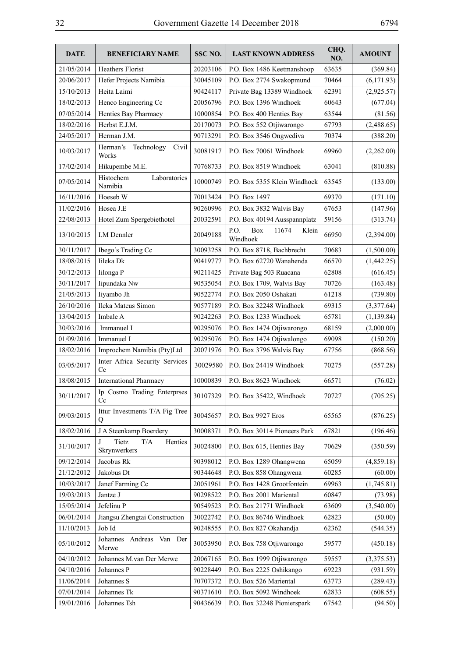| <b>DATE</b> | <b>BENEFICIARY NAME</b>                       | SSC NO.  | <b>LAST KNOWN ADDRESS</b>                 | CHQ.<br>NO. | <b>AMOUNT</b> |
|-------------|-----------------------------------------------|----------|-------------------------------------------|-------------|---------------|
| 21/05/2014  | <b>Heathers Florist</b>                       | 20203106 | P.O. Box 1486 Keetmanshoop                | 63635       | (369.84)      |
| 20/06/2017  | Hefer Projects Namibia                        | 30045109 | P.O. Box 2774 Swakopmund                  | 70464       | (6,171.93)    |
| 15/10/2013  | Heita Laimi                                   | 90424117 | Private Bag 13389 Windhoek                | 62391       | (2,925.57)    |
| 18/02/2013  | Henco Engineering Cc                          | 20056796 | P.O. Box 1396 Windhoek                    | 60643       | (677.04)      |
| 07/05/2014  | Henties Bay Pharmacy                          | 10000854 | P.O. Box 400 Henties Bay                  | 63544       | (81.56)       |
| 18/02/2016  | Herbst E.J.M.                                 | 20170073 | P.O. Box 552 Otjiwarongo                  | 67793       | (2,488.65)    |
| 24/05/2017  | Herman J.M.                                   | 90713291 | P.O. Box 3546 Ongwediva                   | 70374       | (388.20)      |
| 10/03/2017  | Herman's<br>Technology<br>Civil<br>Works      | 30081917 | P.O. Box 70061 Windhoek                   | 69960       | (2,262.00)    |
| 17/02/2014  | Hikupembe M.E.                                | 70768733 | P.O. Box 8519 Windhoek                    | 63041       | (810.88)      |
| 07/05/2014  | Histochem<br>Laboratories<br>Namibia          | 10000749 | P.O. Box 5355 Klein Windhoek              | 63545       | (133.00)      |
| 16/11/2016  | Hoeseb W                                      | 70013424 | P.O. Box 1497                             | 69370       | (171.10)      |
| 11/02/2016  | Hosea J.E                                     | 90260996 | P.O. Box 3832 Walvis Bay                  | 67653       | (147.96)      |
| 22/08/2013  | Hotel Zum Spergebiethotel                     | 20032591 | P.O. Box 40194 Ausspannplatz              | 59156       | (313.74)      |
| 13/10/2015  | <b>I.M Dennler</b>                            | 20049188 | P.O.<br>Box<br>11674<br>Klein<br>Windhoek | 66950       | (2,394.00)    |
| 30/11/2017  | Ibego's Trading Cc                            | 30093258 | P.O. Box 8718, Bachbrecht                 | 70683       | (1,500.00)    |
| 18/08/2015  | Iileka Dk                                     | 90419777 | P.O. Box 62720 Wanahenda                  | 66570       | (1,442.25)    |
| 30/12/2013  | Iilonga P                                     | 90211425 | Private Bag 503 Ruacana                   | 62808       | (616.45)      |
| 30/11/2017  | Iipundaka Nw                                  | 90535054 | P.O. Box 1709, Walvis Bay                 | 70726       | (163.48)      |
| 21/05/2013  | Iiyambo Jh                                    | 90522774 | P.O. Box 2050 Oshakati                    | 61218       | (739.80)      |
| 26/10/2016  | Ileka Mateus Simon                            | 90577189 | P.O. Box 32248 Windhoek                   | 69315       | (3,377.64)    |
| 13/04/2015  | Imbale A                                      | 90242263 | P.O. Box 1233 Windhoek                    | 65781       | (1, 139.84)   |
| 30/03/2016  | Immanuel I                                    | 90295076 | P.O. Box 1474 Otjiwarongo                 | 68159       | (2,000.00)    |
| 01/09/2016  | Immanuel I                                    | 90295076 | P.O. Box 1474 Otjiwalongo                 | 69098       | (150.20)      |
| 18/02/2016  | Improchem Namibia (Pty)Ltd                    | 20071976 | P.O. Box 3796 Walvis Bay                  | 67756       | (868.56)      |
| 03/05/2017  | Inter Africa Security Services<br>Cc          | 30029580 | P.O. Box 24419 Windhoek                   | 70275       | (557.28)      |
| 18/08/2015  | <b>International Pharmacy</b>                 | 10000839 | P.O. Box 8623 Windhoek                    | 66571       | (76.02)       |
| 30/11/2017  | Ip Cosmo Trading Enterprses<br>Cc             | 30107329 | P.O. Box 35422, Windhoek                  | 70727       | (705.25)      |
| 09/03/2015  | Ittur Investments T/A Fig Tree<br>Q           | 30045657 | P.O. Box 9927 Eros                        | 65565       | (876.25)      |
| 18/02/2016  | J A Steenkamp Boerdery                        | 30008371 | P.O. Box 30114 Pioneers Park              | 67821       | (196.46)      |
| 31/10/2017  | Tietz<br>$\rm T/A$<br>Henties<br>Skrynwerkers | 30024800 | P.O. Box 615, Henties Bay                 | 70629       | (350.59)      |
| 09/12/2014  | Jacobus Rk                                    | 90398012 | P.O. Box 1289 Ohangwena                   | 65059       | (4,859.18)    |
| 21/12/2012  | Jakobus Dt                                    | 90344648 | P.O. Box 858 Ohangwena                    | 60285       | (60.00)       |
| 10/03/2017  | Janef Farming Cc                              | 20051961 | P.O. Box 1428 Grootfontein                | 69963       | (1,745.81)    |
| 19/03/2013  | Jantze J                                      | 90298522 | P.O. Box 2001 Mariental                   | 60847       | (73.98)       |
| 15/05/2014  | Jefelinu P                                    | 90549523 | P.O. Box 21771 Windhoek                   | 63609       | (3,540.00)    |
| 06/01/2014  | Jiangsu Zhengtai Construction                 | 30022742 | P.O. Box 86746 Windhoek                   | 62823       | (50.00)       |
| 11/10/2013  | Job Id                                        | 90248555 | P.O. Box 827 Okahandja                    | 62362       | (544.35)      |
| 05/10/2012  | Johannes Andreas Van Der<br>Merwe             | 30053950 | P.O. Box 758 Otjiwarongo                  | 59577       | (450.18)      |
| 04/10/2012  | Johannes M.van Der Merwe                      | 20067165 | P.O. Box 1999 Otjiwarongo                 | 59557       | (3,375.53)    |
| 04/10/2016  | Johannes P                                    | 90228449 | P.O. Box 2225 Oshikango                   | 69223       | (931.59)      |
| 11/06/2014  | Johannes S                                    | 70707372 | P.O. Box 526 Mariental                    | 63773       | (289.43)      |
| 07/01/2014  | Johannes Tk                                   | 90371610 | P.O. Box 5092 Windhoek                    | 62833       | (608.55)      |
| 19/01/2016  | Johannes Tsh                                  | 90436639 | P.O. Box 32248 Pionierspark               | 67542       | (94.50)       |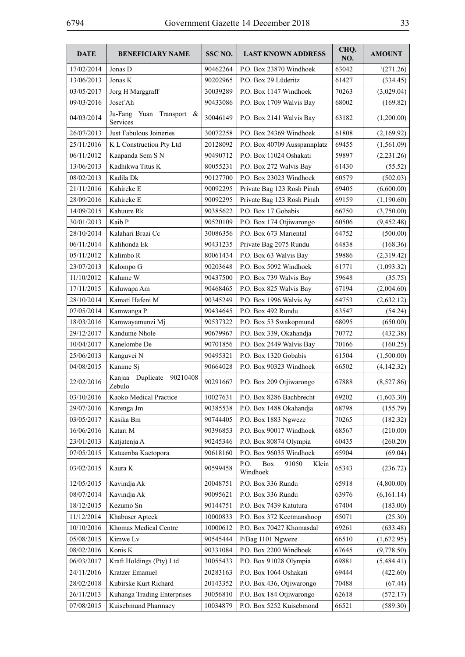| <b>DATE</b> | <b>BENEFICIARY NAME</b>                    | SSC <sub>NO.</sub> | <b>LAST KNOWN ADDRESS</b>                        | CHQ.<br>NO. | <b>AMOUNT</b> |
|-------------|--------------------------------------------|--------------------|--------------------------------------------------|-------------|---------------|
| 17/02/2014  | Jonas D                                    | 90462264           | P.O. Box 23870 Windhoek                          | 63042       | (271.26)      |
| 13/06/2013  | Jonas K                                    | 90202965           | P.O. Box 29 Lüderitz                             | 61427       | (334.45)      |
| 03/05/2017  | Jorg H Marggraff                           | 30039289           | P.O. Box 1147 Windhoek                           | 70263       | (3,029.04)    |
| 09/03/2016  | Josef Ah                                   | 90433086           | P.O. Box 1709 Walvis Bay                         | 68002       | (169.82)      |
| 04/03/2014  | Yuan<br>Transport &<br>Ju-Fang<br>Services | 30046149           | P.O. Box 2141 Walvis Bay                         | 63182       | (1,200.00)    |
| 26/07/2013  | Just Fabulous Joineries                    | 30072258           | P.O. Box 24369 Windhoek                          | 61808       | (2,169.92)    |
| 25/11/2016  | K L Construction Pty Ltd                   | 20128092           | P.O. Box 40709 Ausspannplatz                     | 69455       | (1,561.09)    |
| 06/11/2012  | Kaapanda Sem S N                           | 90490712           | P.O. Box 11024 Oshakati                          | 59897       | (2,231.26)    |
| 13/06/2013  | Kadhikwa Titus K                           | 80055231           | P.O. Box 272 Walvis Bay                          | 61430       | (55.52)       |
| 08/02/2013  | Kadila Dk                                  | 90127700           | P.O. Box 23023 Windhoek                          | 60579       | (502.03)      |
| 21/11/2016  | Kahireke E                                 | 90092295           | Private Bag 123 Rosh Pinah                       | 69405       | (6,600.00)    |
| 28/09/2016  | Kahireke E                                 | 90092295           | Private Bag 123 Rosh Pinah                       | 69159       | (1,190.60)    |
| 14/09/2015  | Kahuure Rk                                 | 90385622           | P.O. Box 17 Gobabis                              | 66750       | (3,750.00)    |
| 30/01/2013  | Kaib P                                     | 90520109           | P.O. Box 174 Otjiwarongo                         | 60506       | (9,452.48)    |
| 28/10/2014  | Kalahari Braai Cc                          | 30086356           | P.O. Box 673 Mariental                           | 64752       | (500.00)      |
| 06/11/2014  | Kalihonda Ek                               | 90431235           | Private Bag 2075 Rundu                           | 64838       | (168.36)      |
| 05/11/2012  | Kalimbo R                                  | 80061434           | P.O. Box 63 Walvis Bay                           | 59886       | (2,319.42)    |
| 23/07/2013  | Kalompo G                                  | 90203648           | P.O. Box 5092 Windhoek                           | 61771       | (1,093.32)    |
| 11/10/2012  | Kalume W                                   | 90437500           | P.O. Box 739 Walvis Bay                          | 59648       | (35.75)       |
| 17/11/2015  | Kaluwapa Am                                | 90468465           | P.O. Box 825 Walvis Bay                          | 67194       | (2,004.60)    |
| 28/10/2014  | Kamati Hafeni M                            | 90345249           | P.O. Box 1996 Walvis Ay                          | 64753       | (2,632.12)    |
| 07/05/2014  | Kamwanga P                                 | 90434645           | P.O. Box 492 Rundu                               | 63547       | (54.24)       |
| 18/03/2016  | Kamwayamunzi Mj                            | 90537322           | P.O. Box 53 Swakopmund                           | 68095       | (650.00)      |
| 29/12/2017  | Kandume Nhole                              | 90679967           | P.O. Box 339, Okahandja                          | 70772       | (432.38)      |
| 10/04/2017  | Kanelombe De                               | 90701856           | P.O. Box 2449 Walvis Bay                         | 70166       | (160.25)      |
| 25/06/2013  | Kanguvei N                                 | 90495321           | P.O. Box 1320 Gobabis                            | 61504       | (1,500.00)    |
| 04/08/2015  | Kanime Sj                                  | 90664028           | P.O. Box 90323 Windhoek                          | 66502       | (4,142.32)    |
| 22/02/2016  | Kanjaa<br>Duplicate<br>90210408<br>Zebulo  | 90291667           | P.O. Box 209 Otjiwarongo                         | 67888       | (8,527.86)    |
| 03/10/2016  | Kaoko Medical Practice                     | 10027631           | P.O. Box 8286 Bachbrecht                         | 69202       | (1,603.30)    |
| 29/07/2016  | Karenga Jm                                 | 90385538           | P.O. Box 1488 Okahandja                          | 68798       | (155.79)      |
| 03/05/2017  | Kasika Bm                                  | 90744405           | P.O. Box 1883 Ngweze                             | 70265       | (182.32)      |
| 16/06/2016  | Katari M                                   | 90396853           | P.O. Box 90017 Windhoek                          | 68567       | (210.00)      |
| 23/01/2013  | Katjatenja A                               | 90245346           | P.O. Box 80874 Olympia                           | 60435       | (260.20)      |
| 07/05/2015  | Katuamba Kaetopora                         | 90618160           | P.O. Box 96035 Windhoek                          | 65904       | (69.04)       |
| 03/02/2015  | Kaura K                                    | 90599458           | P.O.<br><b>Box</b><br>91050<br>Klein<br>Windhoek | 65343       | (236.72)      |
| 12/05/2015  | Kavindja Ak                                | 20048751           | P.O. Box 336 Rundu                               | 65918       | (4,800.00)    |
| 08/07/2014  | Kavindja Ak                                | 90095621           | P.O. Box 336 Rundu                               | 63976       | (6,161.14)    |
| 18/12/2015  | Kezumo Sn                                  | 90144751           | P.O. Box 7439 Katutura                           | 67404       | (183.00)      |
| 11/12/2014  | Khabuser Apteek                            | 10000833           | P.O. Box 372 Keetmanshoop                        | 65071       | (25.30)       |
| 10/10/2016  | Khomas Medical Centre                      | 10000612           | P.O. Box 70427 Khomasdal                         | 69261       | (633.48)      |
| 05/08/2015  | Kimwe Lv                                   | 90545444           | P/Bag 1101 Ngweze                                | 66510       | (1,672.95)    |
| 08/02/2016  | Konis K                                    | 90331084           | P.O. Box 2200 Windhoek                           | 67645       | (9,778.50)    |
| 06/03/2017  | Kraft Holdings (Pty) Ltd                   | 30055433           | P.O. Box 91028 Olympia                           | 69881       | (5,484.41)    |
| 24/11/2016  | Kratzer Emanuel                            | 20283163           | P.O. Box 1064 Oshakati                           | 69444       | (422.60)      |
| 28/02/2018  | Kubirske Kurt Richard                      | 20143352           | P.O. Box 436, Otjiwarongo                        | 70488       | (67.44)       |
| 26/11/2013  | Kuhanga Trading Enterprises                | 30056810           | P.O. Box 184 Otjiwarongo                         | 62618       | (572.17)      |
| 07/08/2015  | Kuisebmund Pharmacy                        | 10034879           | P.O. Box 5252 Kuisebmond                         | 66521       | (589.30)      |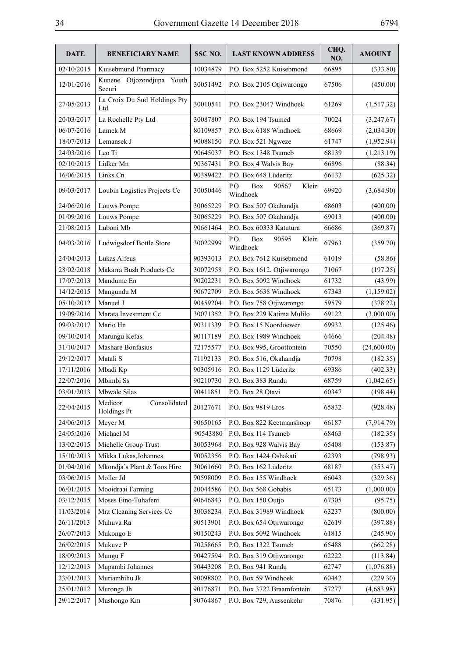| <b>DATE</b> | <b>BENEFICIARY NAME</b>                | SSC NO.  | <b>LAST KNOWN ADDRESS</b>                        | CHQ.<br>NO. | <b>AMOUNT</b> |
|-------------|----------------------------------------|----------|--------------------------------------------------|-------------|---------------|
| 02/10/2015  | Kuisebmund Pharmacy                    | 10034879 | P.O. Box 5252 Kuisebmond                         | 66895       | (333.80)      |
| 12/01/2016  | Kunene Otjozondjupa Youth<br>Securi    | 30051492 | P.O. Box 2105 Otjiwarongo                        | 67506       | (450.00)      |
| 27/05/2013  | La Croix Du Sud Holdings Pty<br>Ltd    | 30010541 | P.O. Box 23047 Windhoek                          | 61269       | (1,517.32)    |
| 20/03/2017  | La Rochelle Pty Ltd                    | 30087807 | P.O. Box 194 Tsumed                              | 70024       | (3,247.67)    |
| 06/07/2016  | Lamek M                                | 80109857 | P.O. Box 6188 Windhoek                           | 68669       | (2,034.30)    |
| 18/07/2013  | Lemansek J                             | 90088150 | P.O. Box 521 Ngweze                              | 61747       | (1,952.94)    |
| 24/03/2016  | Leo Ti                                 | 90645037 | P.O. Box 1348 Tsumeb                             | 68139       | (1,213.19)    |
| 02/10/2015  | Lidker Mn                              | 90367431 | P.O. Box 4 Walvis Bay                            | 66896       | (88.34)       |
| 16/06/2015  | Links Cn                               | 90389422 | P.O. Box 648 Lüderitz                            | 66132       | (625.32)      |
| 09/03/2017  | Loubin Logistics Projects Cc           | 30050446 | P.O.<br><b>Box</b><br>90567<br>Klein<br>Windhoek | 69920       | (3,684.90)    |
| 24/06/2016  | Louws Pompe                            | 30065229 | P.O. Box 507 Okahandja                           | 68603       | (400.00)      |
| 01/09/2016  | Louws Pompe                            | 30065229 | P.O. Box 507 Okahandja                           | 69013       | (400.00)      |
| 21/08/2015  | Luboni Mb                              | 90661464 | P.O. Box 60333 Katutura                          | 66686       | (369.87)      |
| 04/03/2016  | Ludwigsdorf Bottle Store               | 30022999 | P.O.<br><b>Box</b><br>90595<br>Klein<br>Windhoek | 67963       | (359.70)      |
| 24/04/2013  | Lukas Alfeus                           | 90393013 | P.O. Box 7612 Kuisebmond                         | 61019       | (58.86)       |
| 28/02/2018  | Makarra Bush Products Cc               | 30072958 | P.O. Box 1612, Otjiwarongo                       | 71067       | (197.25)      |
| 17/07/2013  | Mandume En                             | 90202231 | P.O. Box 5092 Windhoek                           | 61732       | (43.99)       |
| 14/12/2015  | Mangundu M                             | 90672709 | P.O. Box 5638 Windhoek                           | 67343       | (1,159.02)    |
| 05/10/2012  | Manuel J                               | 90459204 | P.O. Box 758 Otjiwarongo                         | 59579       | (378.22)      |
| 19/09/2016  | Marata Investment Cc                   | 30071352 | P.O. Box 229 Katima Mulilo                       | 69122       | (3,000.00)    |
| 09/03/2017  | Mario Hn                               | 90311339 | P.O. Box 15 Noordoewer                           | 69932       | (125.46)      |
| 09/10/2014  | Marungu Kefas                          | 90117189 | P.O. Box 1989 Windhoek                           | 64666       | (204.48)      |
| 31/10/2017  | Mashare Bonfasius                      | 72175577 | P.O. Box 995, Grootfontein                       | 70550       | (24,600.00)   |
| 29/12/2017  | Matali S                               | 71192133 | P.O. Box 516, Okahandja                          | 70798       | (182.35)      |
| 17/11/2016  | Mbadi Kp                               | 90305916 | P.O. Box 1129 Lüderitz                           | 69386       | (402.33)      |
| 22/07/2016  | Mbimbi Ss                              | 90210730 | P.O. Box 383 Rundu                               | 68759       | (1,042.65)    |
| 03/01/2013  | Mbwale Silas                           | 90411851 | P.O. Box 28 Otavi                                | 60347       | (198.44)      |
| 22/04/2015  | Medicor<br>Consolidated<br>Holdings Pt | 20127671 | P.O. Box 9819 Eros                               | 65832       | (928.48)      |
| 24/06/2015  | Meyer M                                | 90650165 | P.O. Box 822 Keetmanshoop                        | 66187       | (7,914.79)    |
| 24/05/2016  | Michael M                              | 90543880 | P.O. Box 114 Tsumeb                              | 68463       | (182.35)      |
| 13/02/2015  | Michelle Group Trust                   | 30053968 | P.O. Box 928 Walvis Bay                          | 65408       | (153.87)      |
| 15/10/2013  | Mikka Lukas, Johannes                  | 90052356 | P.O. Box 1424 Oshakati                           | 62393       | (798.93)      |
| 01/04/2016  | Mkondja's Plant & Toos Hire            | 30061660 | P.O. Box 162 Lüderitz                            | 68187       | (353.47)      |
| 03/06/2015  | Moller Jd                              | 90598009 | P.O. Box 155 Windhoek                            | 66043       | (329.36)      |
| 06/01/2015  | Mooidraai Farming                      | 20044586 | P.O. Box 568 Gobabis                             | 65173       | (1,000.00)    |
| 03/12/2015  | Moses Eino-Tuhafeni                    | 90646843 | P.O. Box 150 Outjo                               | 67305       | (95.75)       |
| 11/03/2014  | Mrz Cleaning Services Cc               | 30038234 | P.O. Box 31989 Windhoek                          | 63237       | (800.00)      |
| 26/11/2013  | Muhuva Ra                              | 90513901 | P.O. Box 654 Otjiwarongo                         | 62619       | (397.88)      |
| 26/07/2013  | Mukongo E                              | 90150243 | P.O. Box 5092 Windhoek                           | 61815       | (245.90)      |
| 26/02/2015  | Mukuve P                               | 70258665 | P.O. Box 1322 Tsumeb                             | 65488       | (662.28)      |
| 18/09/2013  | Mungu F                                | 90427594 | P.O. Box 319 Otjiwarongo                         | 62222       | (113.84)      |
| 12/12/2013  | Mupambi Johannes                       | 90443208 | P.O. Box 941 Rundu                               | 62747       | (1,076.88)    |
| 23/01/2013  | Muriambihu Jk                          | 90098802 | P.O. Box 59 Windhoek                             | 60442       | (229.30)      |
| 25/01/2012  | Muronga Jh                             | 90176871 | P.O. Box 3722 Braamfontein                       | 57277       | (4,683.98)    |
| 29/12/2017  | Mushongo Km                            | 90764867 | P.O. Box 729, Aussenkehr                         | 70876       | (431.95)      |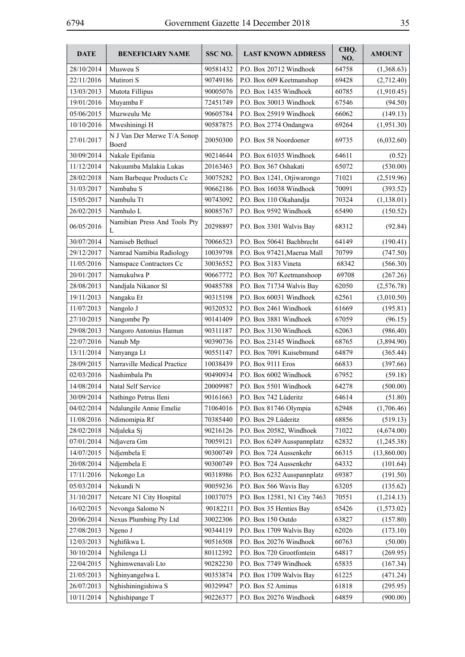| <b>DATE</b> | <b>BENEFICIARY NAME</b>              | SSC NO.  | <b>LAST KNOWN ADDRESS</b>    | CHQ.<br>NO. | <b>AMOUNT</b> |
|-------------|--------------------------------------|----------|------------------------------|-------------|---------------|
| 28/10/2014  | Musweu S                             | 90581432 | P.O. Box 20712 Windhoek      | 64758       | (1,368.63)    |
| 22/11/2016  | Mutirori S                           | 90749186 | P.O. Box 609 Keetmanshop     | 69428       | (2,712.40)    |
| 13/03/2013  | Mutota Fillipus                      | 90005076 | P.O. Box 1435 Windhoek       | 60785       | (1,910.45)    |
| 19/01/2016  | Muyamba F                            | 72451749 | P.O. Box 30013 Windhoek      | 67546       | (94.50)       |
| 05/06/2015  | Muzweulu Me                          | 90605784 | P.O. Box 25919 Windhoek      | 66062       | (149.13)      |
| 10/10/2016  | Mweshiningi H                        | 90587875 | P.O. Box 2774 Ondangwa       | 69264       | (1,951.30)    |
| 27/01/2017  | N J Van Der Merwe T/A Sonop<br>Boerd | 20050300 | P.O. Box 58 Noordoener       | 69735       | (6,032.60)    |
| 30/09/2014  | Nakale Epifania                      | 90214644 | P.O. Box 61035 Windhoek      | 64611       | (0.52)        |
| 11/12/2014  | Nakuumba Malakia Lukas               | 20163463 | P.O. Box 367 Oshakati        | 65072       | (530.00)      |
| 28/02/2018  | Nam Barbeque Products Cc             | 30075282 | P.O. Box 1241, Otjiwarongo   | 71021       | (2,519.96)    |
| 31/03/2017  | Nambahu S                            | 90662186 | P.O. Box 16038 Windhoek      | 70091       | (393.52)      |
| 15/05/2017  | Nambulu Tt                           | 90743092 | P.O. Box 110 Okahandja       | 70324       | (1,138.01)    |
| 26/02/2015  | Namhulo L                            | 80085767 | P.O. Box 9592 Windhoek       | 65490       | (150.52)      |
| 06/05/2016  | Namibian Press And Tools Pty<br>L    | 20298897 | P.O. Box 3301 Walvis Bay     | 68312       | (92.84)       |
| 30/07/2014  | Namiseb Bethuel                      | 70066523 | P.O. Box 50641 Bachbrecht    | 64149       | (190.41)      |
| 29/12/2017  | Namrad Namibia Radiology             | 10039798 | P.O. Box 97421, Maerua Mall  | 70799       | (747.50)      |
| 11/05/2016  | Namspace Contractors Cc              | 30036552 | P.O. Box 3183 Vineta         | 68342       | (566.30)      |
| 20/01/2017  | Namukulwa P                          | 90667772 | P.O. Box 707 Keetmanshoop    | 69708       | (267.26)      |
| 28/08/2013  | Nandjala Nikanor Sl                  | 90485788 | P.O. Box 71734 Walvis Bay    | 62050       | (2,576.78)    |
| 19/11/2013  | Nangaku Et                           | 90315198 | P.O. Box 60031 Windhoek      | 62561       | (3,010.50)    |
| 11/07/2013  | Nangolo J                            | 90320532 | P.O. Box 2461 Windhoek       | 61669       | (195.81)      |
| 27/10/2015  | Nangombe Pp                          | 90141409 | P.O. Box 3881 Windhoek       | 67059       | (96.15)       |
| 29/08/2013  | Nangoro Antonius Hamun               | 90311187 | P.O. Box 3130 Windhoek       | 62063       | (986.40)      |
| 22/07/2016  | Nanub Mp                             | 90390736 | P.O. Box 23145 Windhoek      | 68765       | (3,894.90)    |
| 13/11/2014  | Nanyanga Lt                          | 90551147 | P.O. Box 7091 Kuisebmund     | 64879       | (365.44)      |
| 28/09/2015  | Narraville Medical Practice          | 10038439 | P.O. Box 9111 Eros           | 66833       | (397.66)      |
| 02/03/2016  | Nashimbala Pn                        | 90490934 | P.O. Box 6002 Windhoek       | 67952       | (59.18)       |
| 14/08/2014  | Natal Self Service                   | 20009987 | P.O. Box 5501 Windhoek       | 64278       | (500.00)      |
| 30/09/2014  | Nathingo Petrus Ileni                | 90161663 | P.O. Box 742 Lüderitz        | 64614       | (51.80)       |
| 04/02/2014  | Ndalungile Annie Emelie              | 71064016 | P.O. Box 81746 Olympia       | 62948       | (1,706.46)    |
| 11/08/2016  | Ndimomipia Rf                        | 70385440 | P.O. Box 29 Lüderitz         | 68856       | (519.13)      |
| 28/02/2018  | Ndjaleka Sj                          | 90216126 | P.O. Box 20582, Windhoek     | 71022       | (4,674.00)    |
| 07/01/2014  | Ndjavera Gm                          | 70059121 | P.O. Box 6249 Ausspannplatz  | 62832       | (1,245.38)    |
| 14/07/2015  | Ndjembela E                          | 90300749 | P.O. Box 724 Aussenkehr      | 66315       | (13,860.00)   |
| 20/08/2014  | Ndjembela E                          | 90300749 | P.O. Box 724 Aussenkehr      | 64332       | (101.64)      |
| 17/11/2016  | Nekongo Ln                           | 90318986 | P.O. Box 6232 Ausspannplatz  | 69387       | (191.50)      |
| 05/03/2014  | Nekundi N                            | 90059236 | P.O. Box 566 Wavis Bay       | 63205       | (135.62)      |
| 31/10/2017  | Netcare N1 City Hospital             | 10037075 | P.O. Box 12581, N1 City 7463 | 70551       | (1,214.13)    |
| 16/02/2015  | Nevonga Salomo N                     | 90182211 | P.O. Box 35 Henties Bay      | 65426       | (1,573.02)    |
| 20/06/2014  | Nexus Plumbing Pty Ltd               | 30022306 | P.O. Box 150 Outdo           | 63827       | (157.80)      |
| 27/08/2013  | Ngeno J                              | 90344119 | P.O. Box 1709 Walvis Bay     | 62026       | (173.10)      |
| 12/03/2013  | Nghifikwa L                          | 90516508 | P.O. Box 20276 Windhoek      | 60763       | (50.00)       |
| 30/10/2014  | Nghilenga Ll                         | 80112392 | P.O. Box 720 Grootfontein    | 64817       | (269.95)      |
| 22/04/2015  | Nghimwenavali Lto                    | 90282230 | P.O. Box 7749 Windhoek       | 65835       | (167.34)      |
| 21/05/2013  | Nghinyangelwa L                      | 90353874 | P.O. Box 1709 Walvis Bay     | 61225       | (471.24)      |
| 26/07/2013  | Nghishiningishiwa S                  | 90329947 | P.O. Box 52 Aminus           | 61818       | (295.95)      |
| 10/11/2014  | Nghishipange T                       | 90226377 | P.O. Box 20276 Windhoek      | 64859       | (900.00)      |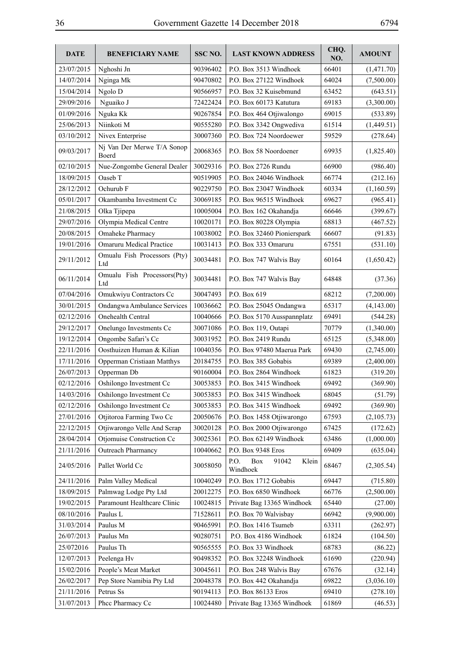| <b>DATE</b> | <b>BENEFICIARY NAME</b>             | SSC <sub>NO.</sub> | <b>LAST KNOWN ADDRESS</b>                 | CHQ.<br>NO. | <b>AMOUNT</b> |
|-------------|-------------------------------------|--------------------|-------------------------------------------|-------------|---------------|
| 23/07/2015  | Nghoshi Jn                          | 90396402           | P.O. Box 3513 Windhoek                    | 66401       | (1,471.70)    |
| 14/07/2014  | Nginga Mk                           | 90470802           | P.O. Box 27122 Windhoek                   | 64024       | (7,500.00)    |
| 15/04/2014  | Ngolo D                             | 90566957           | P.O. Box 32 Kuisebmund                    | 63452       | (643.51)      |
| 29/09/2016  | Nguaiko J                           | 72422424           | P.O. Box 60173 Katutura                   | 69183       | (3,300.00)    |
| 01/09/2016  | Nguka Kk                            | 90267854           | P.O. Box 464 Otjiwalongo                  | 69015       | (533.89)      |
| 25/06/2013  | Niinkoti M                          | 90555280           | P.O. Box 3342 Ongwediva                   | 61514       | (1,449.51)    |
| 03/10/2012  | Nivex Enterprise                    | 30007360           | P.O. Box 724 Noordoewer                   | 59529       | (278.64)      |
| 09/03/2017  | Nj Van Der Merwe T/A Sonop<br>Boerd | 20068365           | P.O. Box 58 Noordoener                    | 69935       | (1,825.40)    |
| 02/10/2015  | Nue-Zongombe General Dealer         | 30029316           | P.O. Box 2726 Rundu                       | 66900       | (986.40)      |
| 18/09/2015  | Oaseb T                             | 90519905           | P.O. Box 24046 Windhoek                   | 66774       | (212.16)      |
| 28/12/2012  | Ochurub F                           | 90229750           | P.O. Box 23047 Windhoek                   | 60334       | (1,160.59)    |
| 05/01/2017  | Okambamba Investment Cc             | 30069185           | P.O. Box 96515 Windhoek                   | 69627       | (965.41)      |
| 21/08/2015  | Olka Tjipepa                        | 10005004           | P.O. Box 162 Okahandja                    | 66646       | (399.67)      |
| 29/07/2016  | Olympia Medical Centre              | 10020171           | P.O. Box 80228 Olympia                    | 68813       | (467.52)      |
| 20/08/2015  | Omaheke Pharmacy                    | 10038002           | P.O. Box 32460 Pionierspark               | 66607       | (91.83)       |
| 19/01/2016  | <b>Omaruru Medical Practice</b>     | 10031413           | P.O. Box 333 Omaruru                      | 67551       | (531.10)      |
| 29/11/2012  | Omualu Fish Processors (Pty)<br>Ltd | 30034481           | P.O. Box 747 Walvis Bay                   | 60164       | (1,650.42)    |
| 06/11/2014  | Omualu Fish Processors(Pty)<br>Ltd  | 30034481           | P.O. Box 747 Walvis Bay                   | 64848       | (37.36)       |
| 07/04/2016  | Omukwiyu Contractors Cc             | 30047493           | P.O. Box 619                              | 68212       | (7,200.00)    |
| 30/01/2015  | Ondangwa Ambulance Services         | 10036662           | P.O. Box 25045 Ondangwa                   | 65317       | (4,143.00)    |
| 02/12/2016  | Onehealth Central                   | 10040666           | P.O. Box 5170 Ausspannplatz               | 69491       | (544.28)      |
| 29/12/2017  | Onelungo Investments Cc             | 30071086           | P.O. Box 119, Outapi                      | 70779       | (1,340.00)    |
| 19/12/2014  | Ongombe Safari's Cc                 | 30031952           | P.O. Box 2419 Rundu                       | 65125       | (5,348.00)    |
| 22/11/2016  | Oosthuizen Human & Kilian           | 10040356           | P.O. Box 97480 Maerua Park                | 69430       | (2,745.00)    |
| 17/11/2016  | Opperman Cristiaan Matthys          | 20184755           | P.O. Box 385 Gobabis                      | 69389       | (2,400.00)    |
| 26/07/2013  | Opperman Db                         | 90160004           | P.O. Box 2864 Windhoek                    | 61823       | (319.20)      |
| 02/12/2016  | Oshilongo Investment Cc             | 30053853           | P.O. Box 3415 Windhoek                    | 69492       | (369.90)      |
| 14/03/2016  | Oshilongo Investment Cc             | 30053853           | P.O. Box 3415 Windhoek                    | 68045       | (51.79)       |
| 02/12/2016  | Oshilongo Investment Cc             | 30053853           | P.O. Box 3415 Windhoek                    | 69492       | (369.90)      |
| 27/01/2016  | Otjitoroa Farming Two Cc            | 20050676           | P.O. Box 1458 Otjiwarongo                 | 67593       | (2,105.73)    |
| 22/12/2015  | Otjiwarongo Velle And Scrap         | 30020128           | P.O. Box 2000 Otjiwarongo                 | 67425       | (172.62)      |
| 28/04/2014  | Otjomuise Construction Cc           | 30025361           | P.O. Box 62149 Windhoek                   | 63486       | (1,000.00)    |
| 21/11/2016  | Outreach Pharmancy                  | 10040662           | P.O. Box 9348 Eros                        | 69409       | (635.04)      |
| 24/05/2016  | Pallet World Cc                     | 30058050           | Box<br>P.O.<br>91042<br>Klein<br>Windhoek | 68467       | (2,305.54)    |
| 24/11/2016  | Palm Valley Medical                 | 10040249           | P.O. Box 1712 Gobabis                     | 69447       | (715.80)      |
| 18/09/2015  | Palmwag Lodge Pty Ltd               | 20012275           | P.O. Box 6850 Windhoek                    | 66776       | (2,500.00)    |
| 19/02/2015  | Paramount Healthcare Clinic         | 10024815           | Private Bag 13365 Windhoek                | 65440       | (27.00)       |
| 08/10/2016  | Paulus L                            | 71528611           | P.O. Box 70 Walvisbay                     | 66942       | (9,900.00)    |
| 31/03/2014  | Paulus M                            | 90465991           | P.O. Box 1416 Tsumeb                      | 63311       | (262.97)      |
| 26/07/2013  | Paulus Mn                           | 90280751           | P.O. Box 4186 Windhoek                    | 61824       | (104.50)      |
| 25/072016   | Paulus Th                           | 90565555           | P.O. Box 33 Windhoek                      | 68783       | (86.22)       |
| 12/07/2013  | Peelenga Hv                         | 90498352           | P.O. Box 32248 Windhoek                   | 61690       | (220.94)      |
| 15/02/2016  | People's Meat Market                | 30045611           | P.O. Box 248 Walvis Bay                   | 67676       | (32.14)       |
| 26/02/2017  | Pep Store Namibia Pty Ltd           | 20048378           | P.O. Box 442 Okahandja                    | 69822       | (3,036.10)    |
| 21/11/2016  | Petrus Ss                           | 90194113           | P.O. Box 86133 Eros                       | 69410       | (278.10)      |
| 31/07/2013  | Phcc Pharmacy Cc                    | 10024480           | Private Bag 13365 Windhoek                | 61869       | (46.53)       |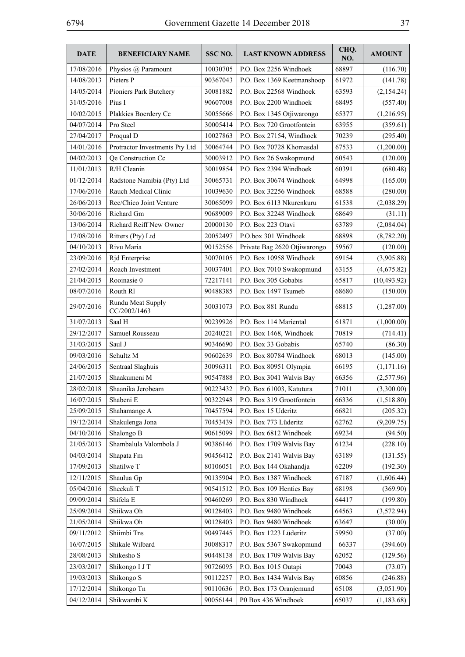| <b>DATE</b> | <b>BENEFICIARY NAME</b>           | SSC NO.  | <b>LAST KNOWN ADDRESS</b>    | CHQ.<br>NO. | <b>AMOUNT</b> |
|-------------|-----------------------------------|----------|------------------------------|-------------|---------------|
| 17/08/2016  | Physios @ Paramount               | 10030705 | P.O. Box 2256 Windhoek       | 68897       | (116.70)      |
| 14/08/2013  | Pieters P                         | 90367043 | P.O. Box 1369 Keetmanshoop   | 61972       | (141.78)      |
| 14/05/2014  | Pioniers Park Butchery            | 30081882 | P.O. Box 22568 Windhoek      | 63593       | (2,154.24)    |
| 31/05/2016  | Pius I                            | 90607008 | P.O. Box 2200 Windhoek       | 68495       | (557.40)      |
| 10/02/2015  | Plakkies Boerdery Cc              | 30055666 | P.O. Box 1345 Otjiwarongo    | 65377       | (1,216.95)    |
| 04/07/2014  | Pro Steel                         | 30005414 | P.O. Box 720 Grootfontein    | 63955       | (359.61)      |
| 27/04/2017  | Proqual D                         | 10027863 | P.O. Box 27154, Windhoek     | 70239       | (295.40)      |
| 14/01/2016  | Protractor Investments Pty Ltd    | 30064744 | P.O. Box 70728 Khomasdal     | 67533       | (1,200.00)    |
| 04/02/2013  | Qe Construction Cc                | 30003912 | P.O. Box 26 Swakopmund       | 60543       | (120.00)      |
| 11/01/2013  | R/H Cleanin                       | 30019854 | P.O. Box 2394 Windhoek       | 60391       | (680.48)      |
| 01/12/2014  | Radstone Namibia (Pty) Ltd        | 30065731 | P.O. Box 30674 Windhoek      | 64998       | (165.00)      |
| 17/06/2016  | Rauch Medical Clinic              | 10039630 | P.O. Box 32256 Windhoek      | 68588       | (280.00)      |
| 26/06/2013  | Rcc/Chico Joint Venture           | 30065099 | P.O. Box 6113 Nkurenkuru     | 61538       | (2,038.29)    |
| 30/06/2016  | Richard Gm                        | 90689009 | P.O. Box 32248 Windhoek      | 68649       | (31.11)       |
| 13/06/2014  | Richard Reiff New Owner           | 20000130 | P.O. Box 223 Otavi           | 63789       | (2,084.04)    |
| 17/08/2016  | Ritters (Pty) Ltd                 | 20052497 | P.O.box 301 Windhoek         | 68898       | (8,782.20)    |
| 04/10/2013  | Rivu Maria                        | 90152556 | Private Bag 2620 Otjiwarongo | 59567       | (120.00)      |
| 23/09/2016  | Rjd Enterprise                    | 30070105 | P.O. Box 10958 Windhoek      | 69154       | (3,905.88)    |
| 27/02/2014  | Roach Investment                  | 30037401 | P.O. Box 7010 Swakopmund     | 63155       | (4,675.82)    |
| 21/04/2015  | Rooinasie 0                       | 72217141 | P.O. Box 305 Gobabis         | 65817       | (10, 493.92)  |
| 08/07/2016  | Routh R1                          | 90488385 | P.O. Box 1497 Tsumeb         | 68680       | (150.00)      |
| 29/07/2016  | Rundu Meat Supply<br>CC/2002/1463 | 30031073 | P.O. Box 881 Rundu           | 68815       | (1,287.00)    |
| 31/07/2013  | Saal H                            | 90239926 | P.O. Box 114 Mariental       | 61871       | (1,000.00)    |
| 29/12/2017  | Samuel Rousseau                   | 20240221 | P.O. Box 1468, Windhoek      | 70819       | (714.41)      |
| 31/03/2015  | Saul J                            | 90346690 | P.O. Box 33 Gobabis          | 65740       | (86.30)       |
| 09/03/2016  | Schultz M                         | 90602639 | P.O. Box 80784 Windhoek      | 68013       | (145.00)      |
| 24/06/2015  | Sentraal Slaghuis                 | 30096311 | P.O. Box 80951 Olympia       | 66195       | (1,171.16)    |
| 21/07/2015  | Shaakumeni M                      | 90547888 | P.O. Box 3041 Walvis Bay     | 66356       | (2,577.96)    |
| 28/02/2018  | Shaanika Jerobeam                 | 90223432 | P.O. Box 61003, Katutura     | 71011       | (3,300.00)    |
| 16/07/2015  | Shabeni E                         | 90322948 | P.O. Box 319 Grootfontein    | 66336       | (1,518.80)    |
| 25/09/2015  | Shahamange A                      | 70457594 | P.O. Box 15 Uderitz          | 66821       | (205.32)      |
| 19/12/2014  | Shakulenga Jona                   | 70453439 | P.O. Box 773 Lüderitz        | 62762       | (9,209.75)    |
| 04/10/2016  | Shalongo B                        | 90615099 | P.O. Box 6812 Windhoek       | 69234       | (94.50)       |
| 21/05/2013  | Shambalula Valombola J            | 90386146 | P.O. Box 1709 Walvis Bay     | 61234       | (228.10)      |
| 04/03/2014  | Shapata Fm                        | 90456412 | P.O. Box 2141 Walvis Bay     | 63189       | (131.55)      |
| 17/09/2013  | Shatilwe T                        | 80106051 | P.O. Box 144 Okahandja       | 62209       | (192.30)      |
| 12/11/2015  | Shaulua Gp                        | 90135904 | P.O. Box 1387 Windhoek       | 67187       | (1,606.44)    |
| 05/04/2016  | Sheekuli T                        | 90541512 | P.O. Box 109 Henties Bay     | 68198       | (369.90)      |
| 09/09/2014  | Shifela E                         | 90460269 | P.O. Box 830 Windhoek        | 64417       | (199.80)      |
| 25/09/2014  | Shiikwa Oh                        | 90128403 | P.O. Box 9480 Windhoek       | 64563       | (3,572.94)    |
| 21/05/2014  | Shiikwa Oh                        | 90128403 | P.O. Box 9480 Windhoek       | 63647       | (30.00)       |
| 09/11/2012  | Shiimbi Tns                       | 90497445 | P.O. Box 1223 Lüderitz       | 59950       | (37.00)       |
| 16/07/2015  | Shikale Wilbard                   | 30088317 | P.O. Box 5367 Swakopmund     | 66337       | (394.60)      |
| 28/08/2013  | Shikesho S                        | 90448138 | P.O. Box 1709 Walvis Bay     | 62052       | (129.56)      |
| 23/03/2017  | Shikongo I J T                    | 90726095 | P.O. Box 1015 Outapi         | 70043       | (73.07)       |
| 19/03/2013  | Shikongo S                        | 90112257 | P.O. Box 1434 Walvis Bay     | 60856       | (246.88)      |
| 17/12/2014  | Shikongo Tn                       | 90110636 | P.O. Box 173 Oranjemund      | 65108       | (3,051.90)    |
| 04/12/2014  | Shikwambi K                       | 90056144 | P0 Box 436 Windhoek          | 65037       | (1,183.68)    |
|             |                                   |          |                              |             |               |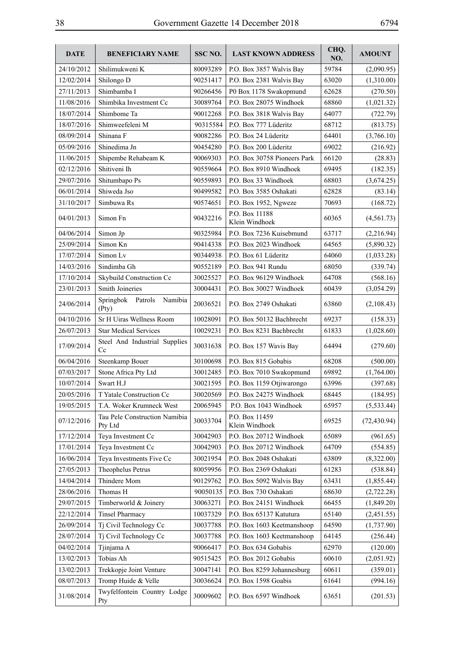| <b>DATE</b> | <b>BENEFICIARY NAME</b>                  | SSC <sub>NO.</sub> | <b>LAST KNOWN ADDRESS</b>        | CHO.<br>NO. | <b>AMOUNT</b> |
|-------------|------------------------------------------|--------------------|----------------------------------|-------------|---------------|
| 24/10/2012  | Shilimukweni K                           | 80093289           | P.O. Box 3857 Walvis Bay         | 59784       | (2,090.95)    |
| 12/02/2014  | Shilongo D                               | 90251417           | P.O. Box 2381 Walvis Bay         | 63020       | (1,310.00)    |
| 27/11/2013  | Shimbamba I                              | 90266456           | P0 Box 1178 Swakopmund           | 62628       | (270.50)      |
| 11/08/2016  | Shimbika Investment Cc                   | 30089764           | P.O. Box 28075 Windhoek          | 68860       | (1,021.32)    |
| 18/07/2014  | Shimbome Ta                              | 90012268           | P.O. Box 3818 Walvis Bay         | 64077       | (722.79)      |
| 18/07/2016  | Shimweefeleni M                          | 90315584           | P.O. Box 777 Lüderitz            | 68712       | (813.75)      |
| 08/09/2014  | Shinana F                                | 90082286           | P.O. Box 24 Lüderitz             | 64401       | (3,766.10)    |
| 05/09/2016  | Shinedima Jn                             | 90454280           | P.O. Box 200 Lüderitz            | 69022       | (216.92)      |
| 11/06/2015  | Shipembe Rehabeam K                      | 90069303           | P.O. Box 30758 Pioneers Park     | 66120       | (28.83)       |
| 02/12/2016  | Shitiveni Ih                             | 90559664           | P.O. Box 8910 Windhoek           | 69495       | (182.35)      |
| 29/07/2016  | Shitumbapo Ps                            | 90559893           | P.O. Box 33 Windhoek             | 68803       | (3,674.25)    |
| 06/01/2014  | Shiweda Jso                              | 90499582           | P.O. Box 3585 Oshakati           | 62828       | (83.14)       |
| 31/10/2017  | Simbuwa Rs                               | 90574651           | P.O. Box 1952, Ngweze            | 70693       | (168.72)      |
| 04/01/2013  | Simon Fn                                 | 90432216           | P.O. Box 11188<br>Klein Windhoek | 60365       | (4, 561.73)   |
| 04/06/2014  | Simon Jp                                 | 90325984           | P.O. Box 7236 Kuisebmund         | 63717       | (2,216.94)    |
| 25/09/2014  | Simon Kn                                 | 90414338           | P.O. Box 2023 Windhoek           | 64565       | (5,890.32)    |
| 17/07/2014  | Simon Lv                                 | 90344938           | P.O. Box 61 Lüderitz             | 64060       | (1,033.28)    |
| 14/03/2016  | Sindimba Gh                              | 90552189           | P.O. Box 941 Rundu               | 68050       | (339.74)      |
| 17/10/2014  | Skybuild Construction Cc                 | 30025527           | P.O. Box 96129 Windhoek          | 64708       | (568.16)      |
| 23/01/2013  | Smith Joineries                          | 30004431           | P.O. Box 30027 Windhoek          | 60439       | (3,054.29)    |
| 24/06/2014  | Springbok Patrols<br>Namibia<br>(Pty)    | 20036521           | P.O. Box 2749 Oshakati           | 63860       | (2,108.43)    |
| 04/10/2016  | Sr H Uiras Wellness Room                 | 10028091           | P.O. Box 50132 Bachbrecht        | 69237       | (158.33)      |
| 26/07/2013  | <b>Star Medical Services</b>             | 10029231           | P.O. Box 8231 Bachbrecht         | 61833       | (1,028.60)    |
| 17/09/2014  | Steel And Industrial Supplies<br>Cc      | 30031638           | P.O. Box 157 Wavis Bay           | 64494       | (279.60)      |
| 06/04/2016  | Steenkamp Bouer                          | 30100698           | P.O. Box 815 Gobabis             | 68208       | (500.00)      |
| 07/03/2017  | Stone Africa Pty Ltd                     | 30012485           | P.O. Box 7010 Swakopmund         | 69892       | (1,764.00)    |
| 10/07/2014  | Swart H.J                                | 30021595           | P.O. Box 1159 Otjiwarongo        | 63996       | (397.68)      |
| 20/05/2016  | T Yatale Construction Cc                 | 30020569           | P.O. Box 24275 Windhoek          | 68445       | (184.95)      |
| 19/05/2015  | T.A. Woker Krumneck West                 | 20065945           | P.O. Box 1043 Windhoek           | 65957       | (5,533.44)    |
| 07/12/2016  | Tau Pele Construction Namibia<br>Pty Ltd | 30033704           | P.O. Box 11459<br>Klein Windhoek | 69525       | (72, 430.94)  |
| 17/12/2014  | Teya Investment Cc                       | 30042903           | P.O. Box 20712 Windhoek          | 65089       | (961.65)      |
| 17/01/2014  | Teya Investment Cc                       | 30042903           | P.O. Box 20712 Windhoek          | 64709       | (554.85)      |
| 16/06/2014  | Teya Investments Five Cc                 | 30021954           | P.O. Box 2048 Oshakati           | 63809       | (8,322.00)    |
| 27/05/2013  | Theophelus Petrus                        | 80059956           | P.O. Box 2369 Oshakati           | 61283       | (538.84)      |
| 14/04/2014  | Thindere Mom                             | 90129762           | P.O. Box 5092 Walvis Bay         | 63431       | (1,855.44)    |
| 28/06/2016  | Thomas H                                 | 90050135           | P.O. Box 730 Oshakati            | 68630       | (2,722.28)    |
| 29/07/2015  | Timberworld & Joinery                    | 30063271           | P.O. Box 24151 Windhoek          | 66455       | (1,849.20)    |
| 22/12/2014  | <b>Tinsel Pharmacy</b>                   | 10037329           | P.O. Box 65137 Katutura          | 65140       | (2,451.55)    |
| 26/09/2014  | Tj Civil Technology Cc                   | 30037788           | P.O. Box 1603 Keetmanshoop       | 64590       | (1,737.90)    |
| 28/07/2014  | Tj Civil Technology Cc                   | 30037788           | P.O. Box 1603 Keetmanshoop       | 64145       | (256.44)      |
| 04/02/2014  | Tjinjama A                               | 90066417           | P.O. Box 634 Gobabis             | 62970       | (120.00)      |
| 13/02/2013  | Tobias Ah                                | 90515425           | P.O. Box 2012 Gobabis            | 60610       | (2,051.92)    |
| 13/02/2013  | Trekkopje Joint Venture                  | 30047141           | P.O. Box 8259 Johannesburg       | 60611       | (359.01)      |
| 08/07/2013  | Tromp Huide & Velle                      | 30036624           | P.O. Box 1598 Goabis             | 61641       | (994.16)      |
| 31/08/2014  | Twyfelfontein Country Lodge<br>Pty       | 30009602           | P.O. Box 6597 Windhoek           | 63651       | (201.53)      |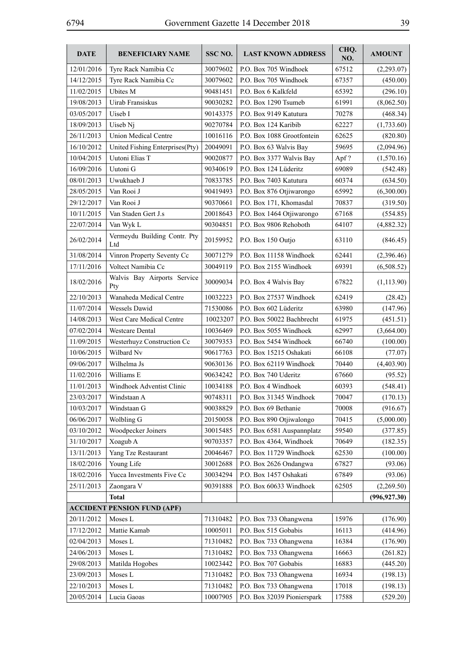| <b>DATE</b> | <b>BENEFICIARY NAME</b>             | SSC NO.  | <b>LAST KNOWN ADDRESS</b>   | CHQ.<br>NO. | <b>AMOUNT</b> |
|-------------|-------------------------------------|----------|-----------------------------|-------------|---------------|
| 12/01/2016  | Tyre Rack Namibia Cc                | 30079602 | P.O. Box 705 Windhoek       | 67512       | (2,293.07)    |
| 14/12/2015  | Tyre Rack Namibia Cc                | 30079602 | P.O. Box 705 Windhoek       | 67357       | (450.00)      |
| 11/02/2015  | <b>Uhites M</b>                     | 90481451 | P.O. Box 6 Kalkfeld         | 65392       | (296.10)      |
| 19/08/2013  | Uirab Fransiskus                    | 90030282 | P.O. Box 1290 Tsumeb        | 61991       | (8,062.50)    |
| 03/05/2017  | Uiseb I                             | 90143375 | P.O. Box 9149 Katutura      | 70278       | (468.34)      |
| 18/09/2013  | Uiseb Ni                            | 90270784 | P.O. Box 124 Karibib        | 62227       | (1,733.60)    |
| 26/11/2013  | <b>Union Medical Centre</b>         | 10016116 | P.O. Box 1088 Grootfontein  | 62625       | (820.80)      |
| 16/10/2012  | United Fishing Enterprises(Pty)     | 20049091 | P.O. Box 63 Walvis Bay      | 59695       | (2,094.96)    |
| 10/04/2015  | Uutoni Elias T                      | 90020877 | P.O. Box 3377 Walvis Bay    | Apf?        | (1,570.16)    |
| 16/09/2016  | Uutoni G                            | 90340619 | P.O. Box 124 Lüderitz       | 69089       | (542.48)      |
| 08/01/2013  | Uwukhaeb J                          | 70833785 | P.O. Box 7403 Katutura      | 60374       | (634.50)      |
| 28/05/2015  | Van Rooi J                          | 90419493 | P.O. Box 876 Otjiwarongo    | 65992       | (6,300.00)    |
| 29/12/2017  | Van Rooi J                          | 90370661 | P.O. Box 171, Khomasdal     | 70837       | (319.50)      |
| 10/11/2015  | Van Staden Gert J.s                 | 20018643 | P.O. Box 1464 Otjiwarongo   | 67168       | (554.85)      |
| 22/07/2014  | Van Wyk L                           | 90304851 | P.O. Box 9806 Rehoboth      | 64107       | (4,882.32)    |
| 26/02/2014  | Vermeydu Building Contr. Pty<br>Ltd | 20159952 | P.O. Box 150 Outjo          | 63110       | (846.45)      |
| 31/08/2014  | Vinron Property Seventy Cc          | 30071279 | P.O. Box 11158 Windhoek     | 62441       | (2,396.46)    |
| 17/11/2016  | Voltect Namibia Cc                  | 30049119 | P.O. Box 2155 Windhoek      | 69391       | (6,508.52)    |
| 18/02/2016  | Walvis Bay Airports Service<br>Pty  | 30009034 | P.O. Box 4 Walvis Bay       | 67822       | (1,113.90)    |
| 22/10/2013  | Wanaheda Medical Centre             | 10032223 | P.O. Box 27537 Windhoek     | 62419       | (28.42)       |
| 11/07/2014  | <b>Wessels Dawid</b>                | 71530086 | P.O. Box 602 Lüderitz       | 63980       | (147.96)      |
| 14/08/2013  | West Care Medical Centre            | 10023207 | P.O. Box 50022 Bachbrecht   | 61975       | (451.51)      |
| 07/02/2014  | <b>Westcare Dental</b>              | 10036469 | P.O. Box 5055 Windhoek      | 62997       | (3,664.00)    |
| 11/09/2015  | Westerhuyz Construction Cc          | 30079353 | P.O. Box 5454 Windhoek      | 66740       | (100.00)      |
| 10/06/2015  | Wilbard Nv                          | 90617763 | P.O. Box 15215 Oshakati     | 66108       | (77.07)       |
| 09/06/2017  | Wilhelma Js                         | 90630136 | P.O. Box 62119 Windhoek     | 70440       | (4,403.90)    |
| 11/02/2016  | Williams E                          | 90634242 | P.O. Box 740 Uderitz        | 67660       | (95.52)       |
| 11/01/2013  | Windhoek Adventist Clinic           | 10034188 | P.O. Box 4 Windhoek         | 60393       | (548.41)      |
| 23/03/2017  | Windstaan A                         | 90748311 | P.O. Box 31345 Windhoek     | 70047       | (170.13)      |
| 10/03/2017  | Windstaan G                         | 90038829 | P.O. Box 69 Bethanie        | 70008       | (916.67)      |
| 06/06/2017  | Wolbling G                          | 20150058 | P.O. Box 890 Otjiwalongo    | 70415       | (5,000.00)    |
| 03/10/2012  | Woodpecker Joiners                  | 30015485 | P.O. Box 6581 Auspannplatz  | 59540       | (377.85)      |
| 31/10/2017  | Xoagub A                            | 90703357 | P.O. Box 4364, Windhoek     | 70649       | (182.35)      |
| 13/11/2013  | Yang Tze Restaurant                 | 20046467 | P.O. Box 11729 Windhoek     | 62530       | (100.00)      |
| 18/02/2016  | Young Life                          | 30012688 | P.O. Box 2626 Ondangwa      | 67827       | (93.06)       |
| 18/02/2016  | Yucca Investments Five Cc           | 30034294 | P.O. Box 1457 Oshakati      | 67849       | (93.06)       |
| 25/11/2013  | Zaongara V                          | 90391888 | P.O. Box 60633 Windhoek     | 62505       | (2,269.50)    |
|             | <b>Total</b>                        |          |                             |             | (996, 927.30) |
|             | <b>ACCIDENT PENSION FUND (APF)</b>  |          |                             |             |               |
| 20/11/2012  | Moses L                             | 71310482 | P.O. Box 733 Ohangwena      | 15976       | (176.90)      |
| 17/12/2012  | Mattie Kamab                        | 10005011 | P.O. Box 515 Gobabis        | 16113       | (414.96)      |
| 02/04/2013  | Moses L                             | 71310482 | P.O. Box 733 Ohangwena      | 16384       | (176.90)      |
| 24/06/2013  | Moses L                             | 71310482 | P.O. Box 733 Ohangwena      | 16663       | (261.82)      |
| 29/08/2013  | Matilda Hogobes                     | 10023442 | P.O. Box 707 Gobabis        | 16883       | (445.20)      |
| 23/09/2013  | Moses L                             | 71310482 | P.O. Box 733 Ohangwena      | 16934       | (198.13)      |
| 22/10/2013  | Moses L                             | 71310482 | P.O. Box 733 Ohangwena      | 17018       | (198.13)      |
| 20/05/2014  | Lucia Gaoas                         | 10007905 | P.O. Box 32039 Pionierspark | 17588       | (529.20)      |
|             |                                     |          |                             |             |               |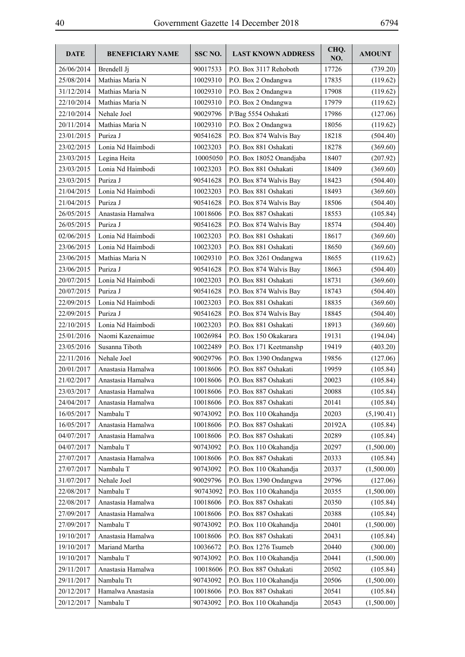| <b>DATE</b> | <b>BENEFICIARY NAME</b> | SSC NO.  | <b>LAST KNOWN ADDRESS</b> | CHQ.<br>NO. | <b>AMOUNT</b> |
|-------------|-------------------------|----------|---------------------------|-------------|---------------|
| 26/06/2014  | Brendell Ji             | 90017533 | P.O. Box 3117 Rehoboth    | 17726       | (739.20)      |
| 25/08/2014  | Mathias Maria N         | 10029310 | P.O. Box 2 Ondangwa       | 17835       | (119.62)      |
| 31/12/2014  | Mathias Maria N         | 10029310 | P.O. Box 2 Ondangwa       | 17908       | (119.62)      |
| 22/10/2014  | Mathias Maria N         | 10029310 | P.O. Box 2 Ondangwa       | 17979       | (119.62)      |
| 22/10/2014  | Nehale Joel             | 90029796 | P/Bag 5554 Oshakati       | 17986       | (127.06)      |
| 20/11/2014  | Mathias Maria N         | 10029310 | P.O. Box 2 Ondangwa       | 18056       | (119.62)      |
| 23/01/2015  | Puriza J                | 90541628 | P.O. Box 874 Walvis Bay   | 18218       | (504.40)      |
| 23/02/2015  | Lonia Nd Haimbodi       | 10023203 | P.O. Box 881 Oshakati     | 18278       | (369.60)      |
| 23/03/2015  | Legina Heita            | 10005050 | P.O. Box 18052 Onandjaba  | 18407       | (207.92)      |
| 23/03/2015  | Lonia Nd Haimbodi       | 10023203 | P.O. Box 881 Oshakati     | 18409       | (369.60)      |
| 23/03/2015  | Puriza J                | 90541628 | P.O. Box 874 Walvis Bay   | 18423       | (504.40)      |
| 21/04/2015  | Lonia Nd Haimbodi       | 10023203 | P.O. Box 881 Oshakati     | 18493       | (369.60)      |
| 21/04/2015  | Puriza J                | 90541628 | P.O. Box 874 Walvis Bay   | 18506       | (504.40)      |
| 26/05/2015  | Anastasia Hamalwa       | 10018606 | P.O. Box 887 Oshakati     | 18553       | (105.84)      |
| 26/05/2015  | Puriza J                | 90541628 | P.O. Box 874 Walvis Bay   | 18574       | (504.40)      |
| 02/06/2015  | Lonia Nd Haimbodi       | 10023203 | P.O. Box 881 Oshakati     | 18617       | (369.60)      |
| 23/06/2015  | Lonia Nd Haimbodi       | 10023203 | P.O. Box 881 Oshakati     | 18650       | (369.60)      |
| 23/06/2015  | Mathias Maria N         | 10029310 | P.O. Box 3261 Ondangwa    | 18655       | (119.62)      |
| 23/06/2015  | Puriza J                | 90541628 | P.O. Box 874 Walvis Bay   | 18663       | (504.40)      |
| 20/07/2015  | Lonia Nd Haimbodi       | 10023203 | P.O. Box 881 Oshakati     | 18731       | (369.60)      |
| 20/07/2015  | Puriza J                | 90541628 | P.O. Box 874 Walvis Bay   | 18743       | (504.40)      |
| 22/09/2015  | Lonia Nd Haimbodi       | 10023203 | P.O. Box 881 Oshakati     | 18835       | (369.60)      |
| 22/09/2015  | Puriza J                | 90541628 | P.O. Box 874 Walvis Bay   | 18845       | (504.40)      |
| 22/10/2015  | Lonia Nd Haimbodi       | 10023203 | P.O. Box 881 Oshakati     | 18913       | (369.60)      |
| 25/01/2016  | Naomi Kazenaimue        | 10026984 | P.O. Box 150 Okakarara    | 19131       | (194.04)      |
| 23/05/2016  | Susanna Tiboth          | 10022489 | P.O. Box 171 Keetmanshp   | 19419       | (403.20)      |
| 22/11/2016  | Nehale Joel             | 90029796 | P.O. Box 1390 Ondangwa    | 19856       | (127.06)      |
| 20/01/2017  | Anastasia Hamalwa       | 10018606 | P.O. Box 887 Oshakati     | 19959       | (105.84)      |
| 21/02/2017  | Anastasia Hamalwa       | 10018606 | P.O. Box 887 Oshakati     | 20023       | (105.84)      |
| 23/03/2017  | Anastasia Hamalwa       | 10018606 | P.O. Box 887 Oshakati     | 20088       | (105.84)      |
| 24/04/2017  | Anastasia Hamalwa       | 10018606 | P.O. Box 887 Oshakati     | 20141       | (105.84)      |
| 16/05/2017  | Nambalu T               | 90743092 | P.O. Box 110 Okahandja    | 20203       | (5,190.41)    |
| 16/05/2017  | Anastasia Hamalwa       | 10018606 | P.O. Box 887 Oshakati     | 20192A      | (105.84)      |
| 04/07/2017  | Anastasia Hamalwa       | 10018606 | P.O. Box 887 Oshakati     | 20289       | (105.84)      |
| 04/07/2017  | Nambalu T               | 90743092 | P.O. Box 110 Okahandja    | 20297       | (1,500.00)    |
| 27/07/2017  | Anastasia Hamalwa       | 10018606 | P.O. Box 887 Oshakati     | 20333       | (105.84)      |
| 27/07/2017  | Nambalu T               | 90743092 | P.O. Box 110 Okahandja    | 20337       | (1,500.00)    |
| 31/07/2017  | Nehale Joel             | 90029796 | P.O. Box 1390 Ondangwa    | 29796       | (127.06)      |
| 22/08/2017  | Nambalu T               | 90743092 | P.O. Box 110 Okahandja    | 20355       | (1,500.00)    |
| 22/08/2017  | Anastasia Hamalwa       | 10018606 | P.O. Box 887 Oshakati     | 20350       | (105.84)      |
| 27/09/2017  | Anastasia Hamalwa       | 10018606 | P.O. Box 887 Oshakati     | 20388       | (105.84)      |
| 27/09/2017  | Nambalu T               | 90743092 | P.O. Box 110 Okahandja    | 20401       | (1,500.00)    |
| 19/10/2017  | Anastasia Hamalwa       | 10018606 | P.O. Box 887 Oshakati     | 20431       | (105.84)      |
| 19/10/2017  | Mariand Martha          | 10036672 | P.O. Box 1276 Tsumeb      | 20440       | (300.00)      |
| 19/10/2017  | Nambalu T               | 90743092 | P.O. Box 110 Okahandja    | 20441       | (1,500.00)    |
| 29/11/2017  | Anastasia Hamalwa       | 10018606 | P.O. Box 887 Oshakati     | 20502       | (105.84)      |
| 29/11/2017  | Nambalu Tt              | 90743092 | P.O. Box 110 Okahandja    | 20506       | (1,500.00)    |
| 20/12/2017  | Hamalwa Anastasia       | 10018606 | P.O. Box 887 Oshakati     | 20541       | (105.84)      |
| 20/12/2017  | Nambalu T               | 90743092 | P.O. Box 110 Okahandja    | 20543       | (1,500.00)    |